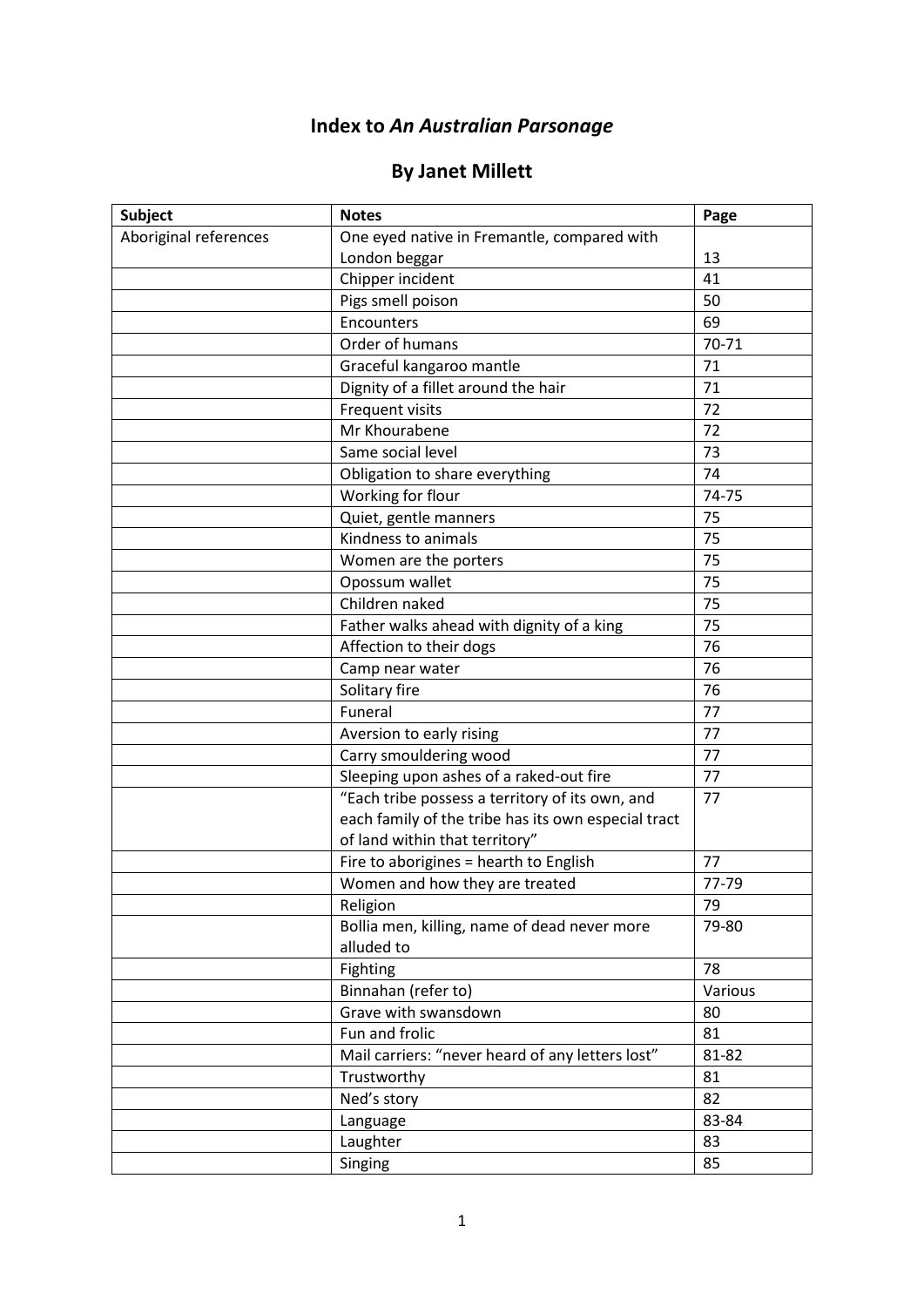## **Index to** *An Australian Parsonage*

## **By Janet Millett**

| <b>Subject</b>        | <b>Notes</b>                                        | Page    |
|-----------------------|-----------------------------------------------------|---------|
| Aboriginal references | One eyed native in Fremantle, compared with         |         |
|                       | London beggar                                       | 13      |
|                       | Chipper incident                                    | 41      |
|                       | Pigs smell poison                                   | 50      |
|                       | Encounters                                          | 69      |
|                       | Order of humans                                     | 70-71   |
|                       | Graceful kangaroo mantle                            | 71      |
|                       | Dignity of a fillet around the hair                 | 71      |
|                       | Frequent visits                                     | 72      |
|                       | Mr Khourabene                                       | 72      |
|                       | Same social level                                   | 73      |
|                       | Obligation to share everything                      | 74      |
|                       | Working for flour                                   | 74-75   |
|                       | Quiet, gentle manners                               | 75      |
|                       | Kindness to animals                                 | 75      |
|                       | Women are the porters                               | 75      |
|                       | Opossum wallet                                      | 75      |
|                       | Children naked                                      | 75      |
|                       | Father walks ahead with dignity of a king           | 75      |
|                       | Affection to their dogs                             | 76      |
|                       | Camp near water                                     | 76      |
|                       | Solitary fire                                       | 76      |
|                       | Funeral                                             | 77      |
|                       | Aversion to early rising                            | 77      |
|                       | Carry smouldering wood                              | 77      |
|                       | Sleeping upon ashes of a raked-out fire             | 77      |
|                       | "Each tribe possess a territory of its own, and     | 77      |
|                       | each family of the tribe has its own especial tract |         |
|                       | of land within that territory"                      |         |
|                       | Fire to aborigines = hearth to English              | 77      |
|                       | Women and how they are treated                      | 77-79   |
|                       | Religion                                            | 79      |
|                       | Bollia men, killing, name of dead never more        | 79-80   |
|                       | alluded to                                          |         |
|                       | Fighting                                            | 78      |
|                       | Binnahan (refer to)                                 | Various |
|                       | Grave with swansdown                                | 80      |
|                       | Fun and frolic                                      | 81      |
|                       | Mail carriers: "never heard of any letters lost"    | 81-82   |
|                       | Trustworthy                                         | 81      |
|                       | Ned's story                                         | 82      |
|                       | Language                                            | 83-84   |
|                       | Laughter                                            | 83      |
|                       | Singing                                             | 85      |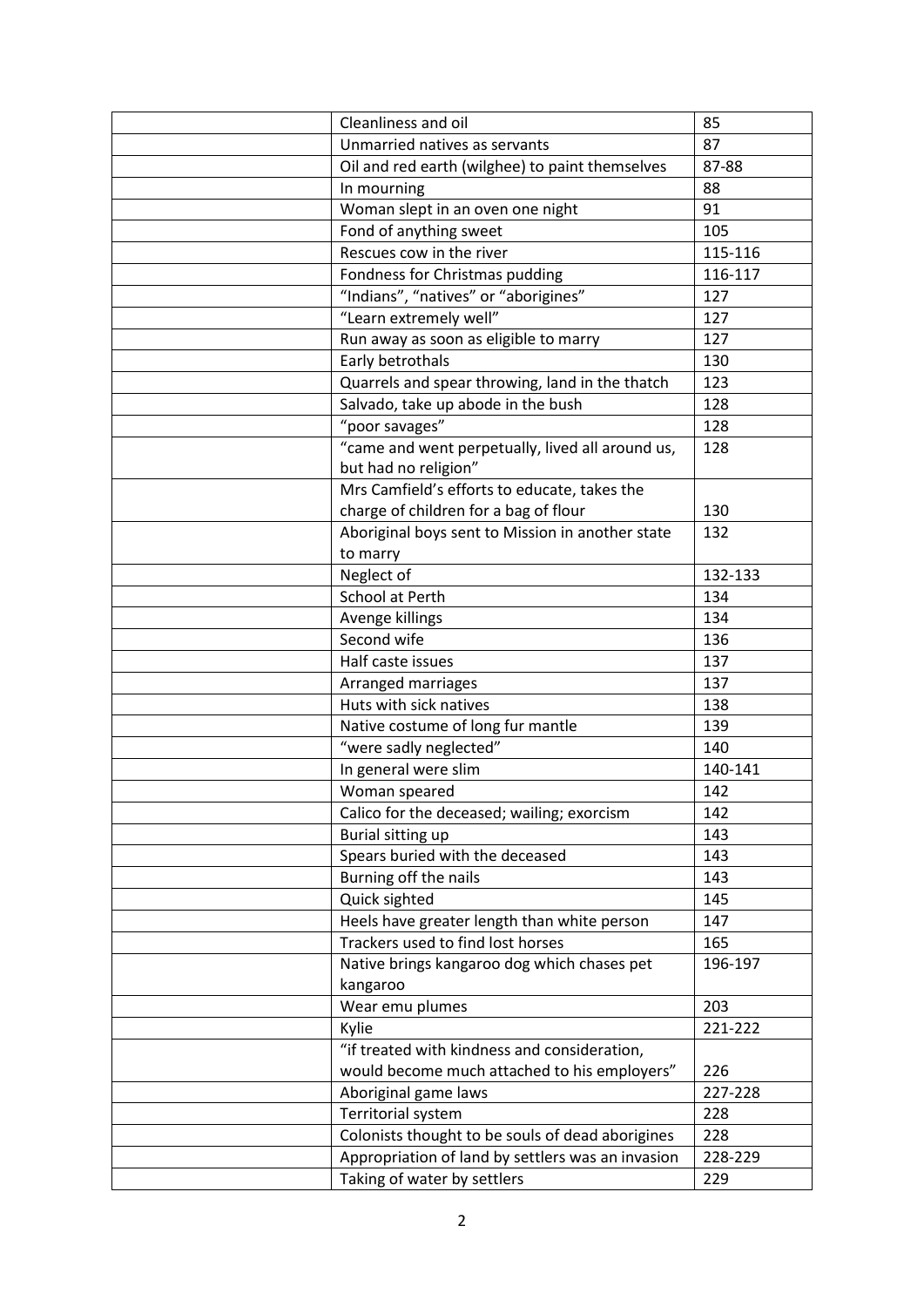| Cleanliness and oil                               | 85      |
|---------------------------------------------------|---------|
| Unmarried natives as servants                     | 87      |
| Oil and red earth (wilghee) to paint themselves   | 87-88   |
| In mourning                                       | 88      |
| Woman slept in an oven one night                  | 91      |
| Fond of anything sweet                            | 105     |
| Rescues cow in the river                          | 115-116 |
| Fondness for Christmas pudding                    | 116-117 |
| "Indians", "natives" or "aborigines"              | 127     |
| "Learn extremely well"                            | 127     |
| Run away as soon as eligible to marry             | 127     |
| Early betrothals                                  | 130     |
| Quarrels and spear throwing, land in the thatch   | 123     |
| Salvado, take up abode in the bush                | 128     |
| "poor savages"                                    | 128     |
| "came and went perpetually, lived all around us,  | 128     |
| but had no religion"                              |         |
| Mrs Camfield's efforts to educate, takes the      |         |
| charge of children for a bag of flour             | 130     |
| Aboriginal boys sent to Mission in another state  | 132     |
| to marry                                          |         |
| Neglect of                                        | 132-133 |
| School at Perth                                   | 134     |
| Avenge killings                                   | 134     |
| Second wife                                       | 136     |
| Half caste issues                                 | 137     |
| Arranged marriages                                | 137     |
| Huts with sick natives                            | 138     |
| Native costume of long fur mantle                 | 139     |
| "were sadly neglected"                            | 140     |
| In general were slim                              | 140-141 |
| Woman speared                                     | 142     |
| Calico for the deceased; wailing; exorcism        | 142     |
| Burial sitting up                                 | 143     |
| Spears buried with the deceased                   | 143     |
| Burning off the nails                             | 143     |
| Quick sighted                                     | 145     |
| Heels have greater length than white person       | 147     |
| Trackers used to find lost horses                 | 165     |
| Native brings kangaroo dog which chases pet       | 196-197 |
| kangaroo                                          |         |
| Wear emu plumes                                   | 203     |
| Kylie                                             | 221-222 |
| "if treated with kindness and consideration,      |         |
| would become much attached to his employers"      | 226     |
| Aboriginal game laws                              | 227-228 |
| Territorial system                                | 228     |
| Colonists thought to be souls of dead aborigines  | 228     |
| Appropriation of land by settlers was an invasion | 228-229 |
| Taking of water by settlers                       | 229     |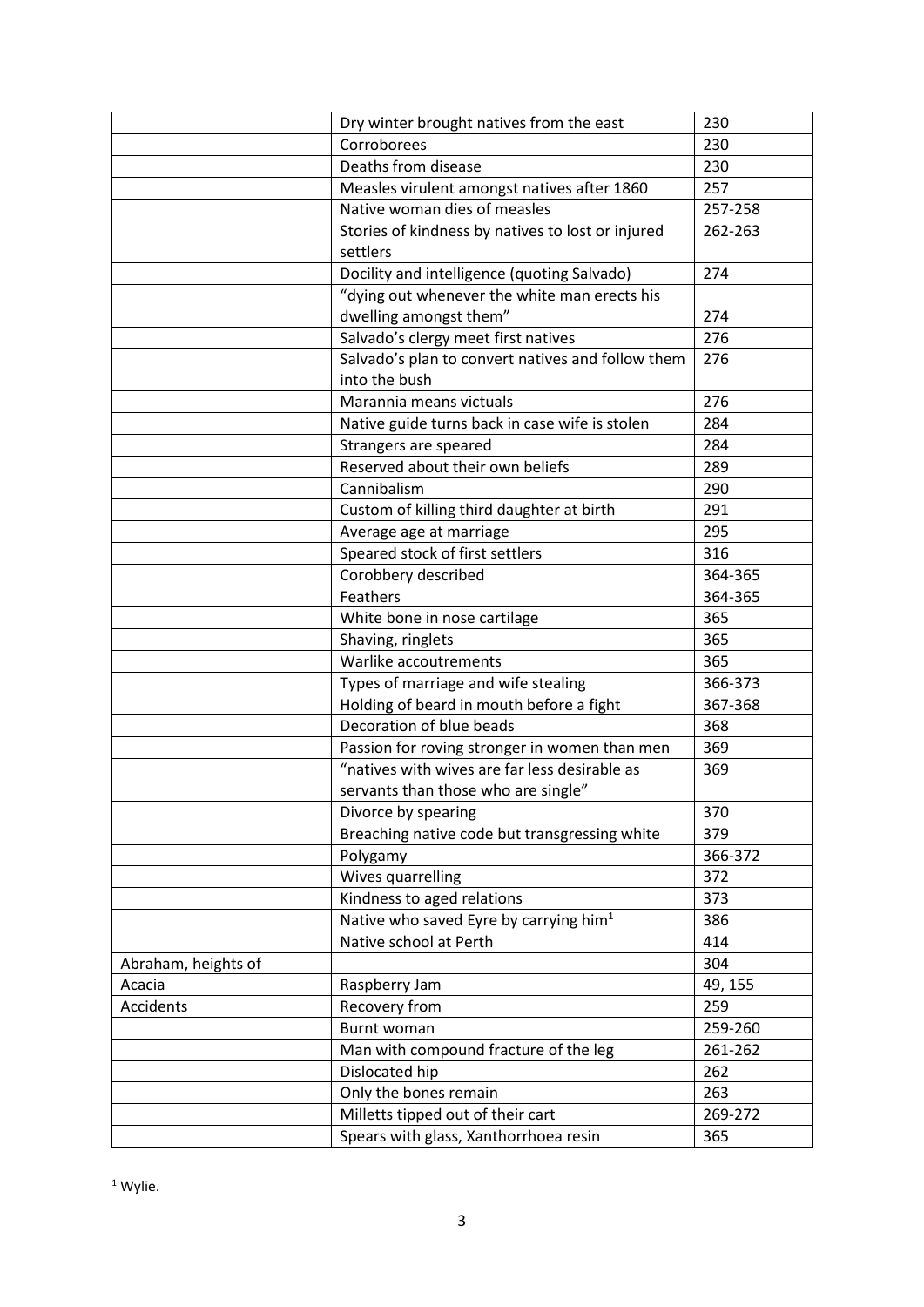|                     | Dry winter brought natives from the east           | 230     |
|---------------------|----------------------------------------------------|---------|
|                     | Corroborees                                        | 230     |
|                     | Deaths from disease                                | 230     |
|                     | Measles virulent amongst natives after 1860        | 257     |
|                     | Native woman dies of measles                       | 257-258 |
|                     | Stories of kindness by natives to lost or injured  | 262-263 |
|                     | settlers                                           |         |
|                     | Docility and intelligence (quoting Salvado)        | 274     |
|                     | "dying out whenever the white man erects his       |         |
|                     | dwelling amongst them"                             | 274     |
|                     | Salvado's clergy meet first natives                | 276     |
|                     | Salvado's plan to convert natives and follow them  | 276     |
|                     | into the bush                                      |         |
|                     | Marannia means victuals                            | 276     |
|                     | Native guide turns back in case wife is stolen     | 284     |
|                     | Strangers are speared                              | 284     |
|                     | Reserved about their own beliefs                   | 289     |
|                     | Cannibalism                                        | 290     |
|                     | Custom of killing third daughter at birth          | 291     |
|                     | Average age at marriage                            | 295     |
|                     | Speared stock of first settlers                    | 316     |
|                     | Corobbery described                                | 364-365 |
|                     | Feathers                                           | 364-365 |
|                     | White bone in nose cartilage                       | 365     |
|                     | Shaving, ringlets                                  | 365     |
|                     | Warlike accoutrements                              | 365     |
|                     | Types of marriage and wife stealing                | 366-373 |
|                     | Holding of beard in mouth before a fight           | 367-368 |
|                     | Decoration of blue beads                           | 368     |
|                     | Passion for roving stronger in women than men      | 369     |
|                     | "natives with wives are far less desirable as      | 369     |
|                     | servants than those who are single"                |         |
|                     | Divorce by spearing                                | 370     |
|                     | Breaching native code but transgressing white      | 379     |
|                     | Polygamy                                           | 366-372 |
|                     | Wives quarrelling                                  | 372     |
|                     | Kindness to aged relations                         | 373     |
|                     | Native who saved Eyre by carrying him <sup>1</sup> | 386     |
|                     | Native school at Perth                             | 414     |
| Abraham, heights of |                                                    | 304     |
| Acacia              | Raspberry Jam                                      | 49, 155 |
| Accidents           | Recovery from                                      | 259     |
|                     | Burnt woman                                        | 259-260 |
|                     | Man with compound fracture of the leg              | 261-262 |
|                     | Dislocated hip                                     | 262     |
|                     | Only the bones remain                              | 263     |
|                     | Milletts tipped out of their cart                  | 269-272 |
|                     | Spears with glass, Xanthorrhoea resin              | 365     |

<sup>1</sup> Wylie.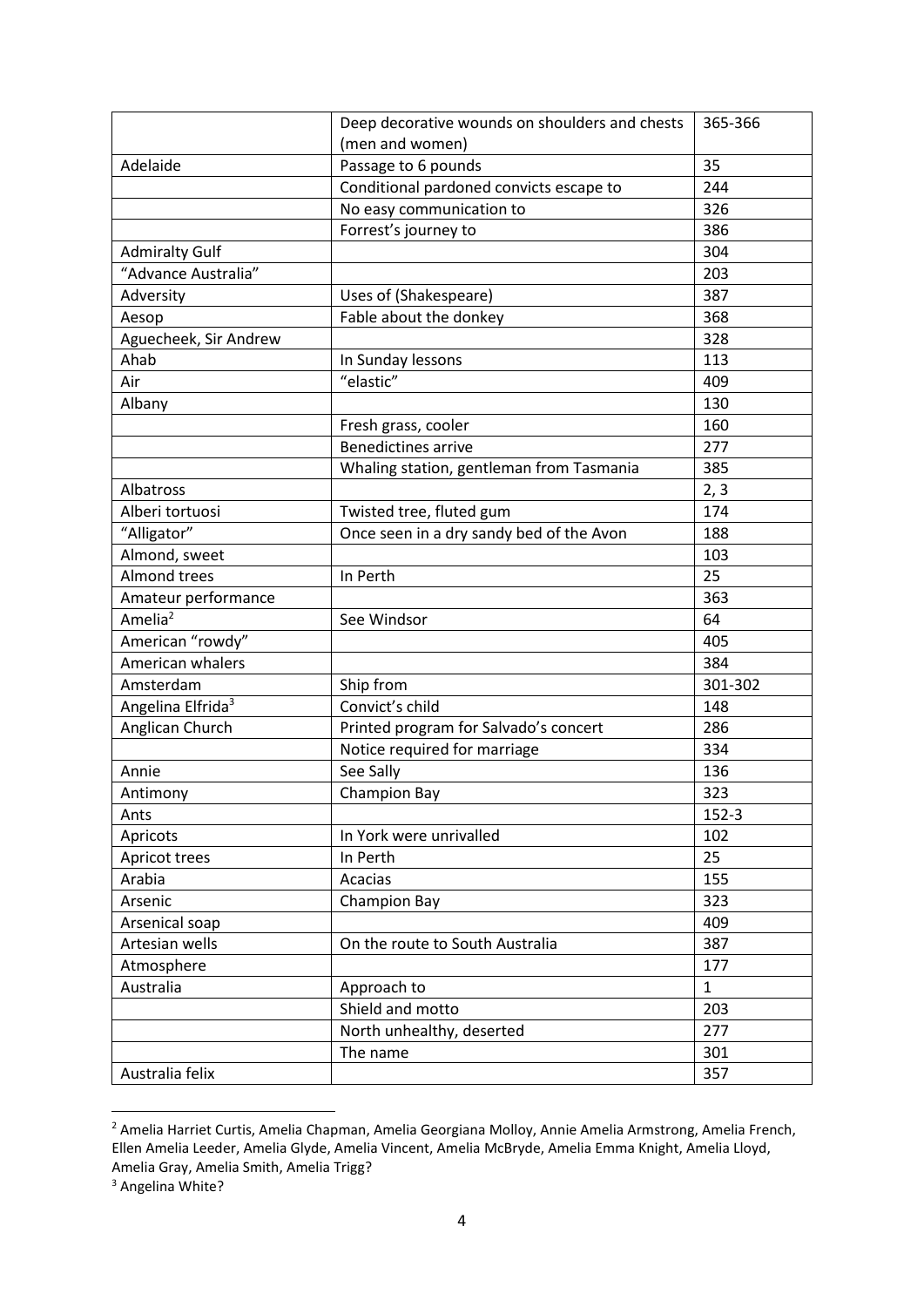|                               | Deep decorative wounds on shoulders and chests | 365-366      |
|-------------------------------|------------------------------------------------|--------------|
|                               | (men and women)                                |              |
| Adelaide                      | Passage to 6 pounds                            | 35           |
|                               | Conditional pardoned convicts escape to        | 244          |
|                               | No easy communication to                       | 326          |
|                               | Forrest's journey to                           | 386          |
| <b>Admiralty Gulf</b>         |                                                | 304          |
| "Advance Australia"           |                                                | 203          |
| Adversity                     | Uses of (Shakespeare)                          | 387          |
| Aesop                         | Fable about the donkey                         | 368          |
| Aguecheek, Sir Andrew         |                                                | 328          |
| Ahab                          | In Sunday lessons                              | 113          |
| Air                           | "elastic"                                      | 409          |
| Albany                        |                                                | 130          |
|                               | Fresh grass, cooler                            | 160          |
|                               | <b>Benedictines arrive</b>                     | 277          |
|                               | Whaling station, gentleman from Tasmania       | 385          |
| Albatross                     |                                                | 2, 3         |
| Alberi tortuosi               | Twisted tree, fluted gum                       | 174          |
| "Alligator"                   | Once seen in a dry sandy bed of the Avon       | 188          |
| Almond, sweet                 |                                                | 103          |
| <b>Almond trees</b>           | In Perth                                       | 25           |
| Amateur performance           |                                                | 363          |
| Amelia <sup>2</sup>           | See Windsor                                    | 64           |
| American "rowdy"              |                                                | 405          |
| American whalers              |                                                | 384          |
| Amsterdam                     | Ship from                                      | 301-302      |
| Angelina Elfrida <sup>3</sup> | Convict's child                                | 148          |
| Anglican Church               | Printed program for Salvado's concert          | 286          |
|                               | Notice required for marriage                   | 334          |
| Annie                         | See Sally                                      | 136          |
| Antimony                      | Champion Bay                                   | 323          |
| Ants                          |                                                | $152-3$      |
| Apricots                      | In York were unrivalled                        | 102          |
| Apricot trees                 | In Perth                                       | 25           |
| Arabia                        | Acacias                                        | 155          |
| Arsenic                       | <b>Champion Bay</b>                            | 323          |
| Arsenical soap                |                                                | 409          |
| Artesian wells                | On the route to South Australia                | 387          |
| Atmosphere                    |                                                | 177          |
| Australia                     | Approach to                                    | $\mathbf{1}$ |
|                               | Shield and motto                               | 203          |
|                               | North unhealthy, deserted                      | 277          |
|                               | The name                                       | 301          |
| Australia felix               |                                                | 357          |

<sup>&</sup>lt;sup>2</sup> Amelia Harriet Curtis, Amelia Chapman, Amelia Georgiana Molloy, Annie Amelia Armstrong, Amelia French, Ellen Amelia Leeder, Amelia Glyde, Amelia Vincent, Amelia McBryde, Amelia Emma Knight, Amelia Lloyd, Amelia Gray, Amelia Smith, Amelia Trigg?

1

<sup>&</sup>lt;sup>3</sup> Angelina White?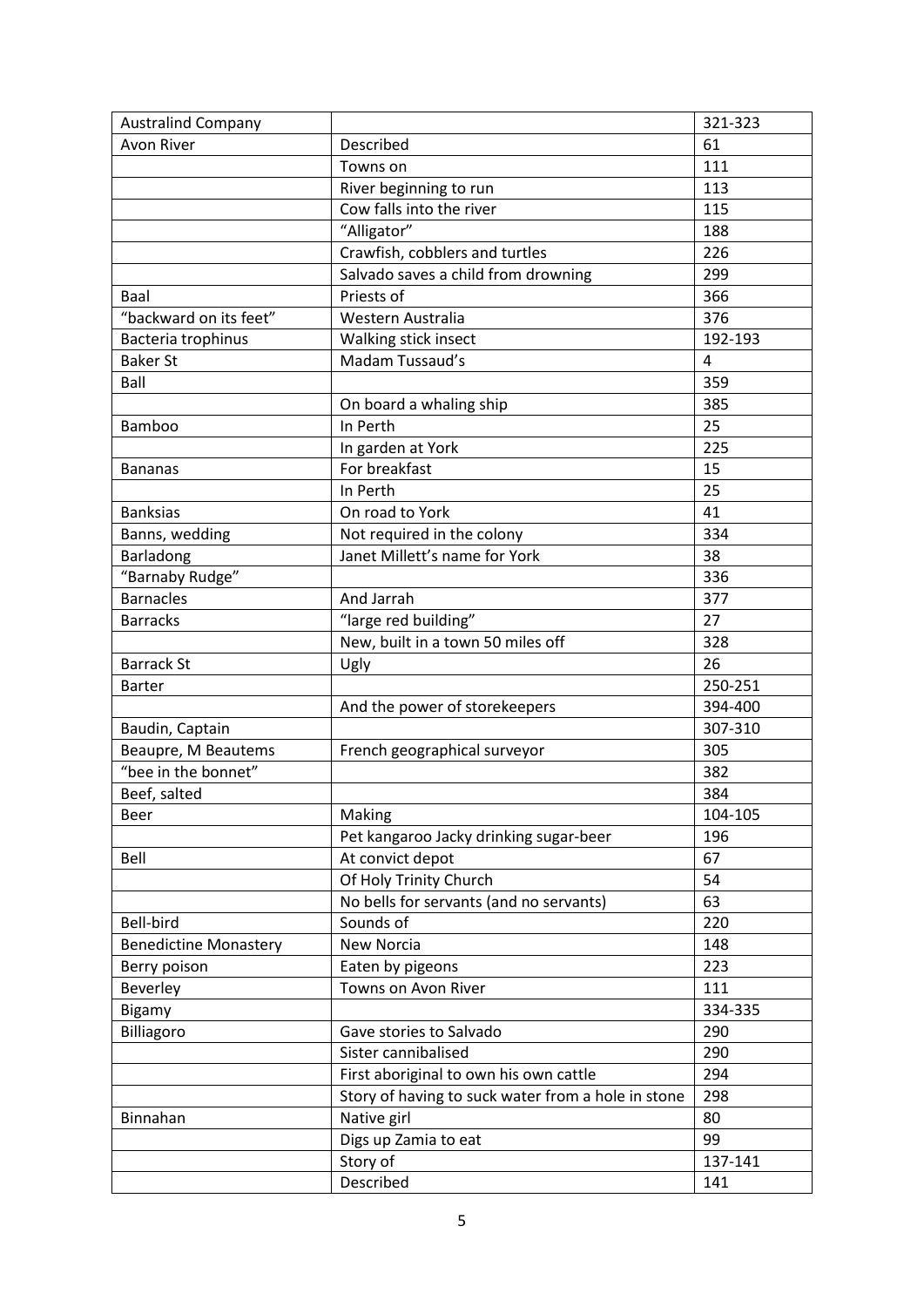| <b>Australind Company</b>    |                                                    | 321-323        |
|------------------------------|----------------------------------------------------|----------------|
| <b>Avon River</b>            | Described                                          | 61             |
|                              | Towns on                                           | 111            |
|                              | River beginning to run                             | 113            |
|                              | Cow falls into the river                           | 115            |
|                              | "Alligator"                                        | 188            |
|                              | Crawfish, cobblers and turtles                     | 226            |
|                              | Salvado saves a child from drowning                | 299            |
| Baal                         | Priests of                                         | 366            |
| "backward on its feet"       | Western Australia                                  | 376            |
| Bacteria trophinus           | Walking stick insect                               | 192-193        |
| <b>Baker St</b>              | Madam Tussaud's                                    | $\overline{4}$ |
| Ball                         |                                                    | 359            |
|                              | On board a whaling ship                            | 385            |
| Bamboo                       | In Perth                                           | 25             |
|                              | In garden at York                                  | 225            |
| <b>Bananas</b>               | For breakfast                                      | 15             |
|                              | In Perth                                           | 25             |
| <b>Banksias</b>              | On road to York                                    | 41             |
| Banns, wedding               | Not required in the colony                         | 334            |
| Barladong                    | Janet Millett's name for York                      | 38             |
| "Barnaby Rudge"              |                                                    | 336            |
| <b>Barnacles</b>             | And Jarrah                                         | 377            |
| <b>Barracks</b>              | "large red building"                               | 27             |
|                              | New, built in a town 50 miles off                  | 328            |
| <b>Barrack St</b>            | Ugly                                               | 26             |
| <b>Barter</b>                |                                                    | 250-251        |
|                              | And the power of storekeepers                      | 394-400        |
| Baudin, Captain              |                                                    | 307-310        |
| Beaupre, M Beautems          | French geographical surveyor                       | 305            |
| "bee in the bonnet"          |                                                    | 382            |
| Beef, salted                 |                                                    | 384            |
| Beer                         | Making                                             | 104-105        |
|                              | Pet kangaroo Jacky drinking sugar-beer             | 196            |
| Bell                         | At convict depot                                   | 67             |
|                              | Of Holy Trinity Church                             | 54             |
|                              | No bells for servants (and no servants)            | 63             |
| Bell-bird                    | Sounds of                                          | 220            |
| <b>Benedictine Monastery</b> | <b>New Norcia</b>                                  | 148            |
| Berry poison                 | Eaten by pigeons                                   | 223            |
| Beverley                     | Towns on Avon River                                | 111            |
| Bigamy                       |                                                    | 334-335        |
| Billiagoro                   | Gave stories to Salvado                            | 290            |
|                              | Sister cannibalised                                | 290            |
|                              | First aboriginal to own his own cattle             | 294            |
|                              | Story of having to suck water from a hole in stone | 298            |
| Binnahan                     | Native girl                                        | 80             |
|                              | Digs up Zamia to eat                               | 99             |
|                              | Story of                                           | 137-141        |
|                              | Described                                          |                |
|                              |                                                    | 141            |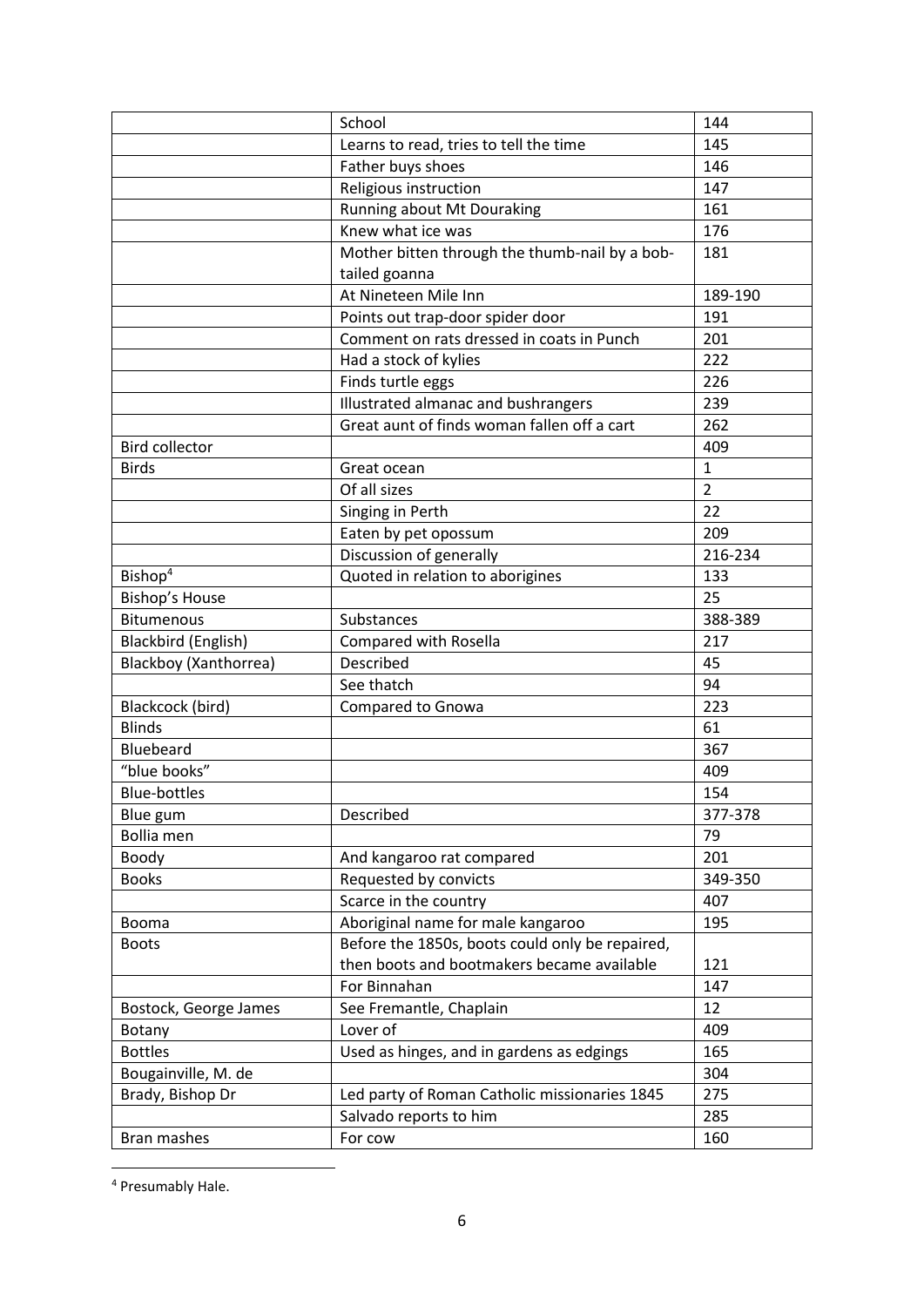|                       | School                                          | 144            |
|-----------------------|-------------------------------------------------|----------------|
|                       | Learns to read, tries to tell the time          | 145            |
|                       | Father buys shoes                               | 146            |
|                       | Religious instruction                           | 147            |
|                       | Running about Mt Douraking                      | 161            |
|                       | Knew what ice was                               | 176            |
|                       | Mother bitten through the thumb-nail by a bob-  | 181            |
|                       | tailed goanna                                   |                |
|                       | At Nineteen Mile Inn                            | 189-190        |
|                       | Points out trap-door spider door                | 191            |
|                       | Comment on rats dressed in coats in Punch       | 201            |
|                       | Had a stock of kylies                           | 222            |
|                       | Finds turtle eggs                               | 226            |
|                       | Illustrated almanac and bushrangers             | 239            |
|                       | Great aunt of finds woman fallen off a cart     | 262            |
| <b>Bird collector</b> |                                                 | 409            |
| <b>Birds</b>          | Great ocean                                     | $\mathbf{1}$   |
|                       | Of all sizes                                    | $\overline{2}$ |
|                       | Singing in Perth                                | 22             |
|                       | Eaten by pet opossum                            | 209            |
|                       | Discussion of generally                         | 216-234        |
| Bishop <sup>4</sup>   | Quoted in relation to aborigines                | 133            |
| Bishop's House        |                                                 | 25             |
| <b>Bitumenous</b>     | Substances                                      | 388-389        |
| Blackbird (English)   | Compared with Rosella                           | 217            |
| Blackboy (Xanthorrea) | Described                                       | 45             |
|                       | See thatch                                      | 94             |
| Blackcock (bird)      | Compared to Gnowa                               | 223            |
| <b>Blinds</b>         |                                                 | 61             |
| Bluebeard             |                                                 | 367            |
| "blue books"          |                                                 | 409            |
| <b>Blue-bottles</b>   |                                                 | 154            |
| Blue gum              | Described                                       | 377-378        |
| <b>Bollia</b> men     |                                                 | 79             |
| Boody                 | And kangaroo rat compared                       | 201            |
| <b>Books</b>          | Requested by convicts                           | 349-350        |
|                       | Scarce in the country                           | 407            |
| Booma                 | Aboriginal name for male kangaroo               | 195            |
| <b>Boots</b>          | Before the 1850s, boots could only be repaired, |                |
|                       | then boots and bootmakers became available      | 121            |
|                       | For Binnahan                                    | 147            |
| Bostock, George James | See Fremantle, Chaplain                         | 12             |
| Botany                | Lover of                                        | 409            |
| <b>Bottles</b>        | Used as hinges, and in gardens as edgings       | 165            |
| Bougainville, M. de   |                                                 | 304            |
| Brady, Bishop Dr      | Led party of Roman Catholic missionaries 1845   | 275            |
|                       | Salvado reports to him                          | 285            |
| Bran mashes           | For cow                                         | 160            |

<sup>4</sup> Presumably Hale.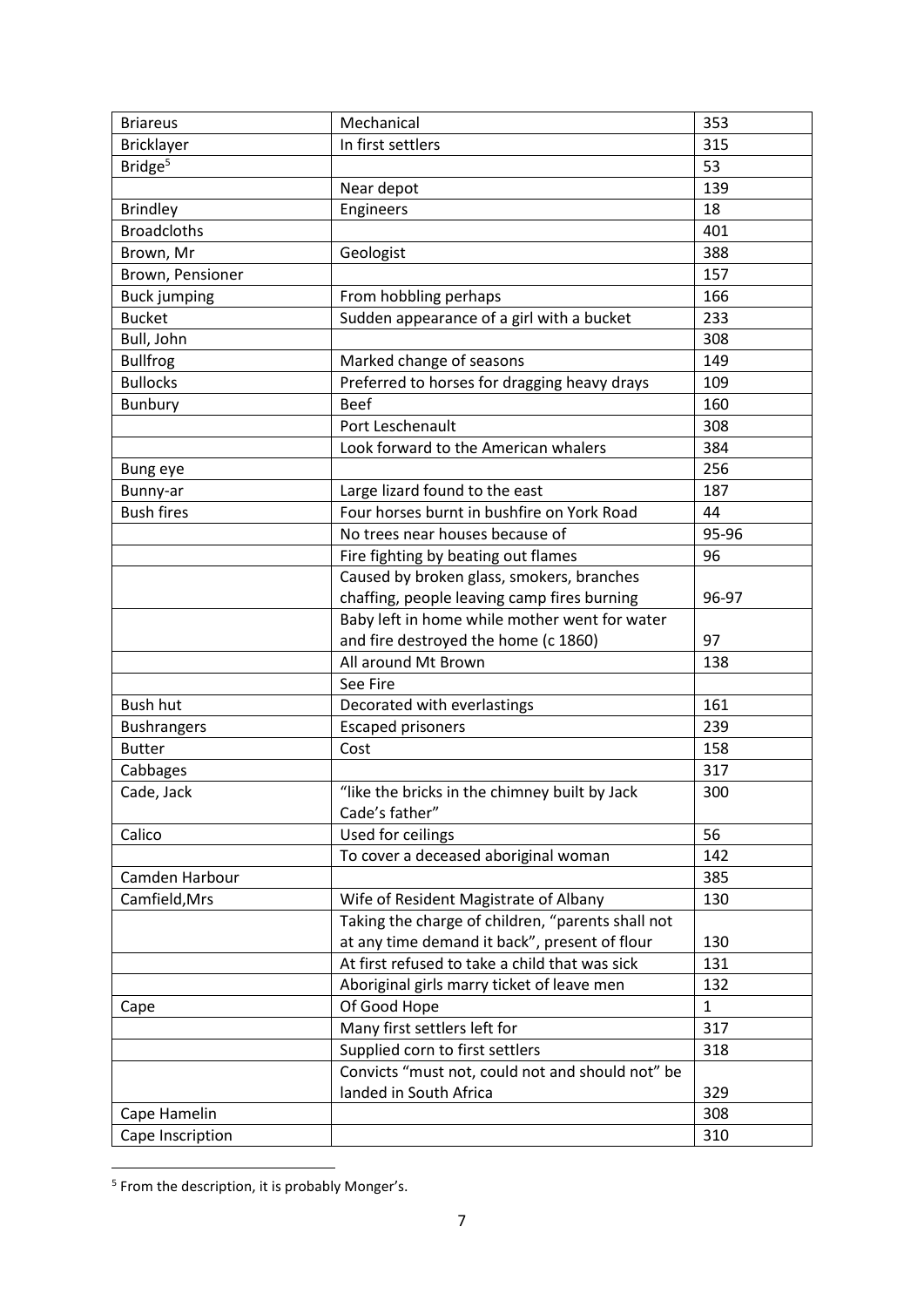| <b>Briareus</b>     | Mechanical                                        | 353          |
|---------------------|---------------------------------------------------|--------------|
| Bricklayer          | In first settlers                                 | 315          |
| Bridge <sup>5</sup> |                                                   | 53           |
|                     | Near depot                                        | 139          |
| <b>Brindley</b>     | Engineers                                         | 18           |
| <b>Broadcloths</b>  |                                                   | 401          |
| Brown, Mr           | Geologist                                         | 388          |
| Brown, Pensioner    |                                                   | 157          |
| <b>Buck jumping</b> | From hobbling perhaps                             | 166          |
| <b>Bucket</b>       | Sudden appearance of a girl with a bucket         | 233          |
| Bull, John          |                                                   | 308          |
| <b>Bullfrog</b>     | Marked change of seasons                          | 149          |
| <b>Bullocks</b>     | Preferred to horses for dragging heavy drays      | 109          |
| Bunbury             | <b>Beef</b>                                       | 160          |
|                     | Port Leschenault                                  | 308          |
|                     | Look forward to the American whalers              | 384          |
| Bung eye            |                                                   | 256          |
| Bunny-ar            | Large lizard found to the east                    | 187          |
| <b>Bush fires</b>   | Four horses burnt in bushfire on York Road        | 44           |
|                     | No trees near houses because of                   | 95-96        |
|                     | Fire fighting by beating out flames               | 96           |
|                     | Caused by broken glass, smokers, branches         |              |
|                     | chaffing, people leaving camp fires burning       | 96-97        |
|                     | Baby left in home while mother went for water     |              |
|                     | and fire destroyed the home (c 1860)              | 97           |
|                     | All around Mt Brown                               | 138          |
|                     | See Fire                                          |              |
| <b>Bush hut</b>     | Decorated with everlastings                       | 161          |
| <b>Bushrangers</b>  | <b>Escaped prisoners</b>                          | 239          |
| <b>Butter</b>       | Cost                                              | 158          |
| Cabbages            |                                                   | 317          |
| Cade, Jack          | "like the bricks in the chimney built by Jack     | 300          |
|                     | Cade's father"                                    |              |
| Calico              | Used for ceilings                                 | 56           |
|                     | To cover a deceased aboriginal woman              | 142          |
| Camden Harbour      |                                                   | 385          |
| Camfield, Mrs       | Wife of Resident Magistrate of Albany             | 130          |
|                     | Taking the charge of children, "parents shall not |              |
|                     | at any time demand it back", present of flour     | 130          |
|                     | At first refused to take a child that was sick    | 131          |
|                     | Aboriginal girls marry ticket of leave men        | 132          |
| Cape                | Of Good Hope                                      | $\mathbf{1}$ |
|                     | Many first settlers left for                      | 317          |
|                     | Supplied corn to first settlers                   | 318          |
|                     | Convicts "must not, could not and should not" be  |              |
|                     | landed in South Africa                            | 329          |
| Cape Hamelin        |                                                   | 308          |
| Cape Inscription    |                                                   | 310          |

 5 From the description, it is probably Monger's.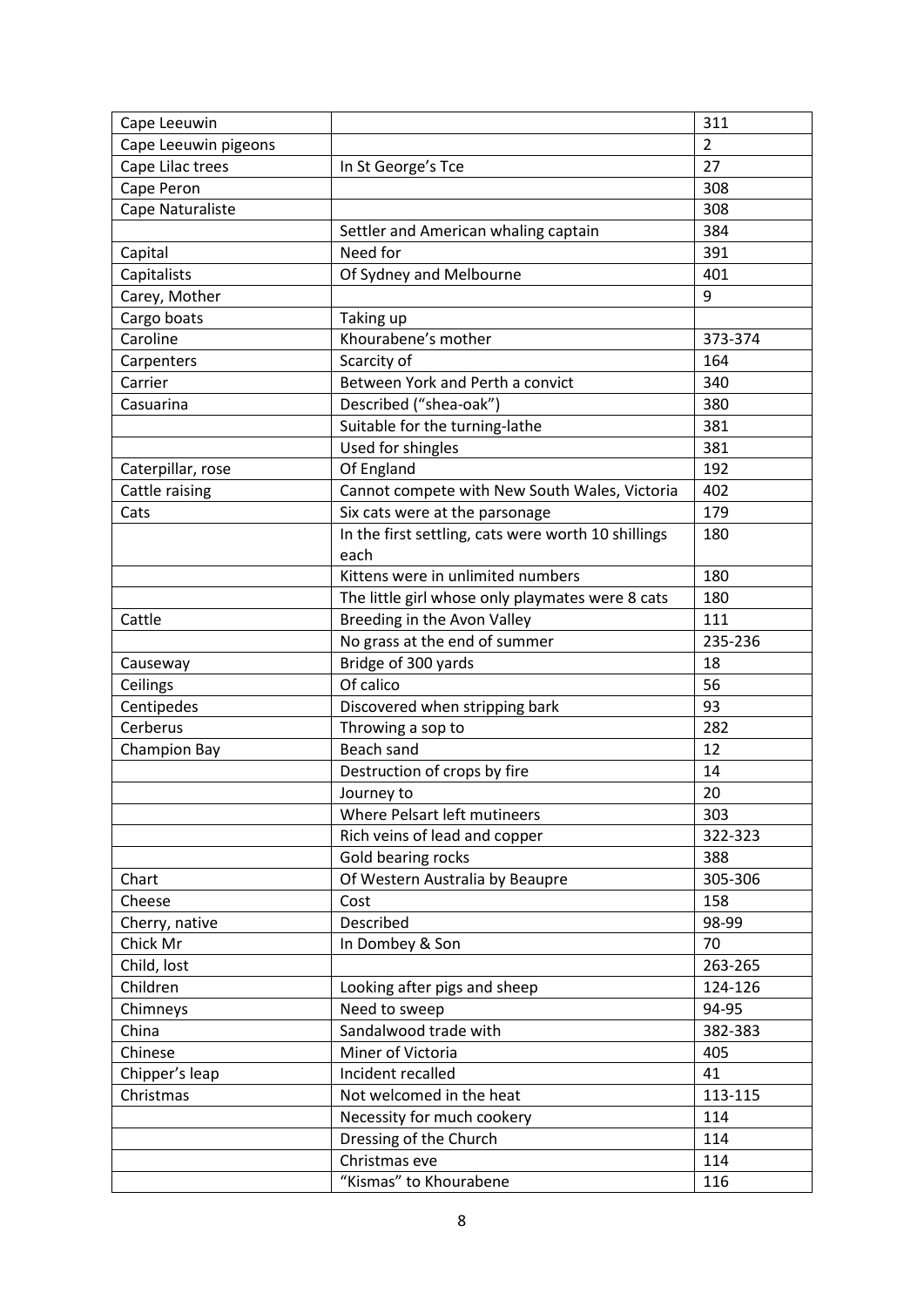| Cape Leeuwin         |                                                     | 311            |
|----------------------|-----------------------------------------------------|----------------|
| Cape Leeuwin pigeons |                                                     | $\overline{2}$ |
| Cape Lilac trees     | In St George's Tce                                  | 27             |
| Cape Peron           |                                                     | 308            |
| Cape Naturaliste     |                                                     | 308            |
|                      | Settler and American whaling captain                | 384            |
| Capital              | Need for                                            | 391            |
| Capitalists          | Of Sydney and Melbourne                             | 401            |
| Carey, Mother        |                                                     | 9              |
| Cargo boats          | Taking up                                           |                |
| Caroline             | Khourabene's mother                                 | 373-374        |
| Carpenters           | Scarcity of                                         | 164            |
| Carrier              | Between York and Perth a convict                    | 340            |
| Casuarina            | Described ("shea-oak")                              | 380            |
|                      | Suitable for the turning-lathe                      | 381            |
|                      | Used for shingles                                   | 381            |
| Caterpillar, rose    | Of England                                          | 192            |
| Cattle raising       | Cannot compete with New South Wales, Victoria       | 402            |
| Cats                 | Six cats were at the parsonage                      | 179            |
|                      | In the first settling, cats were worth 10 shillings | 180            |
|                      | each                                                |                |
|                      | Kittens were in unlimited numbers                   | 180            |
|                      | The little girl whose only playmates were 8 cats    | 180            |
| Cattle               | Breeding in the Avon Valley                         | 111            |
|                      | No grass at the end of summer                       | 235-236        |
| Causeway             | Bridge of 300 yards                                 | 18             |
| Ceilings             | Of calico                                           | 56             |
| Centipedes           | Discovered when stripping bark                      | 93             |
| Cerberus             | Throwing a sop to                                   | 282            |
| Champion Bay         | Beach sand                                          | 12             |
|                      | Destruction of crops by fire                        | 14             |
|                      | Journey to                                          | 20             |
|                      | Where Pelsart left mutineers                        | 303            |
|                      | Rich veins of lead and copper                       | 322-323        |
|                      | Gold bearing rocks                                  | 388            |
| Chart                | Of Western Australia by Beaupre                     | 305-306        |
| Cheese               | Cost                                                | 158            |
| Cherry, native       | Described                                           | 98-99          |
| Chick Mr             | In Dombey & Son                                     | 70             |
| Child, lost          |                                                     | 263-265        |
| Children             | Looking after pigs and sheep                        | 124-126        |
| Chimneys             | Need to sweep                                       | 94-95          |
| China                | Sandalwood trade with                               | 382-383        |
| Chinese              | Miner of Victoria                                   | 405            |
| Chipper's leap       | Incident recalled                                   | 41             |
| Christmas            | Not welcomed in the heat                            | 113-115        |
|                      | Necessity for much cookery                          | 114            |
|                      | Dressing of the Church                              | 114            |
|                      | Christmas eve                                       | 114            |
|                      | "Kismas" to Khourabene                              | 116            |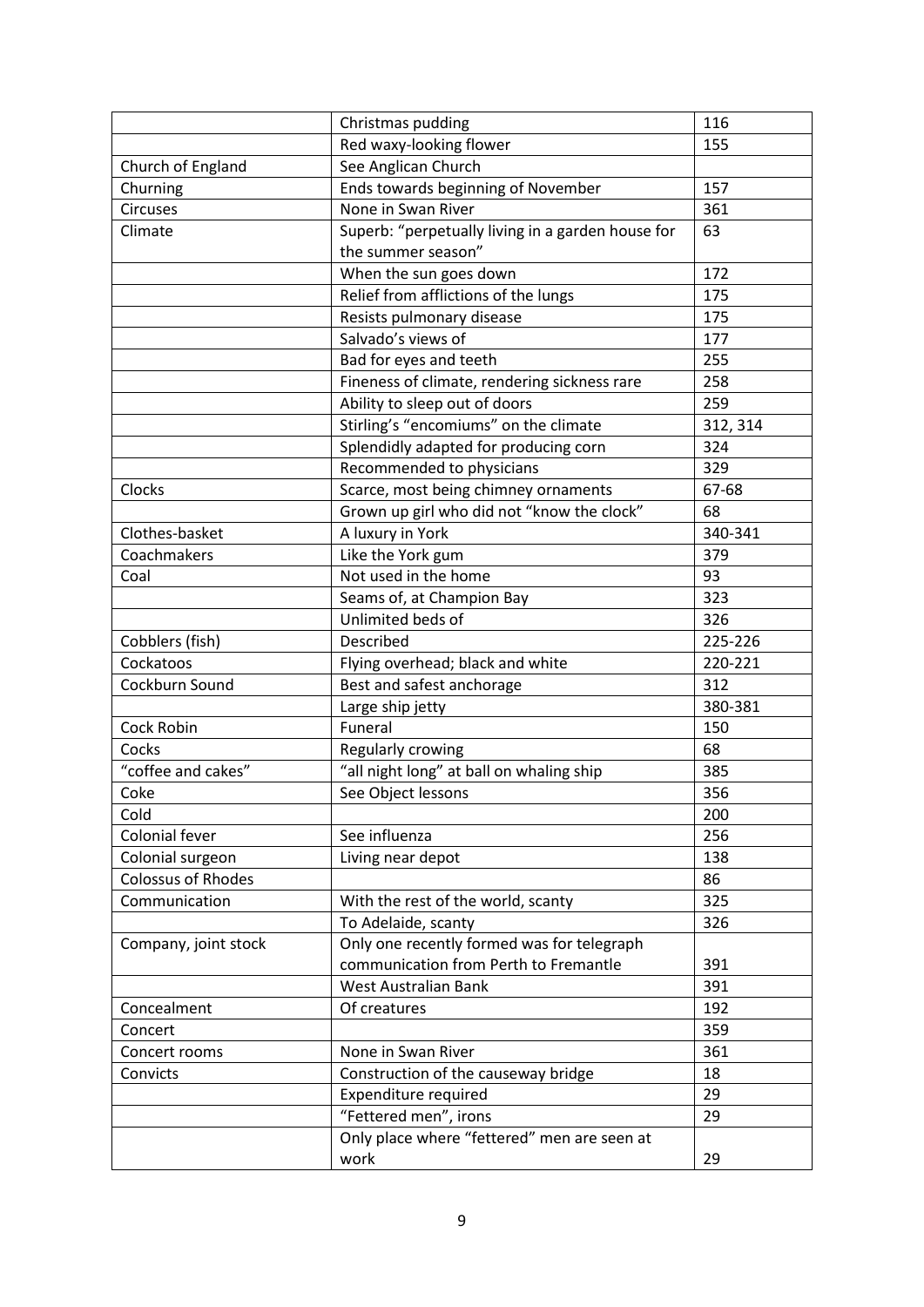|                           | Christmas pudding                                 | 116      |
|---------------------------|---------------------------------------------------|----------|
|                           | Red waxy-looking flower                           | 155      |
| Church of England         | See Anglican Church                               |          |
| Churning                  | Ends towards beginning of November                | 157      |
| <b>Circuses</b>           | None in Swan River                                | 361      |
| Climate                   | Superb: "perpetually living in a garden house for | 63       |
|                           | the summer season"                                |          |
|                           | When the sun goes down                            | 172      |
|                           | Relief from afflictions of the lungs              | 175      |
|                           | Resists pulmonary disease                         | 175      |
|                           | Salvado's views of                                | 177      |
|                           | Bad for eyes and teeth                            | 255      |
|                           | Fineness of climate, rendering sickness rare      | 258      |
|                           | Ability to sleep out of doors                     | 259      |
|                           | Stirling's "encomiums" on the climate             | 312, 314 |
|                           | Splendidly adapted for producing corn             | 324      |
|                           | Recommended to physicians                         | 329      |
| Clocks                    | Scarce, most being chimney ornaments              | 67-68    |
|                           | Grown up girl who did not "know the clock"        | 68       |
| Clothes-basket            | A luxury in York                                  | 340-341  |
| Coachmakers               | Like the York gum                                 | 379      |
| Coal                      | Not used in the home                              | 93       |
|                           | Seams of, at Champion Bay                         | 323      |
|                           | Unlimited beds of                                 | 326      |
| Cobblers (fish)           | Described                                         | 225-226  |
| Cockatoos                 | Flying overhead; black and white                  | 220-221  |
| Cockburn Sound            | Best and safest anchorage                         | 312      |
|                           | Large ship jetty                                  | 380-381  |
| Cock Robin                | Funeral                                           | 150      |
| Cocks                     | Regularly crowing                                 | 68       |
| "coffee and cakes"        | "all night long" at ball on whaling ship          | 385      |
| Coke                      | See Object lessons                                | 356      |
| Cold                      |                                                   | 200      |
| Colonial fever            | See influenza                                     | 256      |
| Colonial surgeon          | Living near depot                                 | 138      |
| <b>Colossus of Rhodes</b> |                                                   | 86       |
| Communication             | With the rest of the world, scanty                | 325      |
|                           | To Adelaide, scanty                               | 326      |
| Company, joint stock      | Only one recently formed was for telegraph        |          |
|                           | communication from Perth to Fremantle             | 391      |
|                           | West Australian Bank                              | 391      |
| Concealment               | Of creatures                                      | 192      |
| Concert                   |                                                   | 359      |
| Concert rooms             | None in Swan River                                | 361      |
| Convicts                  | Construction of the causeway bridge               | 18       |
|                           | <b>Expenditure required</b>                       | 29       |
|                           | "Fettered men", irons                             | 29       |
|                           | Only place where "fettered" men are seen at       |          |
|                           | work                                              | 29       |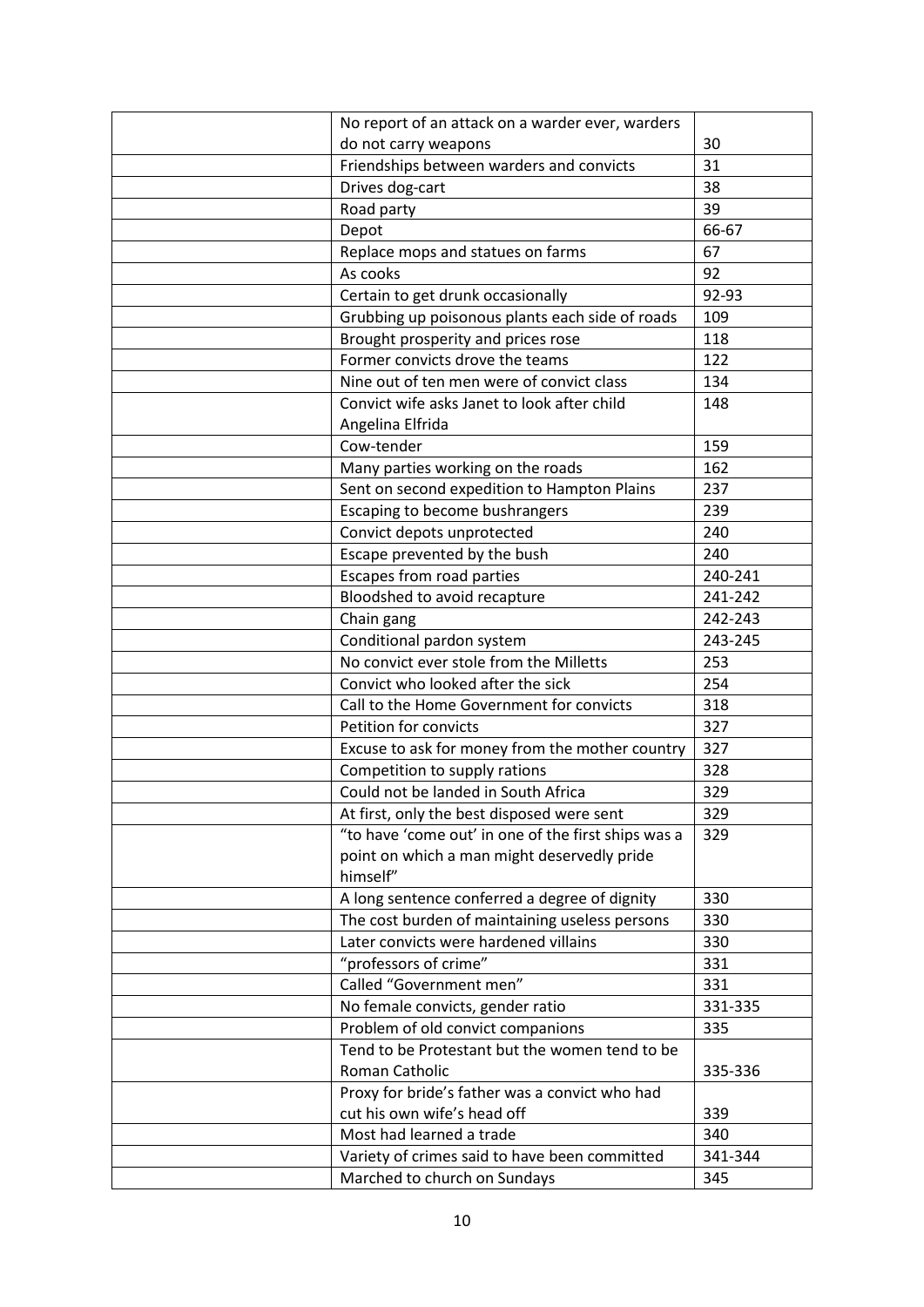| No report of an attack on a warder ever, warders                                                  |         |
|---------------------------------------------------------------------------------------------------|---------|
| do not carry weapons                                                                              | 30      |
| Friendships between warders and convicts                                                          | 31      |
| Drives dog-cart                                                                                   | 38      |
| Road party                                                                                        | 39      |
| Depot                                                                                             | 66-67   |
| Replace mops and statues on farms                                                                 | 67      |
| As cooks                                                                                          | 92      |
| Certain to get drunk occasionally                                                                 | 92-93   |
| Grubbing up poisonous plants each side of roads                                                   | 109     |
| Brought prosperity and prices rose                                                                | 118     |
| Former convicts drove the teams                                                                   | 122     |
| Nine out of ten men were of convict class                                                         | 134     |
| Convict wife asks Janet to look after child                                                       | 148     |
| Angelina Elfrida                                                                                  |         |
| Cow-tender                                                                                        | 159     |
| Many parties working on the roads                                                                 | 162     |
| Sent on second expedition to Hampton Plains                                                       | 237     |
| Escaping to become bushrangers                                                                    | 239     |
| Convict depots unprotected                                                                        | 240     |
| Escape prevented by the bush                                                                      | 240     |
| Escapes from road parties                                                                         | 240-241 |
| Bloodshed to avoid recapture                                                                      | 241-242 |
| Chain gang                                                                                        | 242-243 |
| Conditional pardon system                                                                         | 243-245 |
| No convict ever stole from the Milletts                                                           | 253     |
| Convict who looked after the sick                                                                 | 254     |
| Call to the Home Government for convicts                                                          | 318     |
| Petition for convicts                                                                             | 327     |
| Excuse to ask for money from the mother country                                                   | 327     |
| Competition to supply rations                                                                     | 328     |
| Could not be landed in South Africa                                                               | 329     |
|                                                                                                   | 329     |
| At first, only the best disposed were sent<br>"to have 'come out' in one of the first ships was a | 329     |
| point on which a man might deservedly pride                                                       |         |
| himself"                                                                                          |         |
| A long sentence conferred a degree of dignity                                                     | 330     |
| The cost burden of maintaining useless persons                                                    | 330     |
| Later convicts were hardened villains                                                             | 330     |
| "professors of crime"                                                                             | 331     |
| Called "Government men"                                                                           | 331     |
| No female convicts, gender ratio                                                                  | 331-335 |
| Problem of old convict companions                                                                 | 335     |
| Tend to be Protestant but the women tend to be                                                    |         |
| Roman Catholic                                                                                    |         |
|                                                                                                   | 335-336 |
| Proxy for bride's father was a convict who had<br>cut his own wife's head off                     | 339     |
| Most had learned a trade                                                                          | 340     |
|                                                                                                   |         |
| Variety of crimes said to have been committed                                                     | 341-344 |
| Marched to church on Sundays                                                                      | 345     |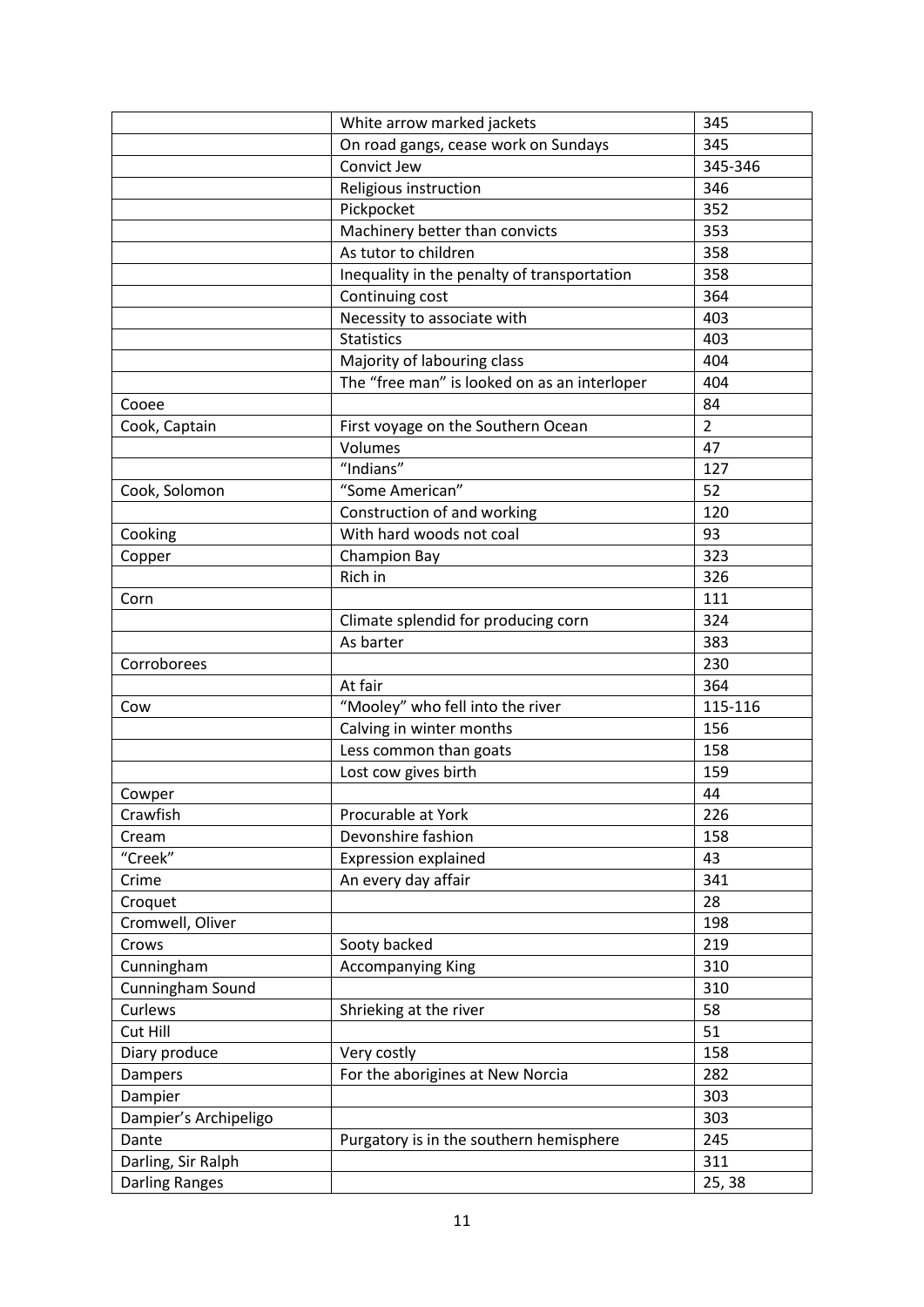|                       | White arrow marked jackets                   | 345            |
|-----------------------|----------------------------------------------|----------------|
|                       | On road gangs, cease work on Sundays         | 345            |
|                       | Convict Jew                                  | 345-346        |
|                       | Religious instruction                        | 346            |
|                       | Pickpocket                                   | 352            |
|                       | Machinery better than convicts               | 353            |
|                       | As tutor to children                         | 358            |
|                       | Inequality in the penalty of transportation  | 358            |
|                       | Continuing cost                              | 364            |
|                       | Necessity to associate with                  | 403            |
|                       | <b>Statistics</b>                            | 403            |
|                       | Majority of labouring class                  | 404            |
|                       | The "free man" is looked on as an interloper | 404            |
| Cooee                 |                                              | 84             |
| Cook, Captain         | First voyage on the Southern Ocean           | $\overline{2}$ |
|                       | Volumes                                      | 47             |
|                       | "Indians"                                    | 127            |
| Cook, Solomon         | "Some American"                              | 52             |
|                       | Construction of and working                  | 120            |
| Cooking               | With hard woods not coal                     | 93             |
| Copper                | Champion Bay                                 | 323            |
|                       | Rich in                                      | 326            |
| Corn                  |                                              | 111            |
|                       | Climate splendid for producing corn          | 324            |
|                       | As barter                                    | 383            |
| Corroborees           |                                              | 230            |
|                       | At fair                                      | 364            |
| Cow                   | "Mooley" who fell into the river             | 115-116        |
|                       | Calving in winter months                     | 156            |
|                       | Less common than goats                       | 158            |
|                       | Lost cow gives birth                         | 159            |
| Cowper                |                                              | 44             |
| Crawfish              | Procurable at York                           | 226            |
| Cream                 | Devonshire fashion                           | 158            |
| "Creek"               | <b>Expression explained</b>                  | 43             |
| Crime                 | An every day affair                          | 341            |
| Croquet               |                                              | 28             |
| Cromwell, Oliver      |                                              | 198            |
| Crows                 | Sooty backed                                 | 219            |
| Cunningham            | <b>Accompanying King</b>                     | 310            |
| Cunningham Sound      |                                              | 310            |
| Curlews               | Shrieking at the river                       | 58             |
| Cut Hill              |                                              | 51             |
| Diary produce         | Very costly                                  | 158            |
| Dampers               | For the aborigines at New Norcia             | 282            |
| Dampier               |                                              | 303            |
| Dampier's Archipeligo |                                              | 303            |
| Dante                 | Purgatory is in the southern hemisphere      | 245            |
| Darling, Sir Ralph    |                                              | 311            |
|                       |                                              |                |
| Darling Ranges        |                                              | 25, 38         |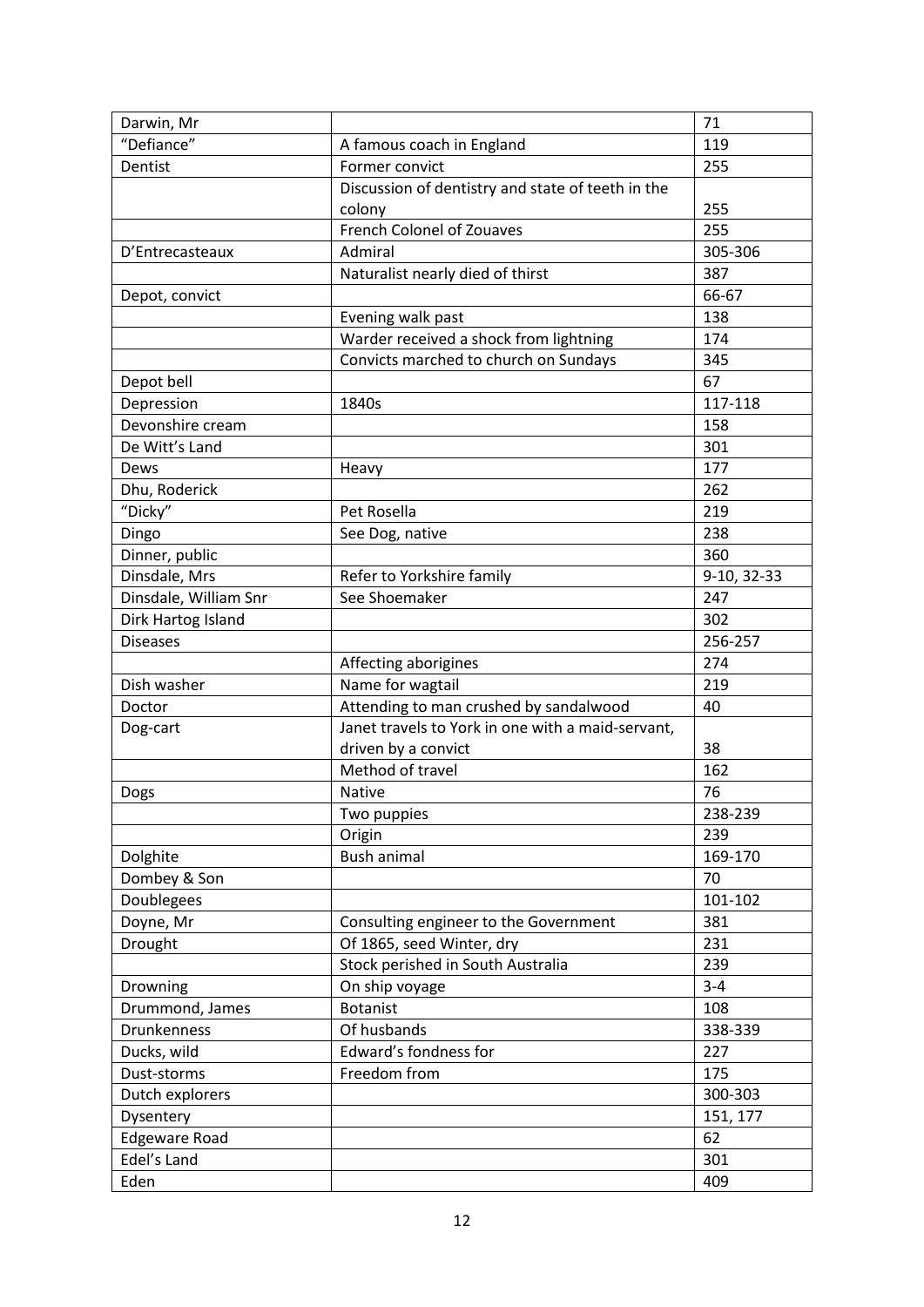| Darwin, Mr            |                                                   | 71          |
|-----------------------|---------------------------------------------------|-------------|
| "Defiance"            | A famous coach in England                         | 119         |
| Dentist               | Former convict                                    | 255         |
|                       | Discussion of dentistry and state of teeth in the |             |
|                       | colony                                            | 255         |
|                       | <b>French Colonel of Zouaves</b>                  | 255         |
| D'Entrecasteaux       | Admiral                                           | 305-306     |
|                       | Naturalist nearly died of thirst                  | 387         |
| Depot, convict        |                                                   | 66-67       |
|                       | Evening walk past                                 | 138         |
|                       | Warder received a shock from lightning            | 174         |
|                       | Convicts marched to church on Sundays             | 345         |
| Depot bell            |                                                   | 67          |
| Depression            | 1840s                                             | 117-118     |
| Devonshire cream      |                                                   | 158         |
| De Witt's Land        |                                                   | 301         |
| Dews                  | Heavy                                             | 177         |
| Dhu, Roderick         |                                                   | 262         |
| "Dicky"               | Pet Rosella                                       | 219         |
| Dingo                 | See Dog, native                                   | 238         |
| Dinner, public        |                                                   | 360         |
| Dinsdale, Mrs         | Refer to Yorkshire family                         | 9-10, 32-33 |
| Dinsdale, William Snr | See Shoemaker                                     | 247         |
| Dirk Hartog Island    |                                                   | 302         |
| <b>Diseases</b>       |                                                   | 256-257     |
|                       | Affecting aborigines                              | 274         |
| Dish washer           | Name for wagtail                                  | 219         |
| Doctor                | Attending to man crushed by sandalwood            | 40          |
| Dog-cart              | Janet travels to York in one with a maid-servant, |             |
|                       | driven by a convict                               | 38          |
|                       | Method of travel                                  | 162         |
| Dogs                  | <b>Native</b>                                     | 76          |
|                       | Two puppies                                       | 238-239     |
|                       | Origin                                            | 239         |
| Dolghite              | <b>Bush animal</b>                                | 169-170     |
| Dombey & Son          |                                                   | 70          |
| Doublegees            |                                                   | 101-102     |
| Doyne, Mr             | Consulting engineer to the Government             | 381         |
| Drought               | Of 1865, seed Winter, dry                         | 231         |
|                       | Stock perished in South Australia                 | 239         |
| Drowning              | On ship voyage                                    | $3 - 4$     |
| Drummond, James       | <b>Botanist</b>                                   | 108         |
| Drunkenness           | Of husbands                                       | 338-339     |
| Ducks, wild           | Edward's fondness for                             | 227         |
| Dust-storms           | Freedom from                                      | 175         |
| Dutch explorers       |                                                   | 300-303     |
| Dysentery             |                                                   | 151, 177    |
| <b>Edgeware Road</b>  |                                                   | 62          |
| Edel's Land           |                                                   | 301         |
| Eden                  |                                                   | 409         |
|                       |                                                   |             |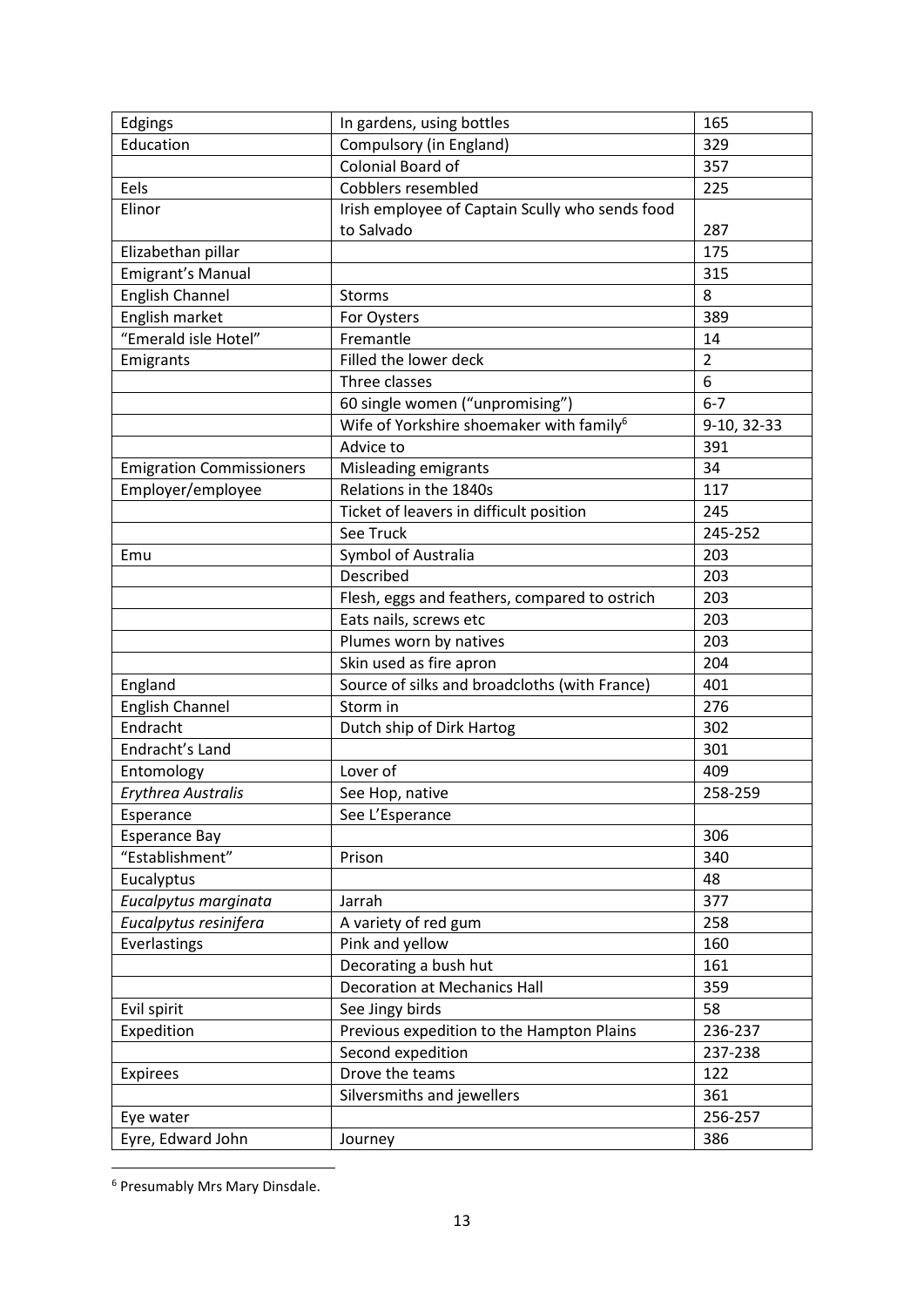| Edgings                         | In gardens, using bottles                            | 165            |
|---------------------------------|------------------------------------------------------|----------------|
| Education                       | Compulsory (in England)                              | 329            |
|                                 | Colonial Board of                                    | 357            |
| Eels                            | Cobblers resembled                                   | 225            |
| Elinor                          | Irish employee of Captain Scully who sends food      |                |
|                                 | to Salvado                                           | 287            |
| Elizabethan pillar              |                                                      | 175            |
| Emigrant's Manual               |                                                      | 315            |
| <b>English Channel</b>          | Storms                                               | 8              |
| English market                  | For Oysters                                          | 389            |
| "Emerald isle Hotel"            | Fremantle                                            | 14             |
| Emigrants                       | Filled the lower deck                                | $\overline{2}$ |
|                                 | Three classes                                        | 6              |
|                                 | 60 single women ("unpromising")                      | $6 - 7$        |
|                                 | Wife of Yorkshire shoemaker with family <sup>6</sup> | 9-10, 32-33    |
|                                 | Advice to                                            | 391            |
| <b>Emigration Commissioners</b> | Misleading emigrants                                 | 34             |
| Employer/employee               | Relations in the 1840s                               | 117            |
|                                 | Ticket of leavers in difficult position              | 245            |
|                                 | See Truck                                            | 245-252        |
| Emu                             | Symbol of Australia                                  | 203            |
|                                 | Described                                            | 203            |
|                                 | Flesh, eggs and feathers, compared to ostrich        | 203            |
|                                 | Eats nails, screws etc                               | 203            |
|                                 | Plumes worn by natives                               | 203            |
|                                 | Skin used as fire apron                              | 204            |
| England                         | Source of silks and broadcloths (with France)        | 401            |
| <b>English Channel</b>          | Storm in                                             | 276            |
| Endracht                        | Dutch ship of Dirk Hartog                            | 302            |
| Endracht's Land                 |                                                      | 301            |
| Entomology                      | Lover of                                             | 409            |
| Erythrea Australis              | See Hop, native                                      | 258-259        |
| Esperance                       | See L'Esperance                                      |                |
| <b>Esperance Bay</b>            |                                                      | 306            |
| "Establishment"                 | Prison                                               | 340            |
| Eucalyptus                      |                                                      | 48             |
| Eucalpytus marginata            | Jarrah                                               | 377            |
| Eucalpytus resinifera           | A variety of red gum                                 | 258            |
| Everlastings                    | Pink and yellow                                      | 160            |
|                                 | Decorating a bush hut                                | 161            |
|                                 | <b>Decoration at Mechanics Hall</b>                  | 359            |
| Evil spirit                     | See Jingy birds                                      | 58             |
| Expedition                      | Previous expedition to the Hampton Plains            | 236-237        |
|                                 | Second expedition                                    | 237-238        |
|                                 | Drove the teams                                      | 122            |
| <b>Expirees</b>                 |                                                      | 361            |
|                                 | Silversmiths and jewellers                           |                |
| Eye water                       |                                                      | 256-257        |
| Eyre, Edward John               | Journey                                              | 386            |

<sup>&</sup>lt;sup>6</sup> Presumably Mrs Mary Dinsdale.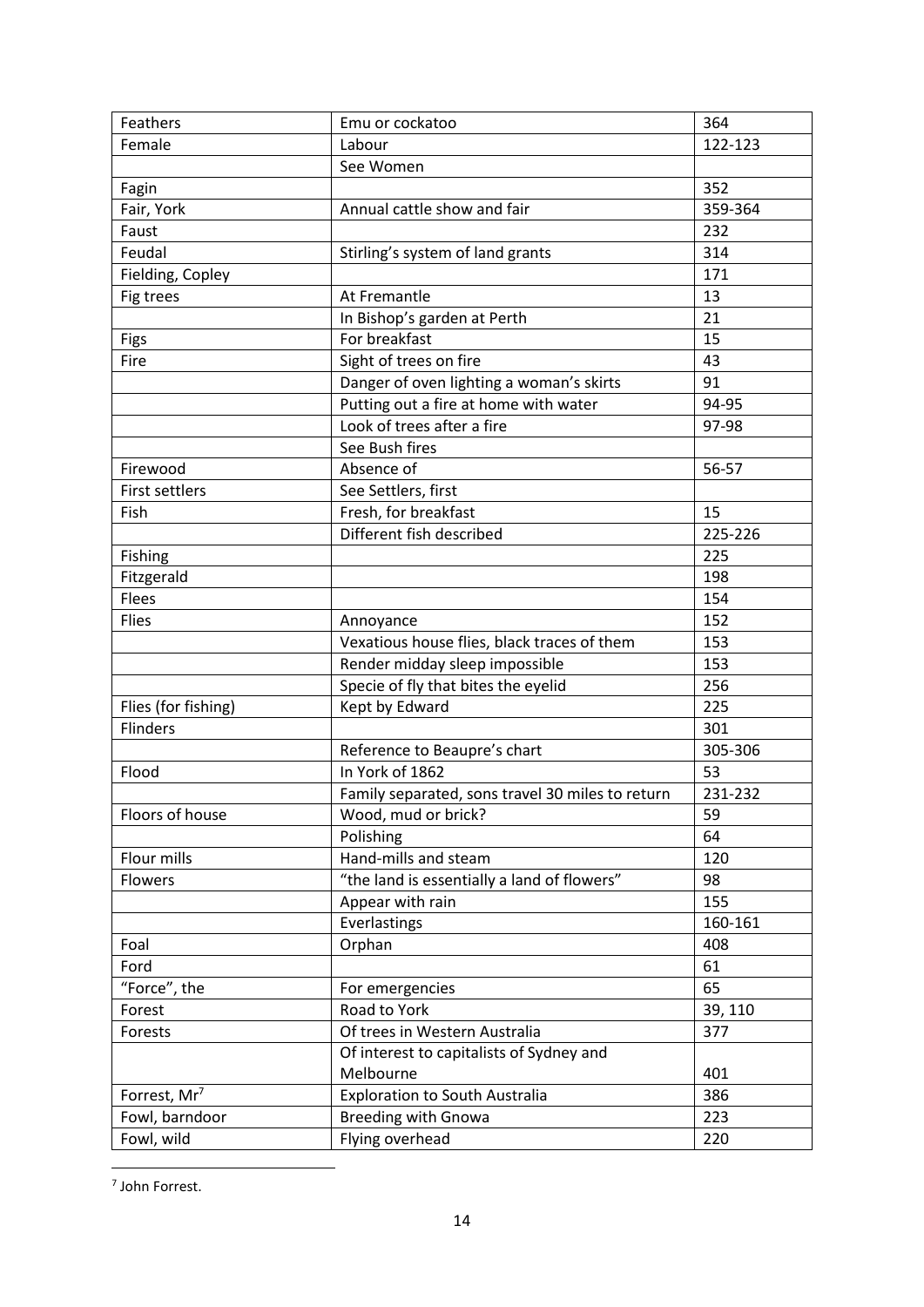| Feathers                 | Emu or cockatoo                                  | 364     |
|--------------------------|--------------------------------------------------|---------|
| Female                   | Labour                                           | 122-123 |
|                          | See Women                                        |         |
| Fagin                    |                                                  | 352     |
| Fair, York               | Annual cattle show and fair                      | 359-364 |
| Faust                    |                                                  | 232     |
| Feudal                   | Stirling's system of land grants                 | 314     |
| Fielding, Copley         |                                                  | 171     |
| Fig trees                | At Fremantle                                     | 13      |
|                          | In Bishop's garden at Perth                      | 21      |
| Figs                     | For breakfast                                    | 15      |
| Fire                     | Sight of trees on fire                           | 43      |
|                          | Danger of oven lighting a woman's skirts         | 91      |
|                          | Putting out a fire at home with water            | 94-95   |
|                          | Look of trees after a fire                       | 97-98   |
|                          | See Bush fires                                   |         |
| Firewood                 | Absence of                                       | 56-57   |
| First settlers           | See Settlers, first                              |         |
| Fish                     | Fresh, for breakfast                             | 15      |
|                          | Different fish described                         | 225-226 |
| Fishing                  |                                                  | 225     |
| Fitzgerald               |                                                  | 198     |
| Flees                    |                                                  | 154     |
| Flies                    | Annoyance                                        | 152     |
|                          | Vexatious house flies, black traces of them      | 153     |
|                          | Render midday sleep impossible                   | 153     |
|                          | Specie of fly that bites the eyelid              | 256     |
| Flies (for fishing)      | Kept by Edward                                   | 225     |
| <b>Flinders</b>          |                                                  | 301     |
|                          | Reference to Beaupre's chart                     | 305-306 |
| Flood                    | In York of 1862                                  | 53      |
|                          | Family separated, sons travel 30 miles to return | 231-232 |
| Floors of house          | Wood, mud or brick?                              | 59      |
|                          | Polishing                                        | 64      |
| Flour mills              | Hand-mills and steam                             | 120     |
| Flowers                  | "the land is essentially a land of flowers"      | 98      |
|                          | Appear with rain                                 | 155     |
|                          | Everlastings                                     | 160-161 |
| Foal                     | Orphan                                           | 408     |
| Ford                     |                                                  | 61      |
| "Force", the             | For emergencies                                  | 65      |
| Forest                   | Road to York                                     | 39, 110 |
| Forests                  | Of trees in Western Australia                    | 377     |
|                          | Of interest to capitalists of Sydney and         |         |
|                          | Melbourne                                        | 401     |
| Forrest, Mr <sup>7</sup> | <b>Exploration to South Australia</b>            | 386     |
| Fowl, barndoor           | <b>Breeding with Gnowa</b>                       | 223     |
| Fowl, wild               | Flying overhead                                  | 220     |

7 John Forrest.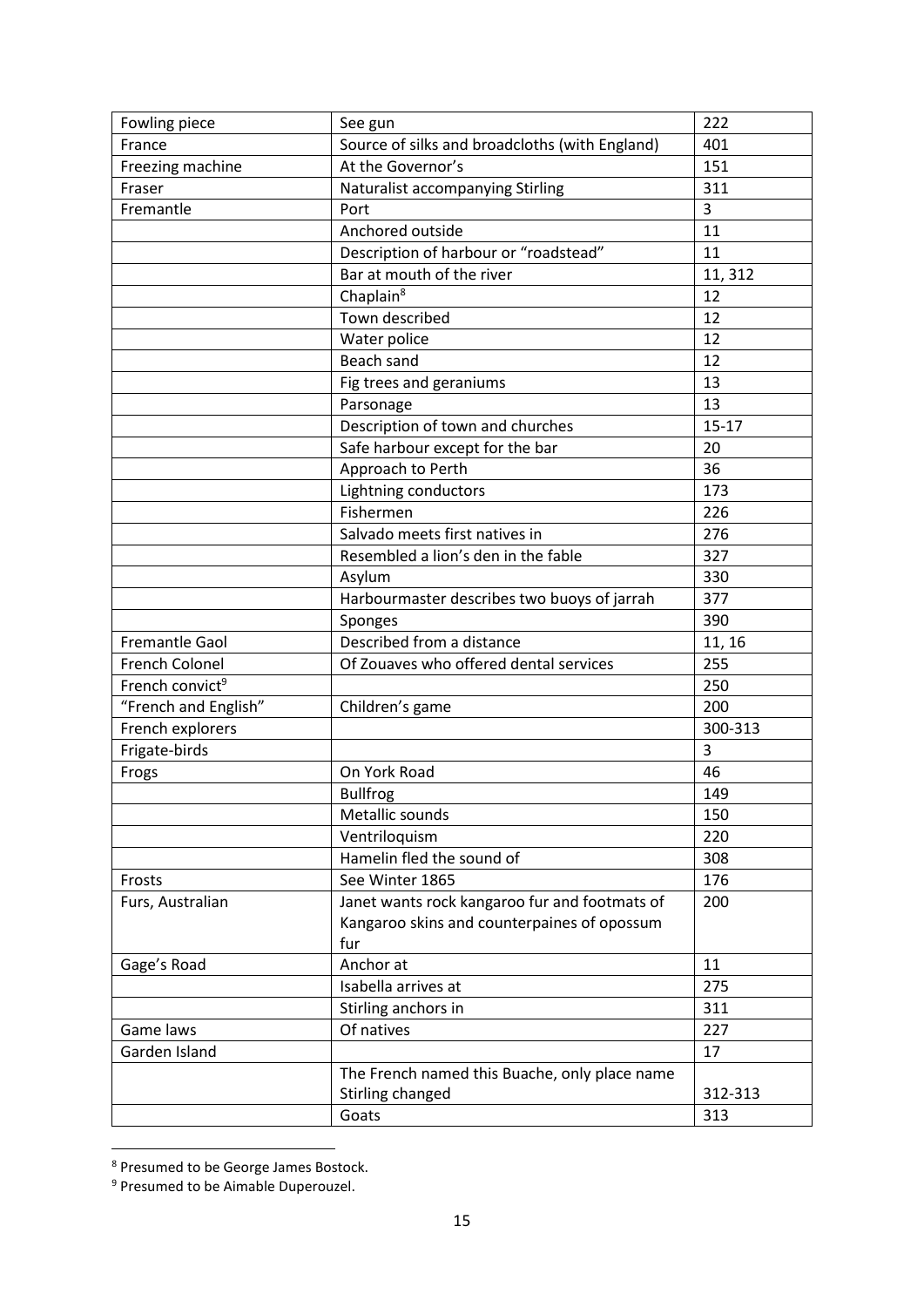| Fowling piece               | See gun                                        | 222       |
|-----------------------------|------------------------------------------------|-----------|
| France                      | Source of silks and broadcloths (with England) | 401       |
| Freezing machine            | At the Governor's                              | 151       |
| Fraser                      | Naturalist accompanying Stirling               | 311       |
| Fremantle                   | Port                                           | 3         |
|                             | Anchored outside                               | 11        |
|                             | Description of harbour or "roadstead"          | 11        |
|                             | Bar at mouth of the river                      | 11, 312   |
|                             | Chaplain <sup>8</sup>                          | 12        |
|                             | Town described                                 | 12        |
|                             | Water police                                   | 12        |
|                             | Beach sand                                     | 12        |
|                             | Fig trees and geraniums                        | 13        |
|                             | Parsonage                                      | 13        |
|                             | Description of town and churches               | $15 - 17$ |
|                             | Safe harbour except for the bar                | 20        |
|                             | Approach to Perth                              | 36        |
|                             | Lightning conductors                           | 173       |
|                             | Fishermen                                      | 226       |
|                             | Salvado meets first natives in                 | 276       |
|                             | Resembled a lion's den in the fable            | 327       |
|                             | Asylum                                         | 330       |
|                             | Harbourmaster describes two buoys of jarrah    | 377       |
|                             | Sponges                                        | 390       |
| Fremantle Gaol              | Described from a distance                      | 11, 16    |
| French Colonel              | Of Zouaves who offered dental services         | 255       |
| French convict <sup>9</sup> |                                                | 250       |
| "French and English"        | Children's game                                | 200       |
| French explorers            |                                                | 300-313   |
| Frigate-birds               |                                                | 3         |
| Frogs                       | On York Road                                   | 46        |
|                             | <b>Bullfrog</b>                                | 149       |
|                             | Metallic sounds                                | 150       |
|                             | Ventriloquism                                  | 220       |
|                             | Hamelin fled the sound of                      | 308       |
| Frosts                      | See Winter 1865                                | 176       |
| Furs, Australian            | Janet wants rock kangaroo fur and footmats of  | 200       |
|                             | Kangaroo skins and counterpaines of opossum    |           |
|                             | fur                                            |           |
| Gage's Road                 | Anchor at                                      | 11        |
|                             | Isabella arrives at                            | 275       |
|                             | Stirling anchors in                            | 311       |
| Game laws                   | Of natives                                     | 227       |
| Garden Island               |                                                | 17        |
|                             | The French named this Buache, only place name  |           |
|                             | Stirling changed                               | 312-313   |
|                             | Goats                                          | 313       |

<sup>&</sup>lt;sup>8</sup> Presumed to be George James Bostock.

 $\overline{\phantom{a}}$ 

<sup>&</sup>lt;sup>9</sup> Presumed to be Aimable Duperouzel.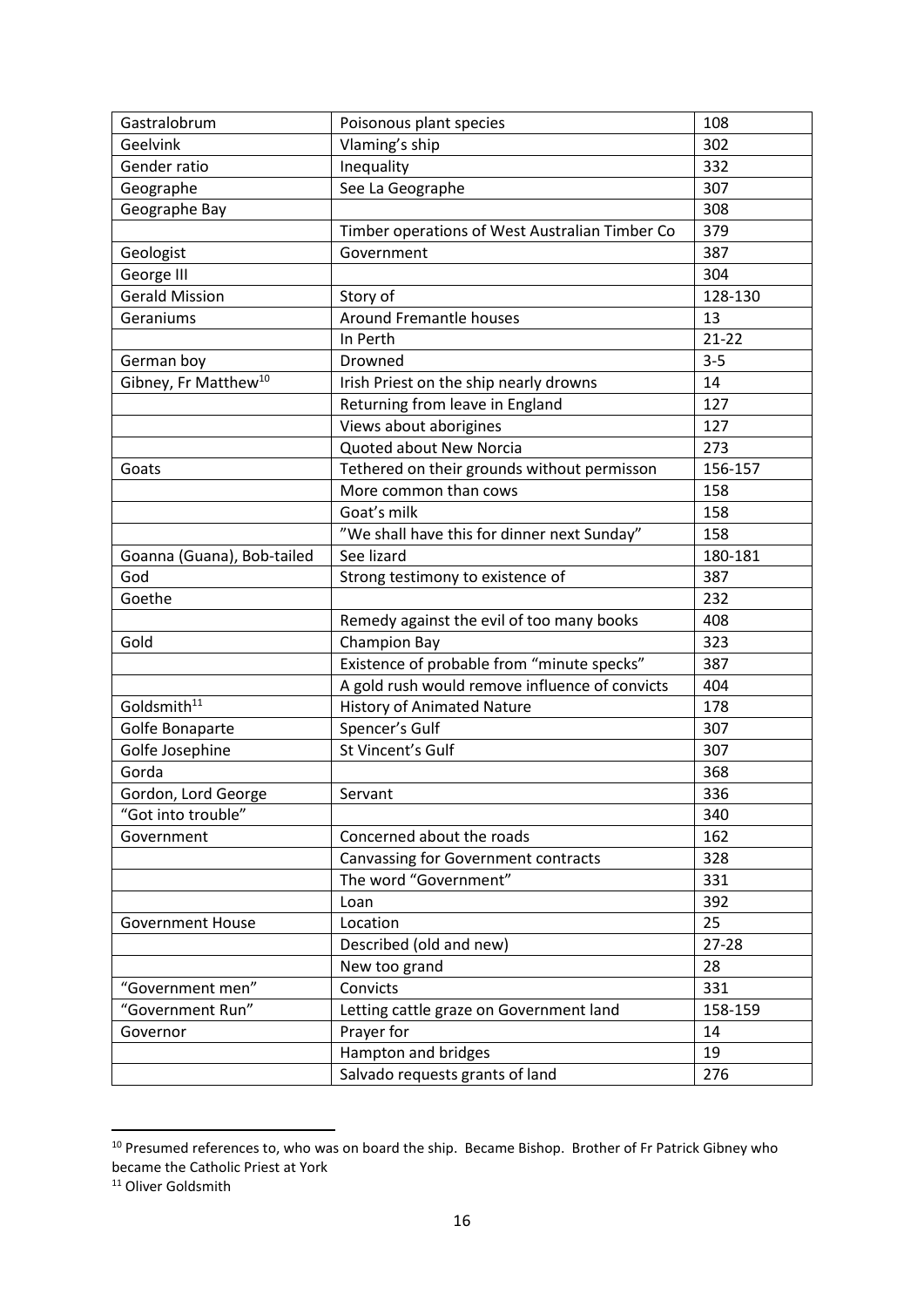| Vlaming's ship<br>302<br>Geelvink<br>332<br>Inequality<br>Gender ratio<br>See La Geographe<br>307<br>Geographe<br>308<br>Geographe Bay<br>379<br>Timber operations of West Australian Timber Co<br>387<br>Government<br>Geologist<br>304<br>George III<br><b>Gerald Mission</b><br>Story of<br>128-130<br><b>Around Fremantle houses</b><br>13<br>Geraniums<br>In Perth<br>$21 - 22$<br>$3 - 5$<br>German boy<br>Drowned<br>Gibney, Fr Matthew <sup>10</sup><br>14<br>Irish Priest on the ship nearly drowns<br>Returning from leave in England<br>127<br>Views about aborigines<br>127<br>Quoted about New Norcia<br>273<br>Tethered on their grounds without permisson<br>156-157<br>Goats<br>More common than cows<br>158<br>Goat's milk<br>158<br>"We shall have this for dinner next Sunday"<br>158<br>See lizard<br>180-181<br>Goanna (Guana), Bob-tailed<br>God<br>Strong testimony to existence of<br>387<br>Goethe<br>232<br>Remedy against the evil of too many books<br>408<br><b>Champion Bay</b><br>Gold<br>323<br>Existence of probable from "minute specks"<br>387<br>A gold rush would remove influence of convicts<br>404<br>Goldsmith <sup>11</sup><br><b>History of Animated Nature</b><br>178<br>Spencer's Gulf<br>307<br>Golfe Bonaparte<br>St Vincent's Gulf<br>Golfe Josephine<br>307<br>368<br>Gorda<br>Gordon, Lord George<br>Servant<br>336<br>"Got into trouble"<br>340<br>Concerned about the roads<br>162<br>Government<br>328<br>Canvassing for Government contracts<br>The word "Government"<br>331<br>392<br>Loan<br>25<br>Location<br><b>Government House</b><br>Described (old and new)<br>27-28<br>28<br>New too grand | Gastralobrum | Poisonous plant species | 108 |
|-----------------------------------------------------------------------------------------------------------------------------------------------------------------------------------------------------------------------------------------------------------------------------------------------------------------------------------------------------------------------------------------------------------------------------------------------------------------------------------------------------------------------------------------------------------------------------------------------------------------------------------------------------------------------------------------------------------------------------------------------------------------------------------------------------------------------------------------------------------------------------------------------------------------------------------------------------------------------------------------------------------------------------------------------------------------------------------------------------------------------------------------------------------------------------------------------------------------------------------------------------------------------------------------------------------------------------------------------------------------------------------------------------------------------------------------------------------------------------------------------------------------------------------------------------------------------------------------------------------------------------------------------------------|--------------|-------------------------|-----|
|                                                                                                                                                                                                                                                                                                                                                                                                                                                                                                                                                                                                                                                                                                                                                                                                                                                                                                                                                                                                                                                                                                                                                                                                                                                                                                                                                                                                                                                                                                                                                                                                                                                           |              |                         |     |
|                                                                                                                                                                                                                                                                                                                                                                                                                                                                                                                                                                                                                                                                                                                                                                                                                                                                                                                                                                                                                                                                                                                                                                                                                                                                                                                                                                                                                                                                                                                                                                                                                                                           |              |                         |     |
|                                                                                                                                                                                                                                                                                                                                                                                                                                                                                                                                                                                                                                                                                                                                                                                                                                                                                                                                                                                                                                                                                                                                                                                                                                                                                                                                                                                                                                                                                                                                                                                                                                                           |              |                         |     |
|                                                                                                                                                                                                                                                                                                                                                                                                                                                                                                                                                                                                                                                                                                                                                                                                                                                                                                                                                                                                                                                                                                                                                                                                                                                                                                                                                                                                                                                                                                                                                                                                                                                           |              |                         |     |
|                                                                                                                                                                                                                                                                                                                                                                                                                                                                                                                                                                                                                                                                                                                                                                                                                                                                                                                                                                                                                                                                                                                                                                                                                                                                                                                                                                                                                                                                                                                                                                                                                                                           |              |                         |     |
|                                                                                                                                                                                                                                                                                                                                                                                                                                                                                                                                                                                                                                                                                                                                                                                                                                                                                                                                                                                                                                                                                                                                                                                                                                                                                                                                                                                                                                                                                                                                                                                                                                                           |              |                         |     |
|                                                                                                                                                                                                                                                                                                                                                                                                                                                                                                                                                                                                                                                                                                                                                                                                                                                                                                                                                                                                                                                                                                                                                                                                                                                                                                                                                                                                                                                                                                                                                                                                                                                           |              |                         |     |
|                                                                                                                                                                                                                                                                                                                                                                                                                                                                                                                                                                                                                                                                                                                                                                                                                                                                                                                                                                                                                                                                                                                                                                                                                                                                                                                                                                                                                                                                                                                                                                                                                                                           |              |                         |     |
|                                                                                                                                                                                                                                                                                                                                                                                                                                                                                                                                                                                                                                                                                                                                                                                                                                                                                                                                                                                                                                                                                                                                                                                                                                                                                                                                                                                                                                                                                                                                                                                                                                                           |              |                         |     |
|                                                                                                                                                                                                                                                                                                                                                                                                                                                                                                                                                                                                                                                                                                                                                                                                                                                                                                                                                                                                                                                                                                                                                                                                                                                                                                                                                                                                                                                                                                                                                                                                                                                           |              |                         |     |
|                                                                                                                                                                                                                                                                                                                                                                                                                                                                                                                                                                                                                                                                                                                                                                                                                                                                                                                                                                                                                                                                                                                                                                                                                                                                                                                                                                                                                                                                                                                                                                                                                                                           |              |                         |     |
|                                                                                                                                                                                                                                                                                                                                                                                                                                                                                                                                                                                                                                                                                                                                                                                                                                                                                                                                                                                                                                                                                                                                                                                                                                                                                                                                                                                                                                                                                                                                                                                                                                                           |              |                         |     |
|                                                                                                                                                                                                                                                                                                                                                                                                                                                                                                                                                                                                                                                                                                                                                                                                                                                                                                                                                                                                                                                                                                                                                                                                                                                                                                                                                                                                                                                                                                                                                                                                                                                           |              |                         |     |
|                                                                                                                                                                                                                                                                                                                                                                                                                                                                                                                                                                                                                                                                                                                                                                                                                                                                                                                                                                                                                                                                                                                                                                                                                                                                                                                                                                                                                                                                                                                                                                                                                                                           |              |                         |     |
|                                                                                                                                                                                                                                                                                                                                                                                                                                                                                                                                                                                                                                                                                                                                                                                                                                                                                                                                                                                                                                                                                                                                                                                                                                                                                                                                                                                                                                                                                                                                                                                                                                                           |              |                         |     |
|                                                                                                                                                                                                                                                                                                                                                                                                                                                                                                                                                                                                                                                                                                                                                                                                                                                                                                                                                                                                                                                                                                                                                                                                                                                                                                                                                                                                                                                                                                                                                                                                                                                           |              |                         |     |
|                                                                                                                                                                                                                                                                                                                                                                                                                                                                                                                                                                                                                                                                                                                                                                                                                                                                                                                                                                                                                                                                                                                                                                                                                                                                                                                                                                                                                                                                                                                                                                                                                                                           |              |                         |     |
|                                                                                                                                                                                                                                                                                                                                                                                                                                                                                                                                                                                                                                                                                                                                                                                                                                                                                                                                                                                                                                                                                                                                                                                                                                                                                                                                                                                                                                                                                                                                                                                                                                                           |              |                         |     |
|                                                                                                                                                                                                                                                                                                                                                                                                                                                                                                                                                                                                                                                                                                                                                                                                                                                                                                                                                                                                                                                                                                                                                                                                                                                                                                                                                                                                                                                                                                                                                                                                                                                           |              |                         |     |
|                                                                                                                                                                                                                                                                                                                                                                                                                                                                                                                                                                                                                                                                                                                                                                                                                                                                                                                                                                                                                                                                                                                                                                                                                                                                                                                                                                                                                                                                                                                                                                                                                                                           |              |                         |     |
|                                                                                                                                                                                                                                                                                                                                                                                                                                                                                                                                                                                                                                                                                                                                                                                                                                                                                                                                                                                                                                                                                                                                                                                                                                                                                                                                                                                                                                                                                                                                                                                                                                                           |              |                         |     |
|                                                                                                                                                                                                                                                                                                                                                                                                                                                                                                                                                                                                                                                                                                                                                                                                                                                                                                                                                                                                                                                                                                                                                                                                                                                                                                                                                                                                                                                                                                                                                                                                                                                           |              |                         |     |
|                                                                                                                                                                                                                                                                                                                                                                                                                                                                                                                                                                                                                                                                                                                                                                                                                                                                                                                                                                                                                                                                                                                                                                                                                                                                                                                                                                                                                                                                                                                                                                                                                                                           |              |                         |     |
|                                                                                                                                                                                                                                                                                                                                                                                                                                                                                                                                                                                                                                                                                                                                                                                                                                                                                                                                                                                                                                                                                                                                                                                                                                                                                                                                                                                                                                                                                                                                                                                                                                                           |              |                         |     |
|                                                                                                                                                                                                                                                                                                                                                                                                                                                                                                                                                                                                                                                                                                                                                                                                                                                                                                                                                                                                                                                                                                                                                                                                                                                                                                                                                                                                                                                                                                                                                                                                                                                           |              |                         |     |
|                                                                                                                                                                                                                                                                                                                                                                                                                                                                                                                                                                                                                                                                                                                                                                                                                                                                                                                                                                                                                                                                                                                                                                                                                                                                                                                                                                                                                                                                                                                                                                                                                                                           |              |                         |     |
|                                                                                                                                                                                                                                                                                                                                                                                                                                                                                                                                                                                                                                                                                                                                                                                                                                                                                                                                                                                                                                                                                                                                                                                                                                                                                                                                                                                                                                                                                                                                                                                                                                                           |              |                         |     |
|                                                                                                                                                                                                                                                                                                                                                                                                                                                                                                                                                                                                                                                                                                                                                                                                                                                                                                                                                                                                                                                                                                                                                                                                                                                                                                                                                                                                                                                                                                                                                                                                                                                           |              |                         |     |
|                                                                                                                                                                                                                                                                                                                                                                                                                                                                                                                                                                                                                                                                                                                                                                                                                                                                                                                                                                                                                                                                                                                                                                                                                                                                                                                                                                                                                                                                                                                                                                                                                                                           |              |                         |     |
|                                                                                                                                                                                                                                                                                                                                                                                                                                                                                                                                                                                                                                                                                                                                                                                                                                                                                                                                                                                                                                                                                                                                                                                                                                                                                                                                                                                                                                                                                                                                                                                                                                                           |              |                         |     |
|                                                                                                                                                                                                                                                                                                                                                                                                                                                                                                                                                                                                                                                                                                                                                                                                                                                                                                                                                                                                                                                                                                                                                                                                                                                                                                                                                                                                                                                                                                                                                                                                                                                           |              |                         |     |
|                                                                                                                                                                                                                                                                                                                                                                                                                                                                                                                                                                                                                                                                                                                                                                                                                                                                                                                                                                                                                                                                                                                                                                                                                                                                                                                                                                                                                                                                                                                                                                                                                                                           |              |                         |     |
|                                                                                                                                                                                                                                                                                                                                                                                                                                                                                                                                                                                                                                                                                                                                                                                                                                                                                                                                                                                                                                                                                                                                                                                                                                                                                                                                                                                                                                                                                                                                                                                                                                                           |              |                         |     |
|                                                                                                                                                                                                                                                                                                                                                                                                                                                                                                                                                                                                                                                                                                                                                                                                                                                                                                                                                                                                                                                                                                                                                                                                                                                                                                                                                                                                                                                                                                                                                                                                                                                           |              |                         |     |
|                                                                                                                                                                                                                                                                                                                                                                                                                                                                                                                                                                                                                                                                                                                                                                                                                                                                                                                                                                                                                                                                                                                                                                                                                                                                                                                                                                                                                                                                                                                                                                                                                                                           |              |                         |     |
|                                                                                                                                                                                                                                                                                                                                                                                                                                                                                                                                                                                                                                                                                                                                                                                                                                                                                                                                                                                                                                                                                                                                                                                                                                                                                                                                                                                                                                                                                                                                                                                                                                                           |              |                         |     |
|                                                                                                                                                                                                                                                                                                                                                                                                                                                                                                                                                                                                                                                                                                                                                                                                                                                                                                                                                                                                                                                                                                                                                                                                                                                                                                                                                                                                                                                                                                                                                                                                                                                           |              |                         |     |
|                                                                                                                                                                                                                                                                                                                                                                                                                                                                                                                                                                                                                                                                                                                                                                                                                                                                                                                                                                                                                                                                                                                                                                                                                                                                                                                                                                                                                                                                                                                                                                                                                                                           |              |                         |     |
|                                                                                                                                                                                                                                                                                                                                                                                                                                                                                                                                                                                                                                                                                                                                                                                                                                                                                                                                                                                                                                                                                                                                                                                                                                                                                                                                                                                                                                                                                                                                                                                                                                                           |              |                         |     |
| Convicts<br>331<br>"Government men"                                                                                                                                                                                                                                                                                                                                                                                                                                                                                                                                                                                                                                                                                                                                                                                                                                                                                                                                                                                                                                                                                                                                                                                                                                                                                                                                                                                                                                                                                                                                                                                                                       |              |                         |     |
| "Government Run"<br>Letting cattle graze on Government land<br>158-159                                                                                                                                                                                                                                                                                                                                                                                                                                                                                                                                                                                                                                                                                                                                                                                                                                                                                                                                                                                                                                                                                                                                                                                                                                                                                                                                                                                                                                                                                                                                                                                    |              |                         |     |
| Prayer for<br>14<br>Governor                                                                                                                                                                                                                                                                                                                                                                                                                                                                                                                                                                                                                                                                                                                                                                                                                                                                                                                                                                                                                                                                                                                                                                                                                                                                                                                                                                                                                                                                                                                                                                                                                              |              |                         |     |
| 19<br>Hampton and bridges                                                                                                                                                                                                                                                                                                                                                                                                                                                                                                                                                                                                                                                                                                                                                                                                                                                                                                                                                                                                                                                                                                                                                                                                                                                                                                                                                                                                                                                                                                                                                                                                                                 |              |                         |     |
| Salvado requests grants of land<br>276                                                                                                                                                                                                                                                                                                                                                                                                                                                                                                                                                                                                                                                                                                                                                                                                                                                                                                                                                                                                                                                                                                                                                                                                                                                                                                                                                                                                                                                                                                                                                                                                                    |              |                         |     |

<sup>&</sup>lt;sup>10</sup> Presumed references to, who was on board the ship. Became Bishop. Brother of Fr Patrick Gibney who became the Catholic Priest at York

<sup>&</sup>lt;sup>11</sup> Oliver Goldsmith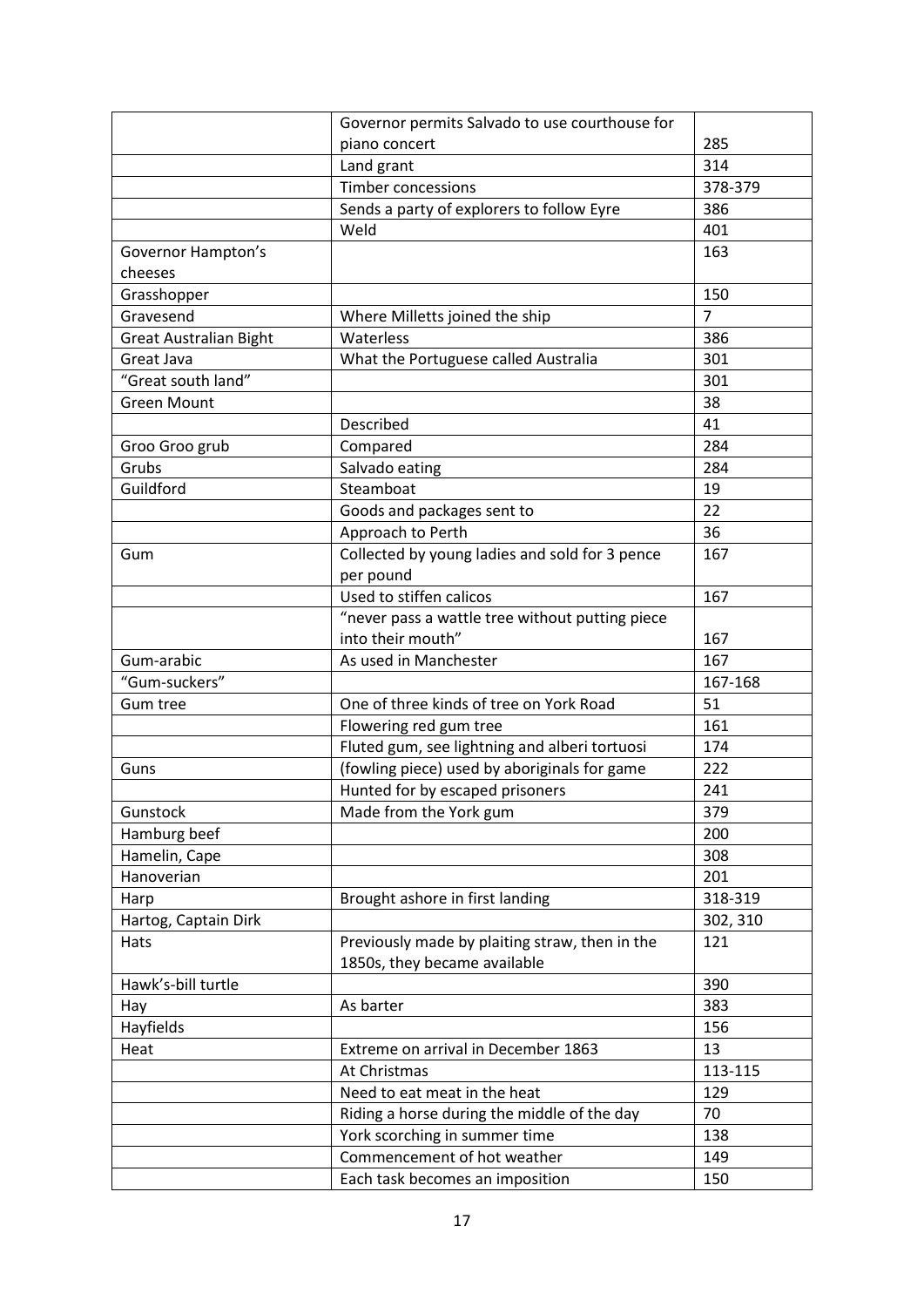|                               | Governor permits Salvado to use courthouse for                                 |                |
|-------------------------------|--------------------------------------------------------------------------------|----------------|
|                               | piano concert                                                                  | 285            |
|                               | Land grant                                                                     | 314            |
|                               | <b>Timber concessions</b>                                                      | 378-379        |
|                               | Sends a party of explorers to follow Eyre                                      | 386            |
|                               | Weld                                                                           | 401            |
| Governor Hampton's<br>cheeses |                                                                                | 163            |
| Grasshopper                   |                                                                                | 150            |
| Gravesend                     | Where Milletts joined the ship                                                 | $\overline{7}$ |
| <b>Great Australian Bight</b> | Waterless                                                                      | 386            |
| Great Java                    | What the Portuguese called Australia                                           | 301            |
| "Great south land"            |                                                                                | 301            |
| <b>Green Mount</b>            |                                                                                | 38             |
|                               | Described                                                                      | 41             |
| Groo Groo grub                | Compared                                                                       | 284            |
| Grubs                         | Salvado eating                                                                 | 284            |
| Guildford                     | Steamboat                                                                      | 19             |
|                               |                                                                                | 22             |
|                               | Goods and packages sent to                                                     |                |
|                               | Approach to Perth                                                              | 36             |
| Gum                           | Collected by young ladies and sold for 3 pence                                 | 167            |
|                               | per pound                                                                      |                |
|                               | Used to stiffen calicos                                                        | 167            |
|                               | "never pass a wattle tree without putting piece                                |                |
|                               | into their mouth"                                                              | 167            |
| Gum-arabic                    | As used in Manchester                                                          | 167            |
| "Gum-suckers"                 |                                                                                | 167-168        |
| Gum tree                      | One of three kinds of tree on York Road                                        | 51             |
|                               | Flowering red gum tree                                                         | 161            |
|                               | Fluted gum, see lightning and alberi tortuosi                                  | 174            |
| Guns                          | (fowling piece) used by aboriginals for game                                   | 222            |
|                               | Hunted for by escaped prisoners                                                | 241            |
| Gunstock                      | Made from the York gum                                                         | 379            |
| Hamburg beef                  |                                                                                | 200            |
| Hamelin, Cape                 |                                                                                | 308            |
| Hanoverian                    |                                                                                | 201            |
| Harp                          | Brought ashore in first landing                                                | 318-319        |
| Hartog, Captain Dirk          |                                                                                | 302, 310       |
| <b>Hats</b>                   | Previously made by plaiting straw, then in the<br>1850s, they became available | 121            |
| Hawk's-bill turtle            |                                                                                | 390            |
| Hay                           | As barter                                                                      | 383            |
| Hayfields                     |                                                                                | 156            |
| Heat                          | Extreme on arrival in December 1863                                            | 13             |
|                               | At Christmas                                                                   | 113-115        |
|                               | Need to eat meat in the heat                                                   | 129            |
|                               | Riding a horse during the middle of the day                                    | 70             |
|                               | York scorching in summer time                                                  | 138            |
|                               | Commencement of hot weather                                                    | 149            |
|                               | Each task becomes an imposition                                                | 150            |
|                               |                                                                                |                |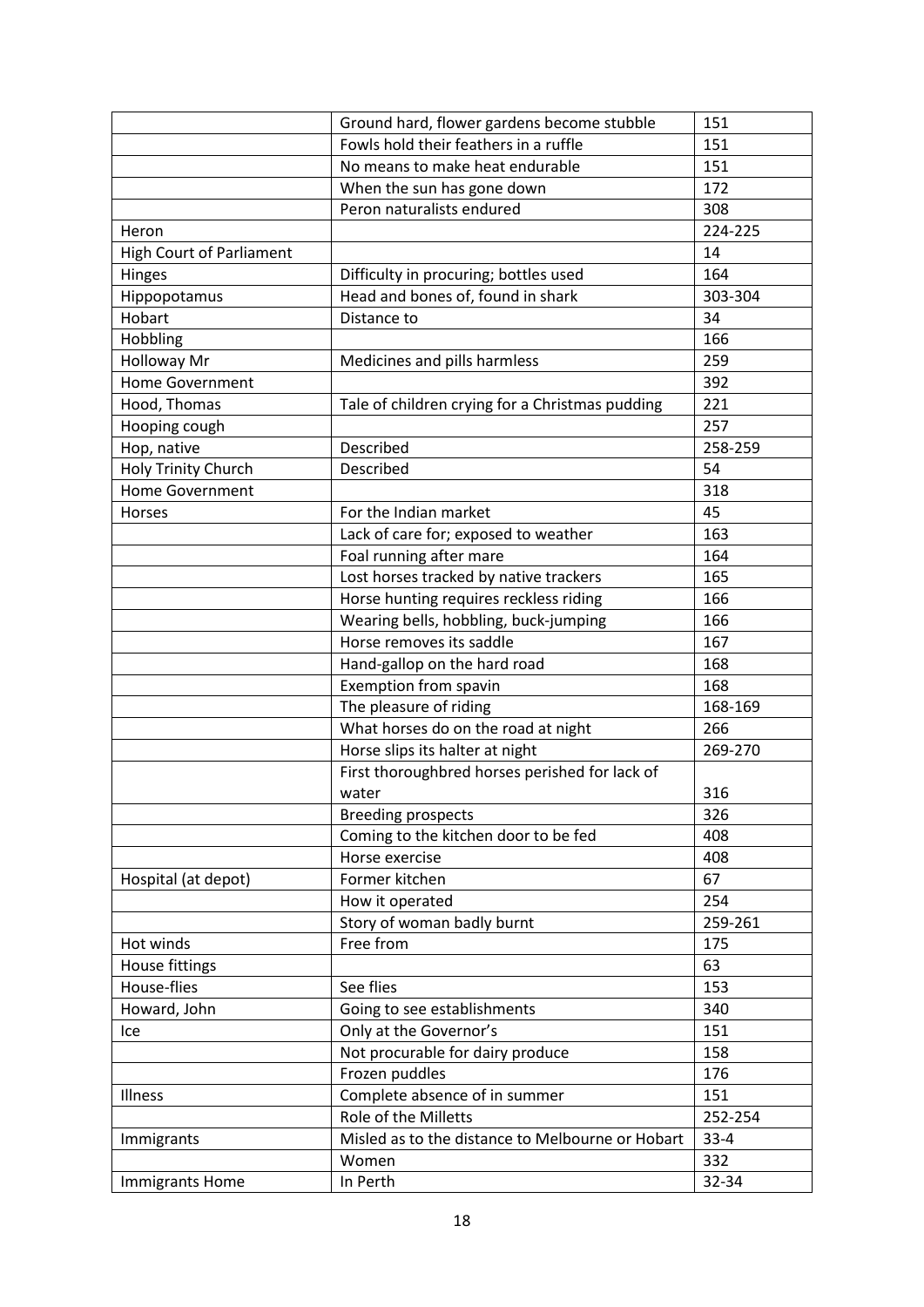|                                 | Ground hard, flower gardens become stubble       | 151      |
|---------------------------------|--------------------------------------------------|----------|
|                                 | Fowls hold their feathers in a ruffle            | 151      |
|                                 | No means to make heat endurable                  | 151      |
|                                 | When the sun has gone down                       | 172      |
|                                 | Peron naturalists endured                        | 308      |
| Heron                           |                                                  | 224-225  |
| <b>High Court of Parliament</b> |                                                  | 14       |
| Hinges                          | Difficulty in procuring; bottles used            | 164      |
| Hippopotamus                    | Head and bones of, found in shark                | 303-304  |
| Hobart                          | Distance to                                      | 34       |
| Hobbling                        |                                                  | 166      |
| <b>Holloway Mr</b>              | Medicines and pills harmless                     | 259      |
| <b>Home Government</b>          |                                                  | 392      |
| Hood, Thomas                    | Tale of children crying for a Christmas pudding  | 221      |
| Hooping cough                   |                                                  | 257      |
| Hop, native                     | Described                                        | 258-259  |
| Holy Trinity Church             | Described                                        | 54       |
| <b>Home Government</b>          |                                                  | 318      |
| Horses                          | For the Indian market                            | 45       |
|                                 | Lack of care for; exposed to weather             | 163      |
|                                 | Foal running after mare                          | 164      |
|                                 | Lost horses tracked by native trackers           | 165      |
|                                 | Horse hunting requires reckless riding           | 166      |
|                                 | Wearing bells, hobbling, buck-jumping            | 166      |
|                                 | Horse removes its saddle                         | 167      |
|                                 | Hand-gallop on the hard road                     | 168      |
|                                 | Exemption from spavin                            | 168      |
|                                 | The pleasure of riding                           | 168-169  |
|                                 | What horses do on the road at night              | 266      |
|                                 | Horse slips its halter at night                  | 269-270  |
|                                 | First thoroughbred horses perished for lack of   |          |
|                                 | water                                            | 316      |
|                                 | <b>Breeding prospects</b>                        | 326      |
|                                 | Coming to the kitchen door to be fed             | 408      |
|                                 | Horse exercise                                   | 408      |
| Hospital (at depot)             | Former kitchen                                   | 67       |
|                                 | How it operated                                  | 254      |
|                                 | Story of woman badly burnt                       | 259-261  |
| Hot winds                       | Free from                                        | 175      |
| House fittings                  |                                                  | 63       |
| House-flies                     | See flies                                        | 153      |
| Howard, John                    | Going to see establishments                      | 340      |
| Ice                             | Only at the Governor's                           | 151      |
|                                 | Not procurable for dairy produce                 | 158      |
|                                 | Frozen puddles                                   | 176      |
| Illness                         | Complete absence of in summer                    | 151      |
|                                 | Role of the Milletts                             | 252-254  |
| Immigrants                      | Misled as to the distance to Melbourne or Hobart | $33 - 4$ |
|                                 | Women                                            | 332      |
| Immigrants Home                 | In Perth                                         | 32-34    |
|                                 |                                                  |          |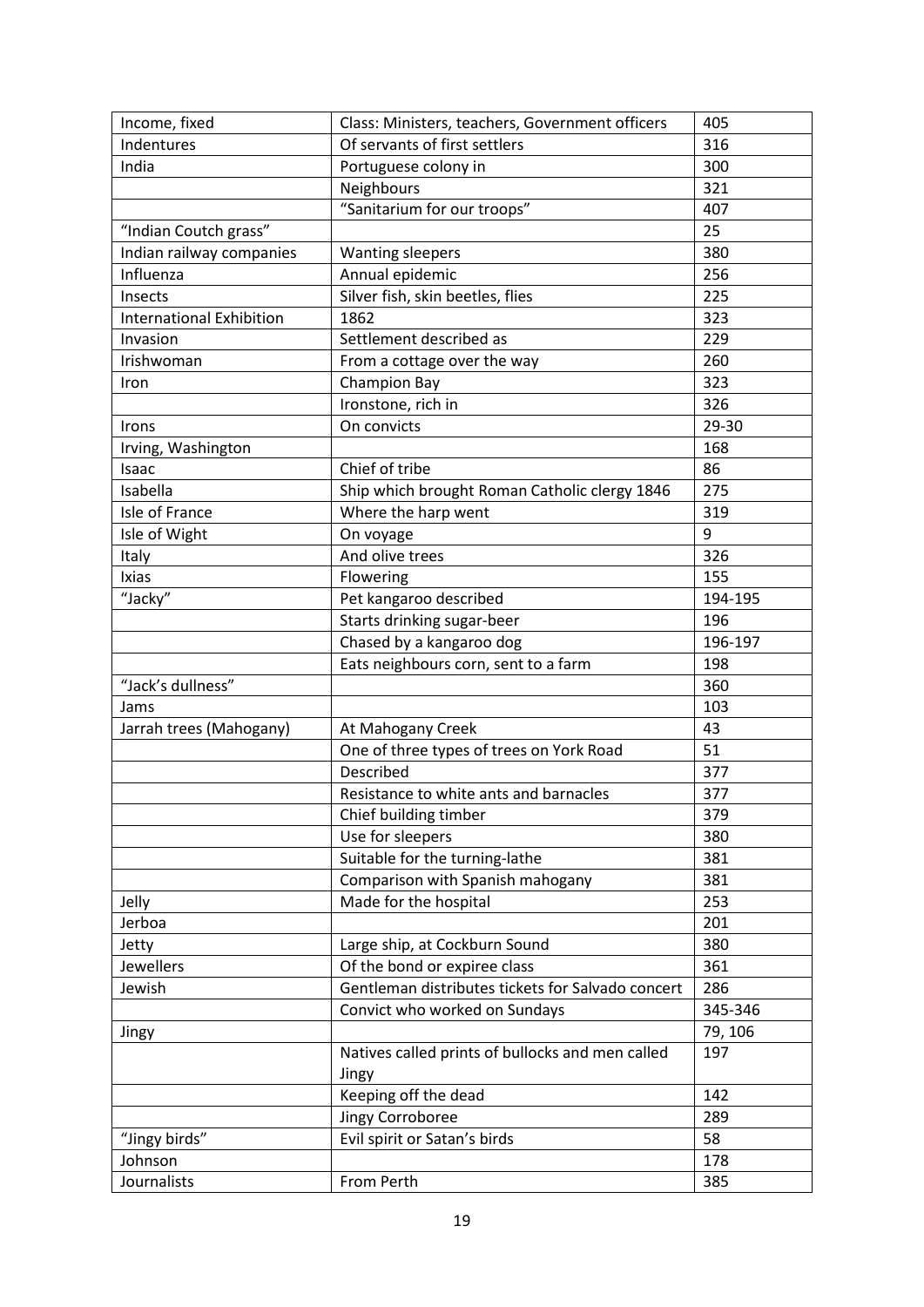| Income, fixed                   | Class: Ministers, teachers, Government officers           | 405     |
|---------------------------------|-----------------------------------------------------------|---------|
| Indentures                      | Of servants of first settlers                             | 316     |
| India                           | Portuguese colony in                                      | 300     |
|                                 | Neighbours                                                | 321     |
|                                 | "Sanitarium for our troops"                               | 407     |
| "Indian Coutch grass"           |                                                           | 25      |
| Indian railway companies        | <b>Wanting sleepers</b>                                   | 380     |
| Influenza                       | Annual epidemic                                           | 256     |
| Insects                         | Silver fish, skin beetles, flies                          | 225     |
| <b>International Exhibition</b> | 1862                                                      | 323     |
| Invasion                        | Settlement described as                                   | 229     |
| Irishwoman                      | From a cottage over the way                               | 260     |
| Iron                            | <b>Champion Bay</b>                                       | 323     |
|                                 | Ironstone, rich in                                        | 326     |
| Irons                           | On convicts                                               | 29-30   |
| Irving, Washington              |                                                           | 168     |
| Isaac                           | Chief of tribe                                            | 86      |
| Isabella                        | Ship which brought Roman Catholic clergy 1846             | 275     |
| Isle of France                  | Where the harp went                                       | 319     |
| Isle of Wight                   | On voyage                                                 | 9       |
| Italy                           | And olive trees                                           | 326     |
| Ixias                           | Flowering                                                 | 155     |
| "Jacky"                         | Pet kangaroo described                                    | 194-195 |
|                                 | Starts drinking sugar-beer                                | 196     |
|                                 | Chased by a kangaroo dog                                  | 196-197 |
|                                 | Eats neighbours corn, sent to a farm                      | 198     |
| "Jack's dullness"               |                                                           | 360     |
| Jams                            |                                                           | 103     |
| Jarrah trees (Mahogany)         | At Mahogany Creek                                         | 43      |
|                                 | One of three types of trees on York Road                  | 51      |
|                                 | Described                                                 | 377     |
|                                 | Resistance to white ants and barnacles                    | 377     |
|                                 | Chief building timber                                     | 379     |
|                                 | Use for sleepers                                          | 380     |
|                                 | Suitable for the turning-lathe                            | 381     |
|                                 | Comparison with Spanish mahogany                          | 381     |
| Jelly                           | Made for the hospital                                     | 253     |
| Jerboa                          |                                                           | 201     |
| Jetty                           | Large ship, at Cockburn Sound                             | 380     |
| Jewellers                       | Of the bond or expiree class                              | 361     |
| Jewish                          | Gentleman distributes tickets for Salvado concert         | 286     |
|                                 | Convict who worked on Sundays                             | 345-346 |
| Jingy                           |                                                           | 79, 106 |
|                                 | Natives called prints of bullocks and men called<br>Jingy | 197     |
|                                 | Keeping off the dead                                      | 142     |
|                                 |                                                           | 289     |
|                                 | Jingy Corroboree                                          |         |
|                                 | Evil spirit or Satan's birds                              | 58      |
| "Jingy birds"<br>Johnson        |                                                           | 178     |
| Journalists                     | From Perth                                                | 385     |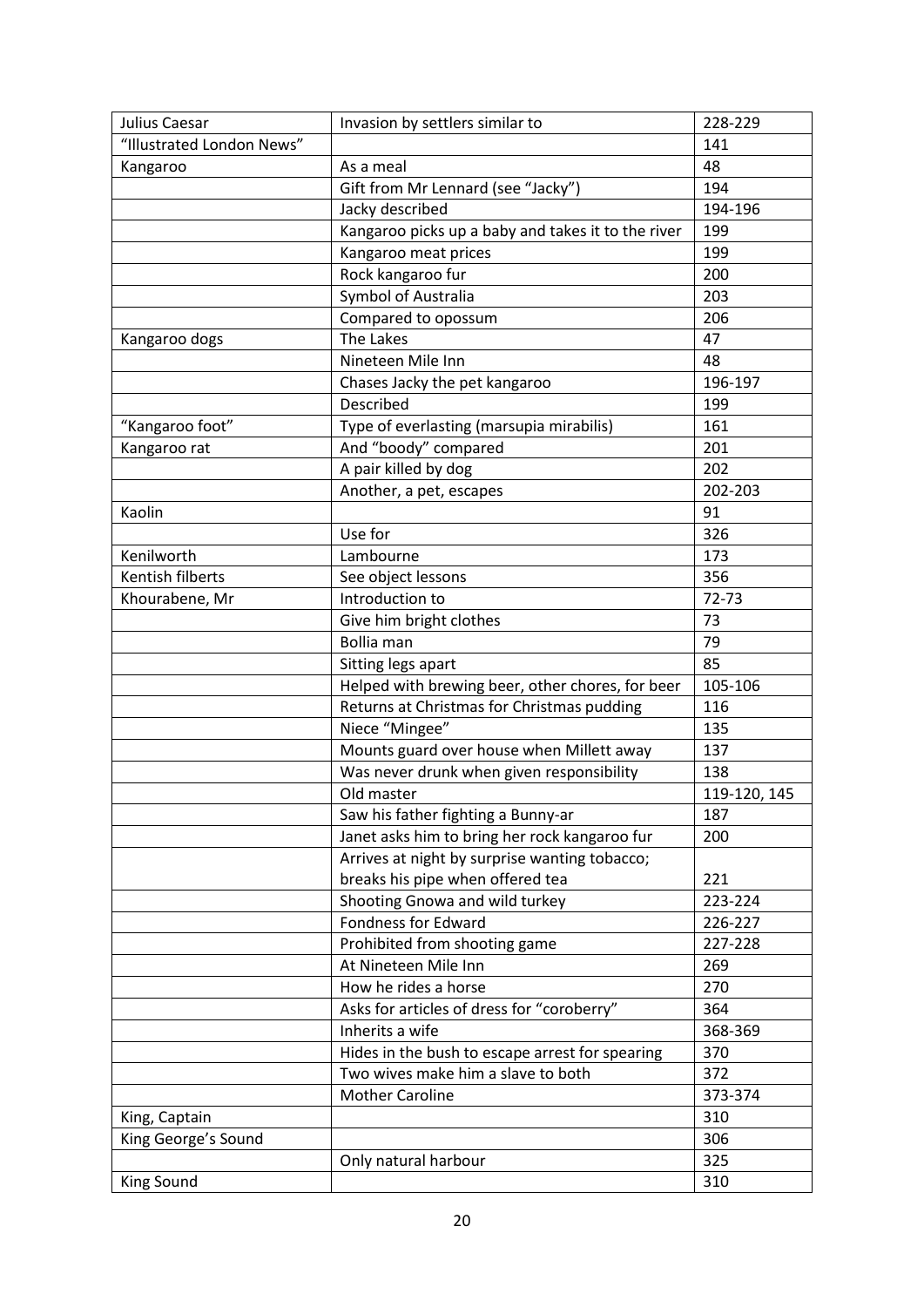| Julius Caesar             | Invasion by settlers similar to                    | 228-229      |
|---------------------------|----------------------------------------------------|--------------|
| "Illustrated London News" |                                                    | 141          |
| Kangaroo                  | As a meal                                          | 48           |
|                           | Gift from Mr Lennard (see "Jacky")                 | 194          |
|                           | Jacky described                                    | 194-196      |
|                           | Kangaroo picks up a baby and takes it to the river | 199          |
|                           | Kangaroo meat prices                               | 199          |
|                           | Rock kangaroo fur                                  | 200          |
|                           | Symbol of Australia                                | 203          |
|                           | Compared to opossum                                | 206          |
| Kangaroo dogs             | The Lakes                                          | 47           |
|                           | Nineteen Mile Inn                                  | 48           |
|                           | Chases Jacky the pet kangaroo                      | 196-197      |
|                           | Described                                          | 199          |
| "Kangaroo foot"           | Type of everlasting (marsupia mirabilis)           | 161          |
| Kangaroo rat              | And "boody" compared                               | 201          |
|                           | A pair killed by dog                               | 202          |
|                           | Another, a pet, escapes                            | 202-203      |
| Kaolin                    |                                                    | 91           |
|                           | Use for                                            | 326          |
| Kenilworth                | Lambourne                                          | 173          |
| Kentish filberts          | See object lessons                                 | 356          |
| Khourabene, Mr            | Introduction to                                    | 72-73        |
|                           | Give him bright clothes                            | 73           |
|                           | <b>Bollia</b> man                                  | 79           |
|                           | Sitting legs apart                                 | 85           |
|                           | Helped with brewing beer, other chores, for beer   | 105-106      |
|                           | Returns at Christmas for Christmas pudding         | 116          |
|                           | Niece "Mingee"                                     | 135          |
|                           | Mounts guard over house when Millett away          | 137          |
|                           | Was never drunk when given responsibility          | 138          |
|                           | Old master                                         | 119-120, 145 |
|                           | Saw his father fighting a Bunny-ar                 | 187          |
|                           | Janet asks him to bring her rock kangaroo fur      | 200          |
|                           | Arrives at night by surprise wanting tobacco;      |              |
|                           | breaks his pipe when offered tea                   | 221          |
|                           | Shooting Gnowa and wild turkey                     | 223-224      |
|                           | Fondness for Edward                                | 226-227      |
|                           | Prohibited from shooting game                      | 227-228      |
|                           | At Nineteen Mile Inn                               | 269          |
|                           | How he rides a horse                               | 270          |
|                           | Asks for articles of dress for "coroberry"         | 364          |
|                           | Inherits a wife                                    | 368-369      |
|                           | Hides in the bush to escape arrest for spearing    | 370          |
|                           | Two wives make him a slave to both                 | 372          |
|                           | <b>Mother Caroline</b>                             | 373-374      |
| King, Captain             |                                                    | 310          |
| King George's Sound       |                                                    | 306          |
|                           | Only natural harbour                               | 325          |
| King Sound                |                                                    | 310          |
|                           |                                                    |              |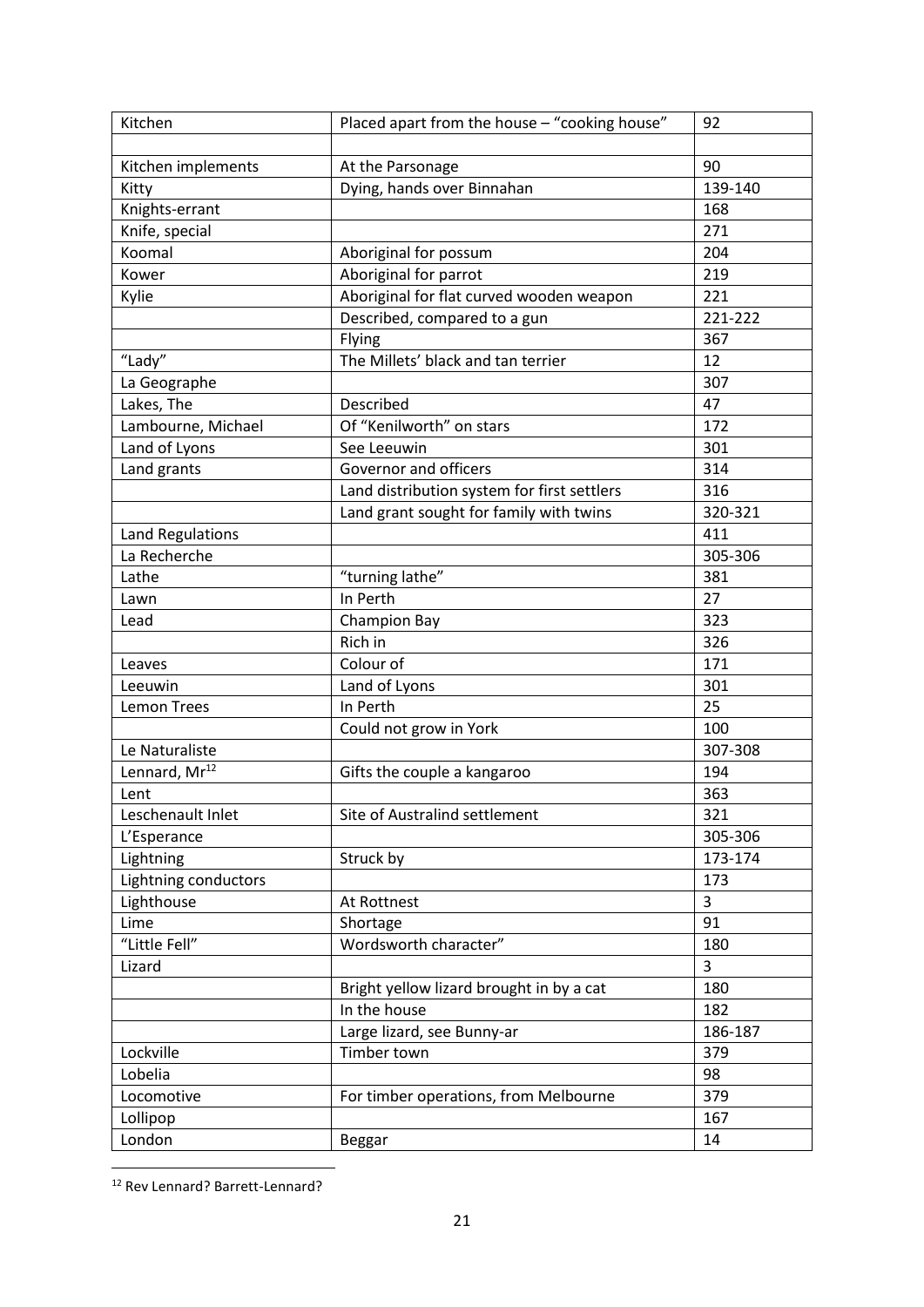| Kitchen                   | Placed apart from the house - "cooking house" | 92      |
|---------------------------|-----------------------------------------------|---------|
|                           |                                               |         |
| Kitchen implements        | At the Parsonage                              | 90      |
| Kitty                     | Dying, hands over Binnahan                    | 139-140 |
| Knights-errant            |                                               | 168     |
| Knife, special            |                                               | 271     |
| Koomal                    | Aboriginal for possum                         | 204     |
| Kower                     | Aboriginal for parrot                         | 219     |
| Kylie                     | Aboriginal for flat curved wooden weapon      | 221     |
|                           | Described, compared to a gun                  | 221-222 |
|                           | Flying                                        | 367     |
| "Lady"                    | The Millets' black and tan terrier            | 12      |
| La Geographe              |                                               | 307     |
| Lakes, The                | Described                                     | 47      |
| Lambourne, Michael        | Of "Kenilworth" on stars                      | 172     |
| Land of Lyons             | See Leeuwin                                   | 301     |
| Land grants               | Governor and officers                         | 314     |
|                           | Land distribution system for first settlers   | 316     |
|                           | Land grant sought for family with twins       | 320-321 |
| Land Regulations          |                                               | 411     |
| La Recherche              |                                               | 305-306 |
| Lathe                     | "turning lathe"                               | 381     |
| Lawn                      | In Perth                                      | 27      |
| Lead                      | Champion Bay                                  | 323     |
|                           | Rich in                                       | 326     |
| Leaves                    | Colour of                                     | 171     |
| Leeuwin                   | Land of Lyons                                 | 301     |
| <b>Lemon Trees</b>        | In Perth                                      | 25      |
|                           | Could not grow in York                        | 100     |
| Le Naturaliste            |                                               | 307-308 |
| Lennard, Mr <sup>12</sup> | Gifts the couple a kangaroo                   | 194     |
| Lent                      |                                               | 363     |
| Leschenault Inlet         | Site of Australind settlement                 | 321     |
| L'Esperance               |                                               | 305-306 |
| Lightning                 | Struck by                                     | 173-174 |
| Lightning conductors      |                                               | 173     |
| Lighthouse                | At Rottnest                                   | 3       |
| Lime                      | Shortage                                      | 91      |
| "Little Fell"             | Wordsworth character"                         | 180     |
| Lizard                    |                                               | 3       |
|                           | Bright yellow lizard brought in by a cat      | 180     |
|                           | In the house                                  | 182     |
|                           | Large lizard, see Bunny-ar                    | 186-187 |
| Lockville                 | Timber town                                   | 379     |
| Lobelia                   |                                               | 98      |
| Locomotive                | For timber operations, from Melbourne         | 379     |
| Lollipop                  |                                               | 167     |
| London                    | <b>Beggar</b>                                 | 14      |

<sup>12</sup> Rev Lennard? Barrett-Lennard?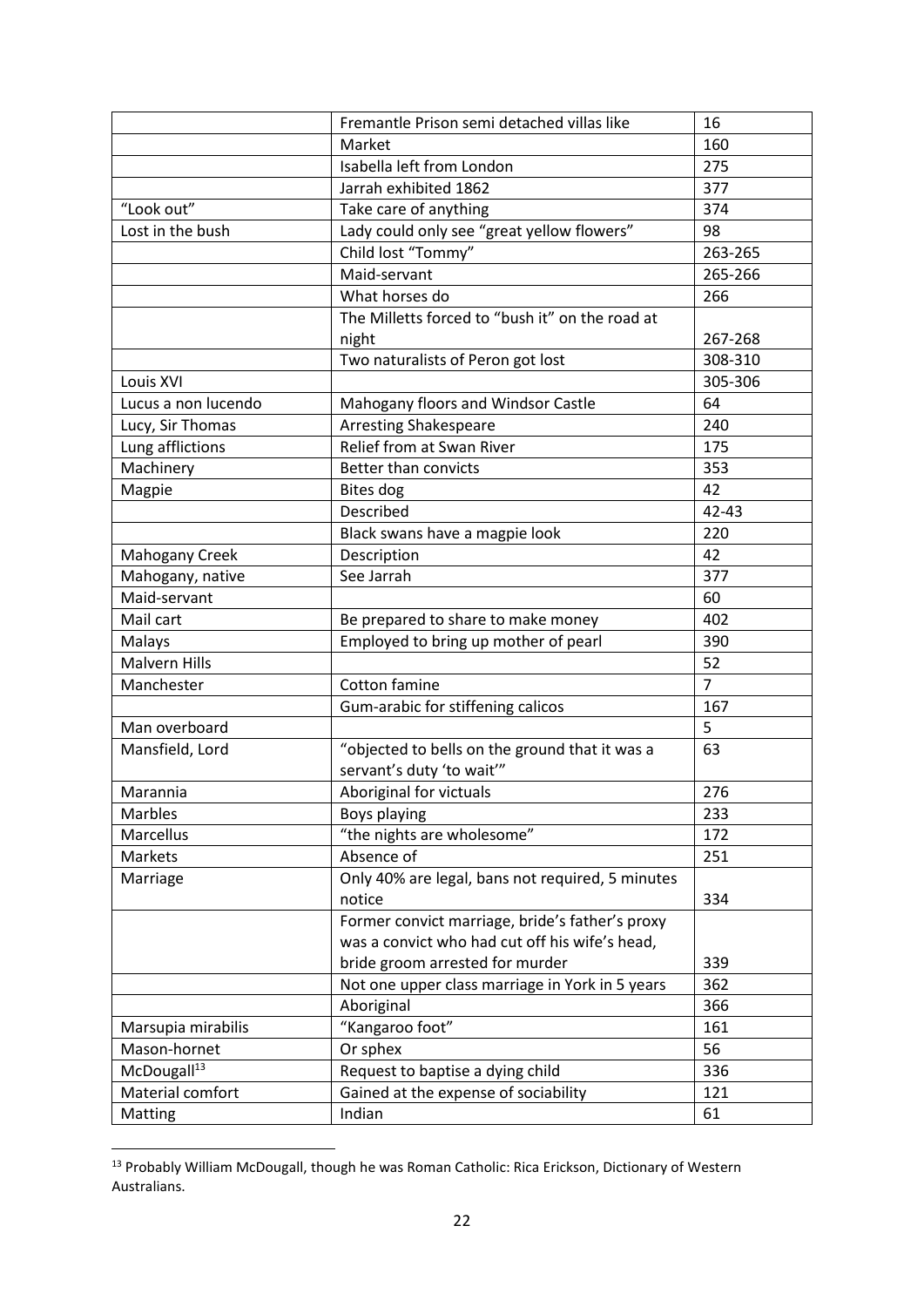|                         | Fremantle Prison semi detached villas like                                  | 16             |
|-------------------------|-----------------------------------------------------------------------------|----------------|
|                         | Market                                                                      | 160            |
|                         | Isabella left from London                                                   | 275            |
|                         | Jarrah exhibited 1862                                                       | 377            |
| "Look out"              | Take care of anything                                                       | 374            |
| Lost in the bush        | Lady could only see "great yellow flowers"                                  | 98             |
|                         | Child lost "Tommy"                                                          | 263-265        |
|                         | Maid-servant                                                                | 265-266        |
|                         | What horses do                                                              | 266            |
|                         | The Milletts forced to "bush it" on the road at                             |                |
|                         | night                                                                       | 267-268        |
|                         | Two naturalists of Peron got lost                                           | 308-310        |
| Louis XVI               |                                                                             | 305-306        |
| Lucus a non lucendo     | Mahogany floors and Windsor Castle                                          | 64             |
| Lucy, Sir Thomas        | <b>Arresting Shakespeare</b>                                                | 240            |
| Lung afflictions        | Relief from at Swan River                                                   | 175            |
| Machinery               | Better than convicts                                                        | 353            |
| Magpie                  | <b>Bites dog</b>                                                            | 42             |
|                         | Described                                                                   | $42 - 43$      |
|                         | Black swans have a magpie look                                              | 220            |
| <b>Mahogany Creek</b>   | Description                                                                 | 42             |
| Mahogany, native        | See Jarrah                                                                  | 377            |
| Maid-servant            |                                                                             | 60             |
| Mail cart               | Be prepared to share to make money                                          | 402            |
| Malays                  | Employed to bring up mother of pearl                                        | 390            |
| <b>Malvern Hills</b>    |                                                                             | 52             |
| Manchester              | Cotton famine                                                               | $\overline{7}$ |
|                         | Gum-arabic for stiffening calicos                                           | 167            |
| Man overboard           |                                                                             | 5              |
| Mansfield, Lord         | "objected to bells on the ground that it was a<br>servant's duty 'to wait'" | 63             |
| Marannia                | Aboriginal for victuals                                                     | 276            |
| Marbles                 | Boys playing                                                                | 233            |
| Marcellus               | "the nights are wholesome"                                                  | 172            |
| Markets                 | Absence of                                                                  | 251            |
| Marriage                | Only 40% are legal, bans not required, 5 minutes                            |                |
|                         | notice                                                                      | 334            |
|                         | Former convict marriage, bride's father's proxy                             |                |
|                         | was a convict who had cut off his wife's head,                              |                |
|                         | bride groom arrested for murder                                             | 339            |
|                         | Not one upper class marriage in York in 5 years                             | 362            |
|                         | Aboriginal                                                                  | 366            |
| Marsupia mirabilis      | "Kangaroo foot"                                                             | 161            |
| Mason-hornet            | Or sphex                                                                    | 56             |
| McDougall <sup>13</sup> | Request to baptise a dying child                                            | 336            |
| Material comfort        | Gained at the expense of sociability                                        | 121            |
| Matting                 | Indian                                                                      | 61             |

<sup>&</sup>lt;sup>13</sup> Probably William McDougall, though he was Roman Catholic: Rica Erickson, Dictionary of Western Australians.

 $\overline{\phantom{a}}$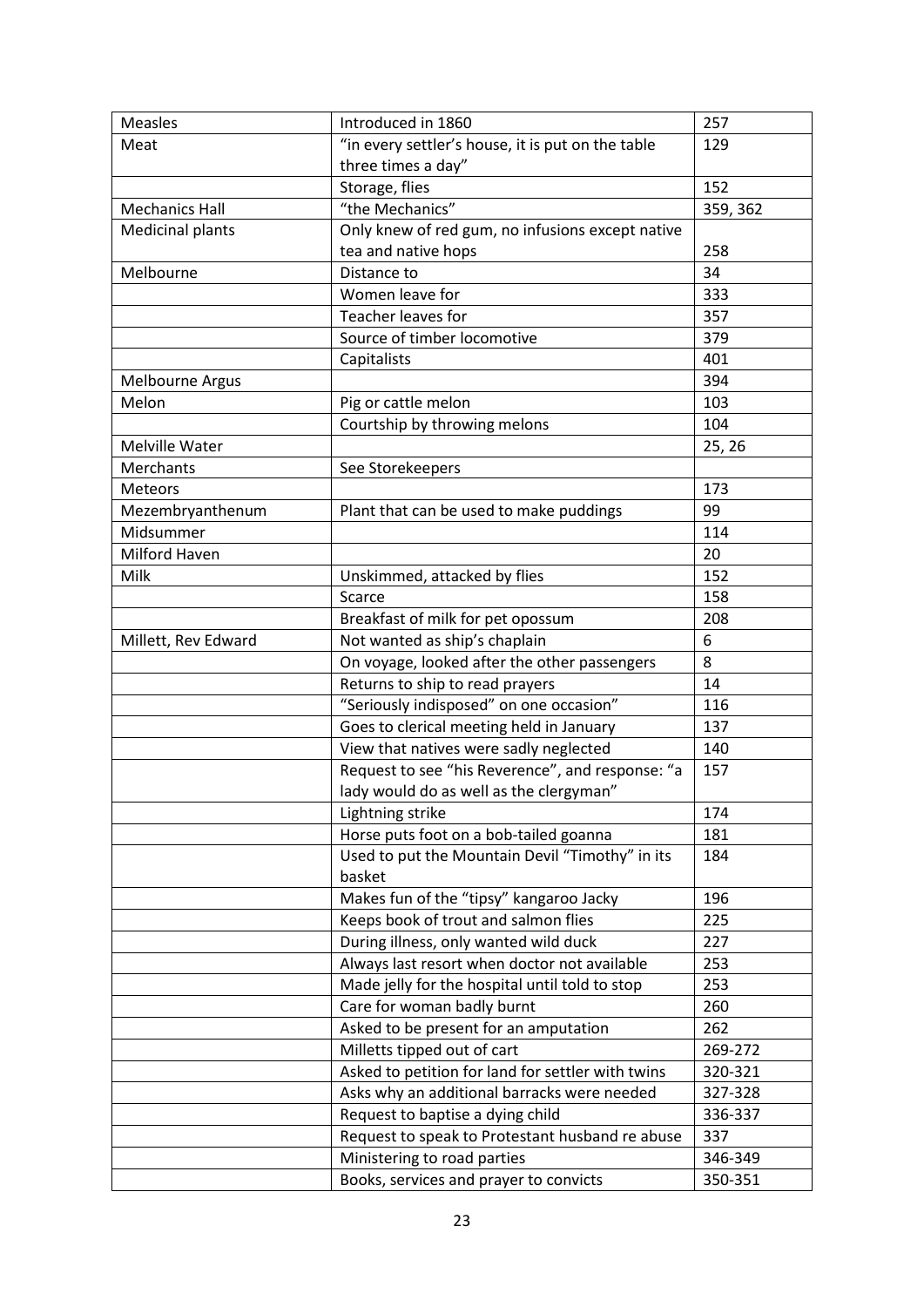| <b>Measles</b>          | Introduced in 1860                                                                          | 257      |
|-------------------------|---------------------------------------------------------------------------------------------|----------|
| Meat                    | "in every settler's house, it is put on the table                                           | 129      |
|                         | three times a day"<br>Storage, flies                                                        | 152      |
|                         | "the Mechanics"                                                                             |          |
| <b>Mechanics Hall</b>   |                                                                                             | 359, 362 |
| <b>Medicinal plants</b> | Only knew of red gum, no infusions except native<br>tea and native hops                     | 258      |
| Melbourne               | Distance to                                                                                 | 34       |
|                         | Women leave for                                                                             | 333      |
|                         | Teacher leaves for                                                                          | 357      |
|                         | Source of timber locomotive                                                                 | 379      |
|                         | Capitalists                                                                                 | 401      |
| <b>Melbourne Argus</b>  |                                                                                             | 394      |
| Melon                   | Pig or cattle melon                                                                         | 103      |
|                         | Courtship by throwing melons                                                                | 104      |
| Melville Water          |                                                                                             | 25, 26   |
| Merchants               | See Storekeepers                                                                            |          |
| <b>Meteors</b>          |                                                                                             | 173      |
| Mezembryanthenum        | Plant that can be used to make puddings                                                     | 99       |
| Midsummer               |                                                                                             | 114      |
| Milford Haven           |                                                                                             | 20       |
| Milk                    | Unskimmed, attacked by flies                                                                | 152      |
|                         | Scarce                                                                                      | 158      |
|                         | Breakfast of milk for pet opossum                                                           | 208      |
| Millett, Rev Edward     | Not wanted as ship's chaplain                                                               | 6        |
|                         | On voyage, looked after the other passengers                                                | 8        |
|                         | Returns to ship to read prayers                                                             | 14       |
|                         | "Seriously indisposed" on one occasion"                                                     | 116      |
|                         | Goes to clerical meeting held in January                                                    | 137      |
|                         | View that natives were sadly neglected                                                      | 140      |
|                         | Request to see "his Reverence", and response: "a<br>lady would do as well as the clergyman" | 157      |
|                         | Lightning strike                                                                            | 174      |
|                         | Horse puts foot on a bob-tailed goanna                                                      | 181      |
|                         | Used to put the Mountain Devil "Timothy" in its<br>basket                                   | 184      |
|                         | Makes fun of the "tipsy" kangaroo Jacky                                                     | 196      |
|                         | Keeps book of trout and salmon flies                                                        | 225      |
|                         | During illness, only wanted wild duck                                                       | 227      |
|                         | Always last resort when doctor not available                                                | 253      |
|                         | Made jelly for the hospital until told to stop                                              | 253      |
|                         | Care for woman badly burnt                                                                  | 260      |
|                         | Asked to be present for an amputation                                                       | 262      |
|                         | Milletts tipped out of cart                                                                 | 269-272  |
|                         | Asked to petition for land for settler with twins                                           | 320-321  |
|                         | Asks why an additional barracks were needed                                                 | 327-328  |
|                         | Request to baptise a dying child                                                            | 336-337  |
|                         | Request to speak to Protestant husband re abuse                                             | 337      |
|                         | Ministering to road parties                                                                 | 346-349  |
|                         |                                                                                             |          |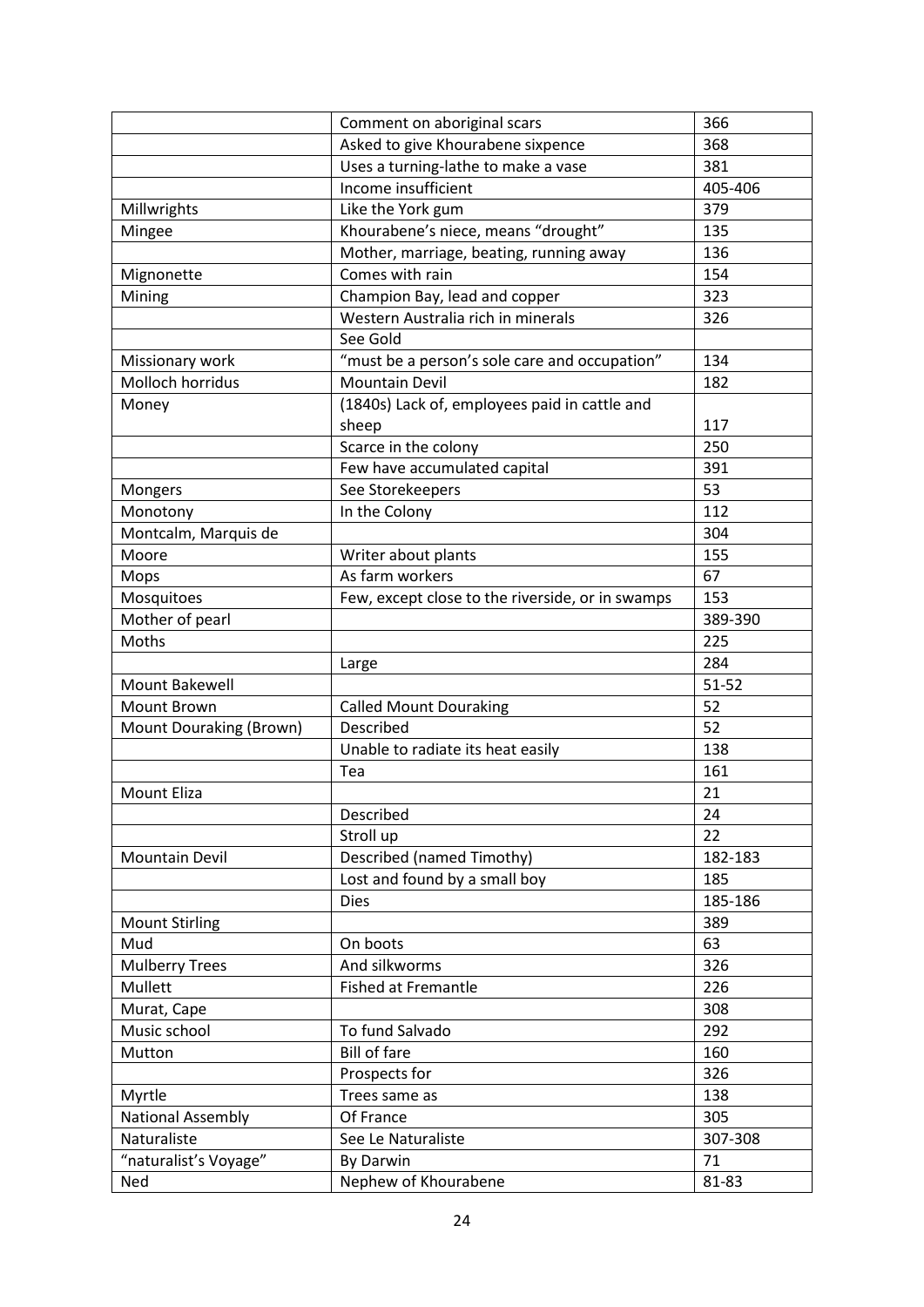|                          | Comment on aboriginal scars                      | 366       |
|--------------------------|--------------------------------------------------|-----------|
|                          | Asked to give Khourabene sixpence                | 368       |
|                          | Uses a turning-lathe to make a vase              | 381       |
|                          | Income insufficient                              | 405-406   |
| Millwrights              | Like the York gum                                | 379       |
| Mingee                   | Khourabene's niece, means "drought"              | 135       |
|                          | Mother, marriage, beating, running away          | 136       |
| Mignonette               | Comes with rain                                  | 154       |
| Mining                   | Champion Bay, lead and copper                    | 323       |
|                          | Western Australia rich in minerals               | 326       |
|                          | See Gold                                         |           |
| Missionary work          | "must be a person's sole care and occupation"    | 134       |
| Molloch horridus         | <b>Mountain Devil</b>                            | 182       |
| Money                    | (1840s) Lack of, employees paid in cattle and    |           |
|                          | sheep                                            | 117       |
|                          | Scarce in the colony                             | 250       |
|                          | Few have accumulated capital                     | 391       |
| Mongers                  | See Storekeepers                                 | 53        |
| Monotony                 | In the Colony                                    | 112       |
| Montcalm, Marquis de     |                                                  | 304       |
| Moore                    | Writer about plants                              | 155       |
| Mops                     | As farm workers                                  | 67        |
| Mosquitoes               | Few, except close to the riverside, or in swamps | 153       |
| Mother of pearl          |                                                  | 389-390   |
| Moths                    |                                                  | 225       |
|                          | Large                                            | 284       |
| <b>Mount Bakewell</b>    |                                                  | $51 - 52$ |
| Mount Brown              | <b>Called Mount Douraking</b>                    | 52        |
| Mount Douraking (Brown)  | Described                                        | 52        |
|                          | Unable to radiate its heat easily                | 138       |
|                          | Tea                                              | 161       |
| Mount Eliza              |                                                  | 21        |
|                          | Described                                        | 24        |
|                          | Stroll up                                        | 22        |
| <b>Mountain Devil</b>    | Described (named Timothy)                        | 182-183   |
|                          | Lost and found by a small boy                    | 185       |
|                          | <b>Dies</b>                                      | 185-186   |
| <b>Mount Stirling</b>    |                                                  | 389       |
| Mud                      | On boots                                         | 63        |
| <b>Mulberry Trees</b>    | And silkworms                                    | 326       |
| Mullett                  | <b>Fished at Fremantle</b>                       | 226       |
| Murat, Cape              |                                                  | 308       |
| Music school             | To fund Salvado                                  | 292       |
| Mutton                   | <b>Bill of fare</b>                              | 160       |
|                          | Prospects for                                    | 326       |
| Myrtle                   | Trees same as                                    | 138       |
| <b>National Assembly</b> | Of France                                        | 305       |
| Naturaliste              | See Le Naturaliste                               | 307-308   |
| "naturalist's Voyage"    | By Darwin                                        | 71        |
| Ned                      | Nephew of Khourabene                             | 81-83     |
|                          |                                                  |           |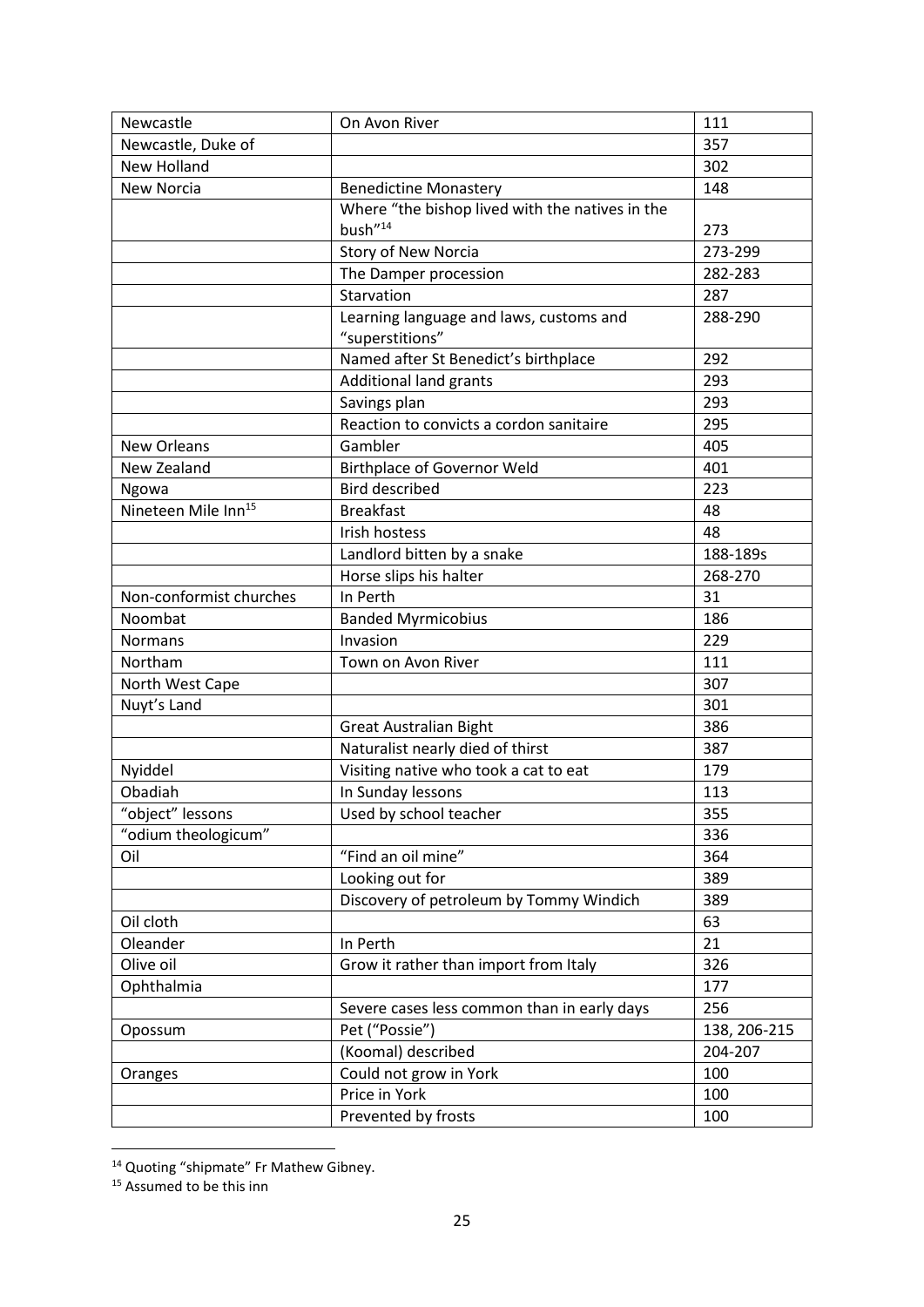| Newcastle                       | On Avon River                                   | 111          |
|---------------------------------|-------------------------------------------------|--------------|
| Newcastle, Duke of              |                                                 | 357          |
| New Holland                     |                                                 | 302          |
| <b>New Norcia</b>               | <b>Benedictine Monastery</b>                    | 148          |
|                                 | Where "the bishop lived with the natives in the |              |
|                                 | bush"14                                         | 273          |
|                                 | <b>Story of New Norcia</b>                      | 273-299      |
|                                 | The Damper procession                           | 282-283      |
|                                 | Starvation                                      | 287          |
|                                 | Learning language and laws, customs and         | 288-290      |
|                                 | "superstitions"                                 |              |
|                                 | Named after St Benedict's birthplace            | 292          |
|                                 | Additional land grants                          | 293          |
|                                 | Savings plan                                    | 293          |
|                                 | Reaction to convicts a cordon sanitaire         | 295          |
| <b>New Orleans</b>              | Gambler                                         | 405          |
| New Zealand                     | <b>Birthplace of Governor Weld</b>              | 401          |
| Ngowa                           | <b>Bird described</b>                           | 223          |
| Nineteen Mile Inn <sup>15</sup> | <b>Breakfast</b>                                | 48           |
|                                 | Irish hostess                                   | 48           |
|                                 | Landlord bitten by a snake                      | 188-189s     |
|                                 | Horse slips his halter                          | 268-270      |
| Non-conformist churches         | In Perth                                        | 31           |
| Noombat                         | <b>Banded Myrmicobius</b>                       | 186          |
| <b>Normans</b>                  | Invasion                                        | 229          |
| Northam                         | Town on Avon River                              | 111          |
| North West Cape                 |                                                 | 307          |
| Nuyt's Land                     |                                                 | 301          |
|                                 | <b>Great Australian Bight</b>                   | 386          |
|                                 | Naturalist nearly died of thirst                | 387          |
| Nyiddel                         | Visiting native who took a cat to eat           | 179          |
| Obadiah                         | In Sunday lessons                               | 113          |
| 'object" lessons                | Used by school teacher                          | 355          |
| "odium theologicum"             |                                                 | 336          |
| Oil                             | "Find an oil mine"                              | 364          |
|                                 | Looking out for                                 | 389          |
|                                 | Discovery of petroleum by Tommy Windich         | 389          |
| Oil cloth                       |                                                 | 63           |
| Oleander                        | In Perth                                        | 21           |
| Olive oil                       | Grow it rather than import from Italy           | 326          |
| Ophthalmia                      |                                                 | 177          |
|                                 | Severe cases less common than in early days     | 256          |
| Opossum                         | Pet ("Possie")                                  | 138, 206-215 |
|                                 | (Koomal) described                              | 204-207      |
| Oranges                         | Could not grow in York                          | 100          |
|                                 | Price in York                                   | 100          |
|                                 | Prevented by frosts                             | 100          |

<sup>&</sup>lt;sup>14</sup> Quoting "shipmate" Fr Mathew Gibney.

 $\overline{\phantom{a}}$ 

<sup>&</sup>lt;sup>15</sup> Assumed to be this inn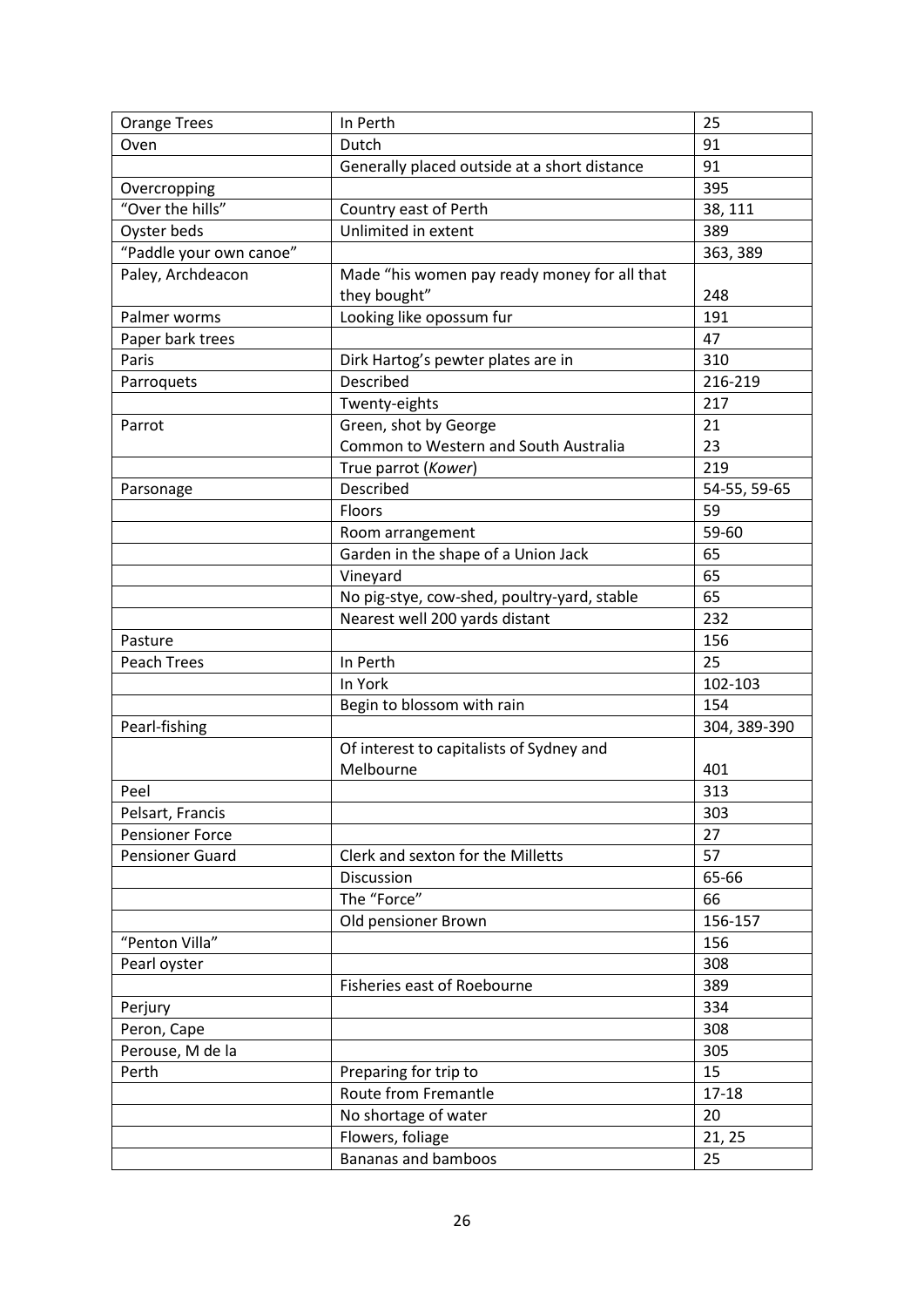| <b>Orange Trees</b>     | In Perth                                     | 25           |
|-------------------------|----------------------------------------------|--------------|
| Oven                    | Dutch                                        | 91           |
|                         | Generally placed outside at a short distance | 91           |
| Overcropping            |                                              | 395          |
| "Over the hills"        | Country east of Perth                        | 38, 111      |
| Oyster beds             | Unlimited in extent                          | 389          |
| "Paddle your own canoe" |                                              | 363, 389     |
| Paley, Archdeacon       | Made "his women pay ready money for all that |              |
|                         | they bought"                                 | 248          |
| Palmer worms            | Looking like opossum fur                     | 191          |
| Paper bark trees        |                                              | 47           |
| Paris                   | Dirk Hartog's pewter plates are in           | 310          |
| Parroquets              | Described                                    | 216-219      |
|                         | Twenty-eights                                | 217          |
| Parrot                  | Green, shot by George                        | 21           |
|                         | Common to Western and South Australia        | 23           |
|                         | True parrot (Kower)                          | 219          |
| Parsonage               | Described                                    | 54-55, 59-65 |
|                         | Floors                                       | 59           |
|                         | Room arrangement                             | 59-60        |
|                         | Garden in the shape of a Union Jack          | 65           |
|                         | Vineyard                                     | 65           |
|                         | No pig-stye, cow-shed, poultry-yard, stable  | 65           |
|                         | Nearest well 200 yards distant               | 232          |
| Pasture                 |                                              | 156          |
| Peach Trees             | In Perth                                     | 25           |
|                         | In York                                      | 102-103      |
|                         | Begin to blossom with rain                   | 154          |
| Pearl-fishing           |                                              | 304, 389-390 |
|                         | Of interest to capitalists of Sydney and     |              |
|                         | Melbourne                                    | 401          |
| Peel                    |                                              | 313          |
| Pelsart, Francis        |                                              | 303          |
| <b>Pensioner Force</b>  |                                              | 27           |
| <b>Pensioner Guard</b>  | Clerk and sexton for the Milletts            | 57           |
|                         | Discussion                                   | 65-66        |
|                         | The "Force"                                  | 66           |
|                         | Old pensioner Brown                          | 156-157      |
| "Penton Villa"          |                                              | 156          |
| Pearl oyster            |                                              | 308          |
|                         | Fisheries east of Roebourne                  | 389          |
| Perjury                 |                                              | 334          |
| Peron, Cape             |                                              | 308          |
| Perouse, M de la        |                                              | 305          |
| Perth                   | Preparing for trip to                        | 15           |
|                         | Route from Fremantle                         | 17-18        |
|                         | No shortage of water                         | 20           |
|                         | Flowers, foliage                             | 21, 25       |
|                         | Bananas and bamboos                          | 25           |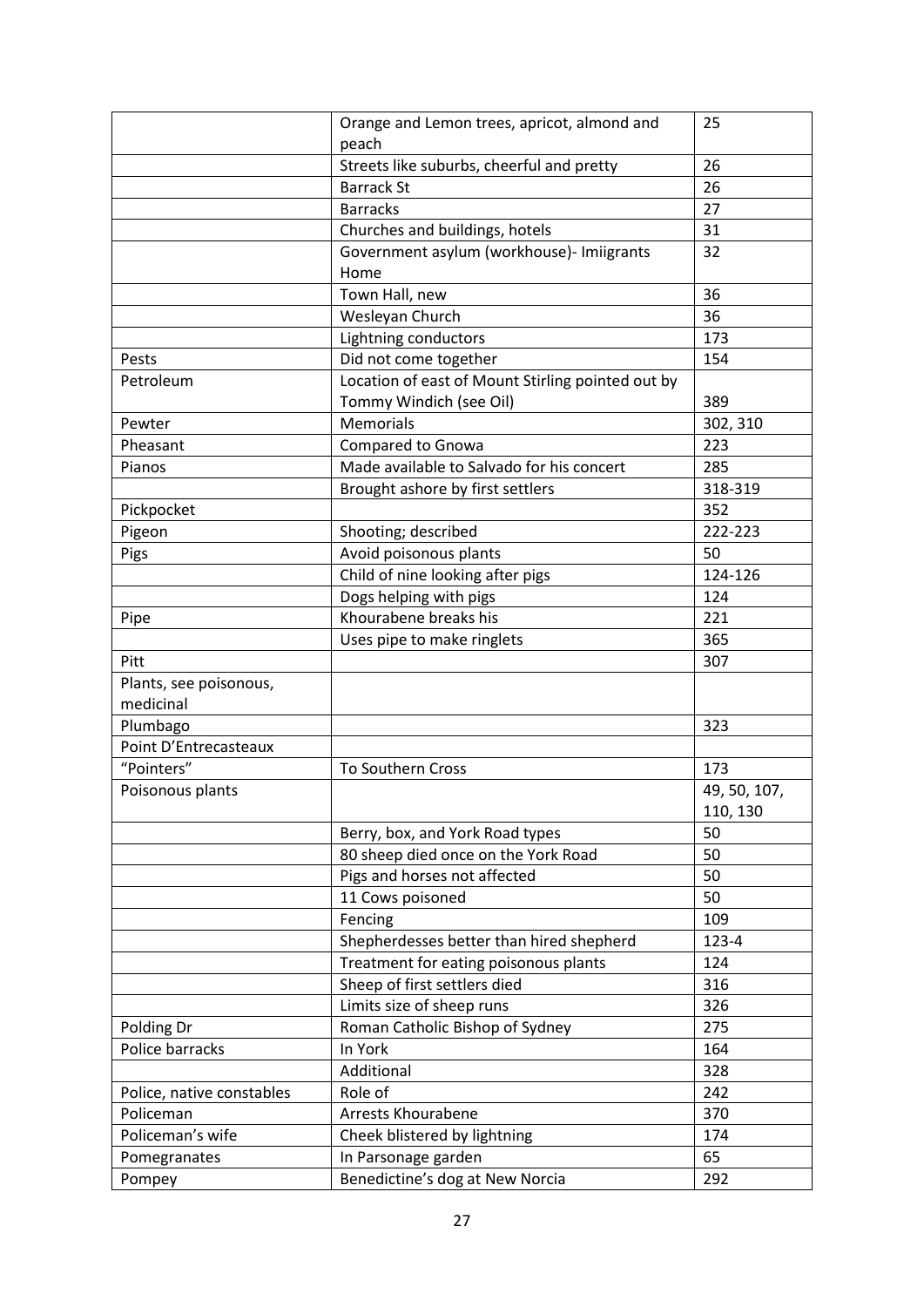|                           | Orange and Lemon trees, apricot, almond and       | 25           |
|---------------------------|---------------------------------------------------|--------------|
|                           | peach                                             |              |
|                           | Streets like suburbs, cheerful and pretty         | 26           |
|                           | <b>Barrack St</b>                                 | 26           |
|                           | <b>Barracks</b>                                   | 27           |
|                           | Churches and buildings, hotels                    | 31           |
|                           | Government asylum (workhouse)- Imiigrants<br>Home | 32           |
|                           | Town Hall, new                                    | 36           |
|                           | Wesleyan Church                                   | 36           |
|                           | Lightning conductors                              | 173          |
| Pests                     | Did not come together                             | 154          |
| Petroleum                 | Location of east of Mount Stirling pointed out by |              |
|                           | Tommy Windich (see Oil)                           | 389          |
| Pewter                    | Memorials                                         | 302, 310     |
| Pheasant                  | Compared to Gnowa                                 | 223          |
| Pianos                    | Made available to Salvado for his concert         | 285          |
|                           | Brought ashore by first settlers                  | 318-319      |
| Pickpocket                |                                                   | 352          |
| Pigeon                    | Shooting; described                               | 222-223      |
| Pigs                      | Avoid poisonous plants                            | 50           |
|                           | Child of nine looking after pigs                  | 124-126      |
|                           | Dogs helping with pigs                            | 124          |
| Pipe                      | Khourabene breaks his                             | 221          |
|                           | Uses pipe to make ringlets                        | 365          |
| Pitt                      |                                                   | 307          |
| Plants, see poisonous,    |                                                   |              |
| medicinal                 |                                                   |              |
| Plumbago                  |                                                   | 323          |
| Point D'Entrecasteaux     |                                                   |              |
| "Pointers"                | To Southern Cross                                 | 173          |
| Poisonous plants          |                                                   | 49, 50, 107, |
|                           |                                                   | 110, 130     |
|                           | Berry, box, and York Road types                   | 50           |
|                           | 80 sheep died once on the York Road               | 50           |
|                           | Pigs and horses not affected                      | 50           |
|                           | 11 Cows poisoned                                  | 50           |
|                           | Fencing                                           | 109          |
|                           | Shepherdesses better than hired shepherd          | 123-4        |
|                           | Treatment for eating poisonous plants             | 124          |
|                           | Sheep of first settlers died                      | 316          |
|                           | Limits size of sheep runs                         | 326          |
| Polding Dr                | Roman Catholic Bishop of Sydney                   | 275          |
| Police barracks           | In York                                           | 164          |
|                           | Additional                                        | 328          |
| Police, native constables | Role of                                           | 242          |
| Policeman                 | <b>Arrests Khourabene</b>                         | 370          |
| Policeman's wife          | Cheek blistered by lightning                      | 174          |
| Pomegranates              | In Parsonage garden                               | 65           |
| Pompey                    | Benedictine's dog at New Norcia                   | 292          |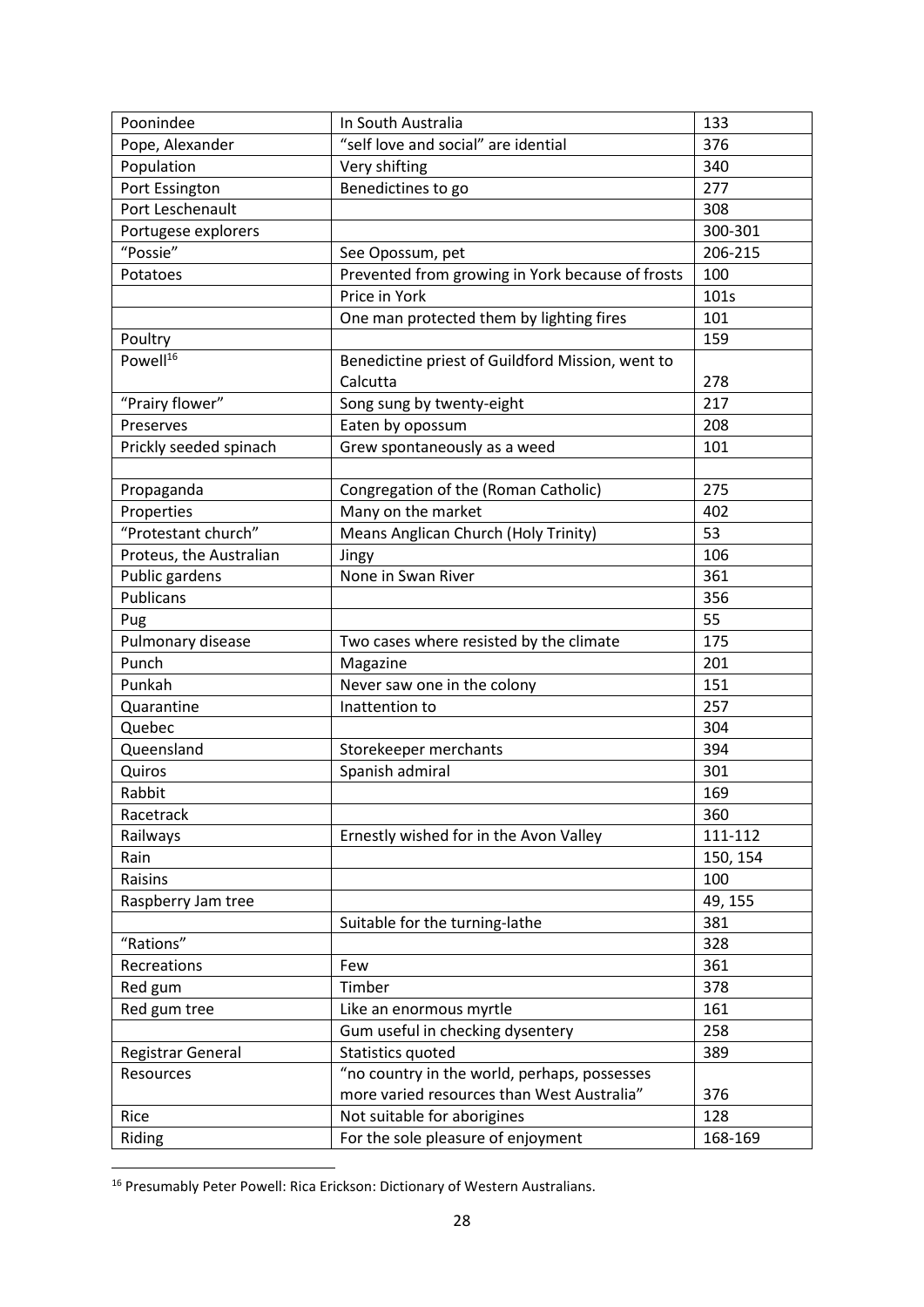| Poonindee               | In South Australia                               | 133      |
|-------------------------|--------------------------------------------------|----------|
| Pope, Alexander         | "self love and social" are idential              | 376      |
| Population              | Very shifting                                    | 340      |
| Port Essington          | Benedictines to go                               | 277      |
| Port Leschenault        |                                                  | 308      |
| Portugese explorers     |                                                  | 300-301  |
| "Possie"                | See Opossum, pet                                 | 206-215  |
| Potatoes                | Prevented from growing in York because of frosts | 100      |
|                         | Price in York                                    | 101s     |
|                         | One man protected them by lighting fires         | 101      |
| Poultry                 |                                                  | 159      |
| $Powell^{16}$           | Benedictine priest of Guildford Mission, went to |          |
|                         | Calcutta                                         | 278      |
| "Prairy flower"         | Song sung by twenty-eight                        | 217      |
| Preserves               | Eaten by opossum                                 | 208      |
| Prickly seeded spinach  | Grew spontaneously as a weed                     | 101      |
|                         |                                                  |          |
| Propaganda              | Congregation of the (Roman Catholic)             | 275      |
| Properties              | Many on the market                               | 402      |
| "Protestant church"     | Means Anglican Church (Holy Trinity)             | 53       |
| Proteus, the Australian | Jingy                                            | 106      |
| Public gardens          | None in Swan River                               | 361      |
| Publicans               |                                                  | 356      |
| Pug                     |                                                  | 55       |
| Pulmonary disease       | Two cases where resisted by the climate          | 175      |
| Punch                   | Magazine                                         | 201      |
| Punkah                  | Never saw one in the colony                      | 151      |
| Quarantine              | Inattention to                                   | 257      |
| Quebec                  |                                                  | 304      |
| Queensland              | Storekeeper merchants                            | 394      |
| Quiros                  | Spanish admiral                                  | 301      |
| Rabbit                  |                                                  | 169      |
| Racetrack               |                                                  | 360      |
| Railways                | Ernestly wished for in the Avon Valley           | 111-112  |
| Rain                    |                                                  | 150, 154 |
| Raisins                 |                                                  | 100      |
| Raspberry Jam tree      |                                                  | 49, 155  |
|                         | Suitable for the turning-lathe                   | 381      |
| "Rations"               |                                                  | 328      |
| Recreations             | Few                                              | 361      |
| Red gum                 | Timber                                           | 378      |
| Red gum tree            | Like an enormous myrtle                          | 161      |
|                         | Gum useful in checking dysentery                 | 258      |
| Registrar General       | Statistics quoted                                | 389      |
| Resources               | "no country in the world, perhaps, possesses     |          |
|                         | more varied resources than West Australia"       | 376      |
| Rice                    | Not suitable for aborigines                      | 128      |
| Riding                  | For the sole pleasure of enjoyment               | 168-169  |

<sup>&</sup>lt;sup>16</sup> Presumably Peter Powell: Rica Erickson: Dictionary of Western Australians.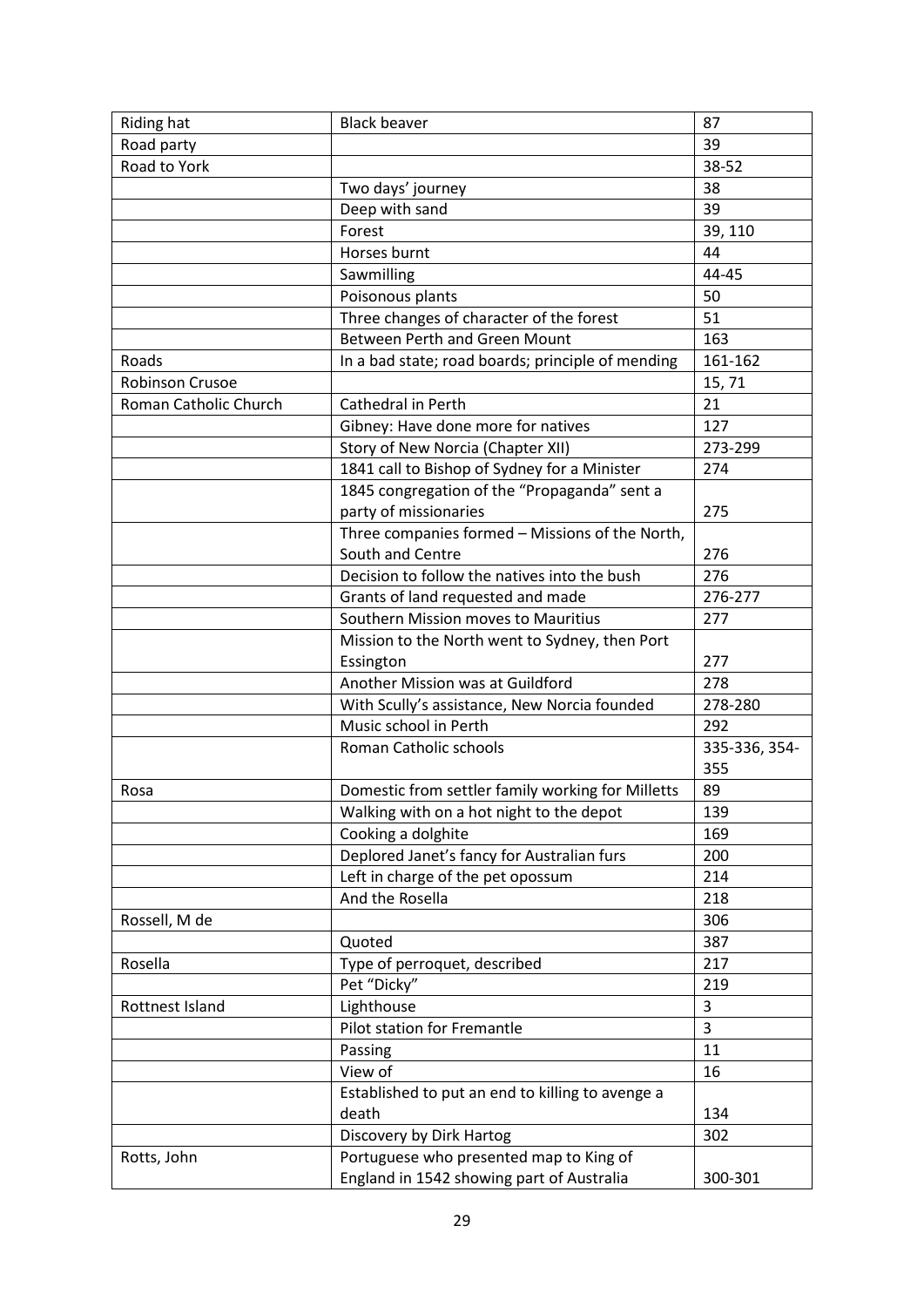| Riding hat            | <b>Black beaver</b>                                       | 87             |
|-----------------------|-----------------------------------------------------------|----------------|
| Road party            |                                                           | 39             |
| Road to York          |                                                           | 38-52          |
|                       | Two days' journey                                         | 38             |
|                       | Deep with sand                                            | 39             |
|                       | Forest                                                    | 39, 110        |
|                       | Horses burnt                                              | 44             |
|                       | Sawmilling                                                | 44-45          |
|                       | Poisonous plants                                          | 50             |
|                       | Three changes of character of the forest                  | 51             |
|                       | <b>Between Perth and Green Mount</b>                      | 163            |
| Roads                 | In a bad state; road boards; principle of mending         | 161-162        |
| Robinson Crusoe       |                                                           | 15,71          |
| Roman Catholic Church | Cathedral in Perth                                        | 21             |
|                       | Gibney: Have done more for natives                        | 127            |
|                       | Story of New Norcia (Chapter XII)                         | 273-299        |
|                       | 1841 call to Bishop of Sydney for a Minister              | 274            |
|                       | 1845 congregation of the "Propaganda" sent a              |                |
|                       | party of missionaries                                     | 275            |
|                       | Three companies formed - Missions of the North,           |                |
|                       | South and Centre                                          | 276            |
|                       | Decision to follow the natives into the bush              | 276            |
|                       | Grants of land requested and made                         | 276-277        |
|                       | Southern Mission moves to Mauritius                       | 277            |
|                       | Mission to the North went to Sydney, then Port            |                |
|                       | Essington                                                 | 277            |
|                       | Another Mission was at Guildford                          | 278            |
|                       | With Scully's assistance, New Norcia founded              | 278-280        |
|                       | Music school in Perth                                     | 292            |
|                       | <b>Roman Catholic schools</b>                             | 335-336, 354-  |
|                       |                                                           | 355            |
| Rosa                  | Domestic from settler family working for Milletts         | 89             |
|                       | Walking with on a hot night to the depot                  | 139            |
|                       | Cooking a dolghite                                        | 169            |
|                       | Deplored Janet's fancy for Australian furs                | 200            |
|                       | Left in charge of the pet opossum                         | 214            |
|                       | And the Rosella                                           | 218            |
| Rossell, M de         |                                                           | 306            |
|                       | Quoted                                                    | 387            |
| Rosella               | Type of perroquet, described                              | 217            |
|                       | Pet "Dicky"                                               | 219            |
| Rottnest Island       | Lighthouse                                                | $\overline{3}$ |
|                       | <b>Pilot station for Fremantle</b>                        | 3              |
|                       | Passing                                                   | 11             |
|                       | View of                                                   | 16             |
|                       |                                                           |                |
|                       | Established to put an end to killing to avenge a<br>death | 134            |
|                       |                                                           | 302            |
|                       | Discovery by Dirk Hartog                                  |                |
| Rotts, John           | Portuguese who presented map to King of                   |                |
|                       | England in 1542 showing part of Australia                 | 300-301        |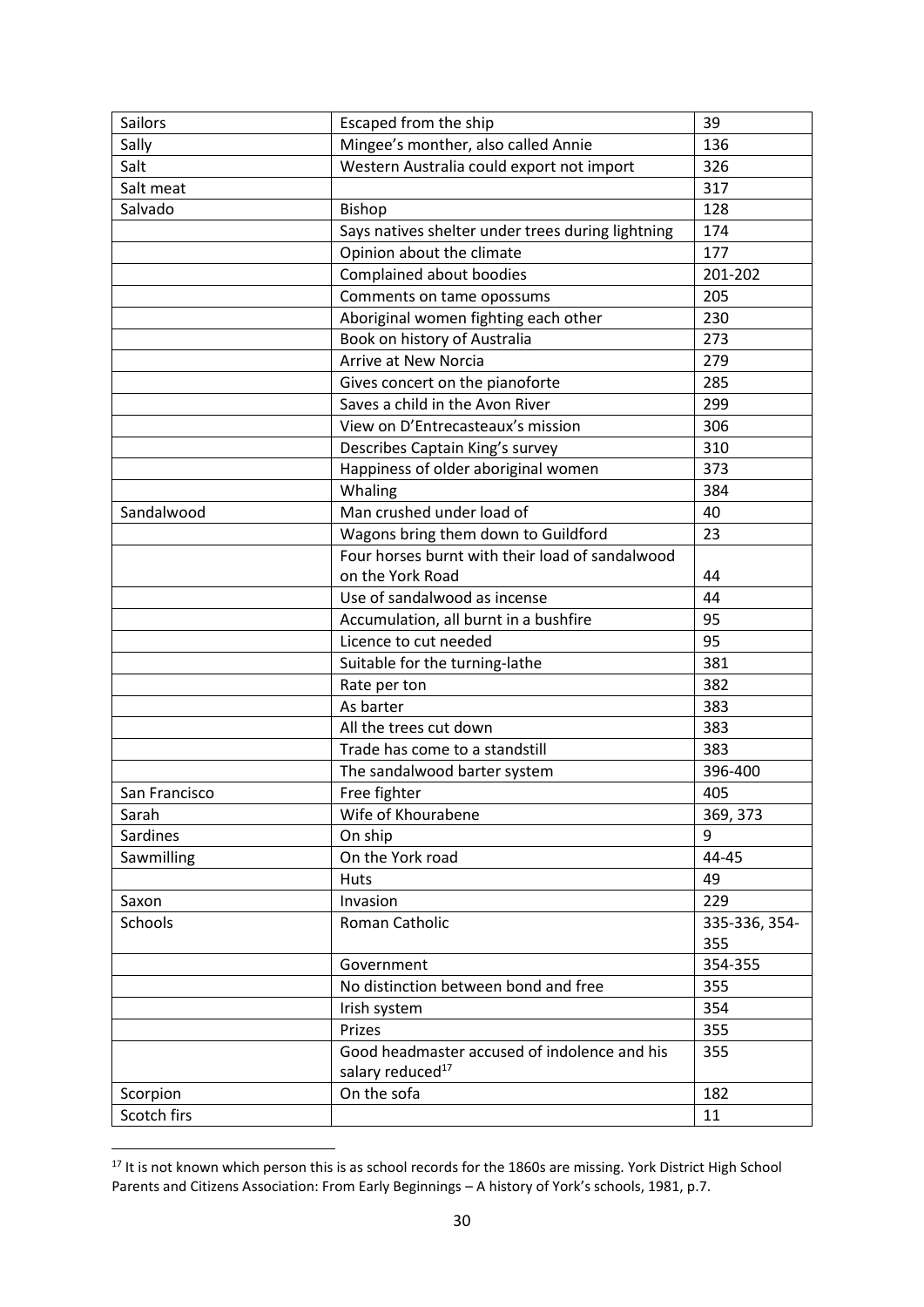| <b>Sailors</b> | Escaped from the ship                                                        | 39            |
|----------------|------------------------------------------------------------------------------|---------------|
| Sally          | Mingee's monther, also called Annie                                          | 136           |
| Salt           | Western Australia could export not import                                    | 326           |
| Salt meat      |                                                                              | 317           |
| Salvado        | Bishop                                                                       | 128           |
|                | Says natives shelter under trees during lightning                            | 174           |
|                | Opinion about the climate                                                    | 177           |
|                | Complained about boodies                                                     | 201-202       |
|                | Comments on tame opossums                                                    | 205           |
|                | Aboriginal women fighting each other                                         | 230           |
|                | Book on history of Australia                                                 | 273           |
|                | Arrive at New Norcia                                                         | 279           |
|                | Gives concert on the pianoforte                                              | 285           |
|                | Saves a child in the Avon River                                              | 299           |
|                | View on D'Entrecasteaux's mission                                            | 306           |
|                | Describes Captain King's survey                                              | 310           |
|                | Happiness of older aboriginal women                                          | 373           |
|                | Whaling                                                                      | 384           |
| Sandalwood     | Man crushed under load of                                                    | 40            |
|                | Wagons bring them down to Guildford                                          | 23            |
|                | Four horses burnt with their load of sandalwood                              |               |
|                | on the York Road                                                             | 44            |
|                | Use of sandalwood as incense                                                 | 44            |
|                | Accumulation, all burnt in a bushfire                                        | 95            |
|                | Licence to cut needed                                                        | 95            |
|                | Suitable for the turning-lathe                                               | 381           |
|                | Rate per ton                                                                 | 382           |
|                | As barter                                                                    | 383           |
|                | All the trees cut down                                                       | 383           |
|                | Trade has come to a standstill                                               | 383           |
|                | The sandalwood barter system                                                 | 396-400       |
| San Francisco  | Free fighter                                                                 | 405           |
| Sarah          | Wife of Khourabene                                                           | 369, 373      |
| Sardines       | On ship                                                                      | 9             |
| Sawmilling     | On the York road                                                             | 44-45         |
|                | <b>Huts</b>                                                                  | 49            |
| Saxon          | Invasion                                                                     | 229           |
| Schools        | Roman Catholic                                                               | 335-336, 354- |
|                |                                                                              | 355           |
|                | Government                                                                   | 354-355       |
|                | No distinction between bond and free                                         | 355           |
|                | Irish system                                                                 | 354           |
|                | Prizes                                                                       | 355           |
|                | Good headmaster accused of indolence and his<br>salary reduced <sup>17</sup> | 355           |
| Scorpion       | On the sofa                                                                  | 182           |
| Scotch firs    |                                                                              | 11            |

<sup>&</sup>lt;sup>17</sup> It is not known which person this is as school records for the 1860s are missing. York District High School Parents and Citizens Association: From Early Beginnings – A history of York's schools, 1981, p.7.

 $\overline{a}$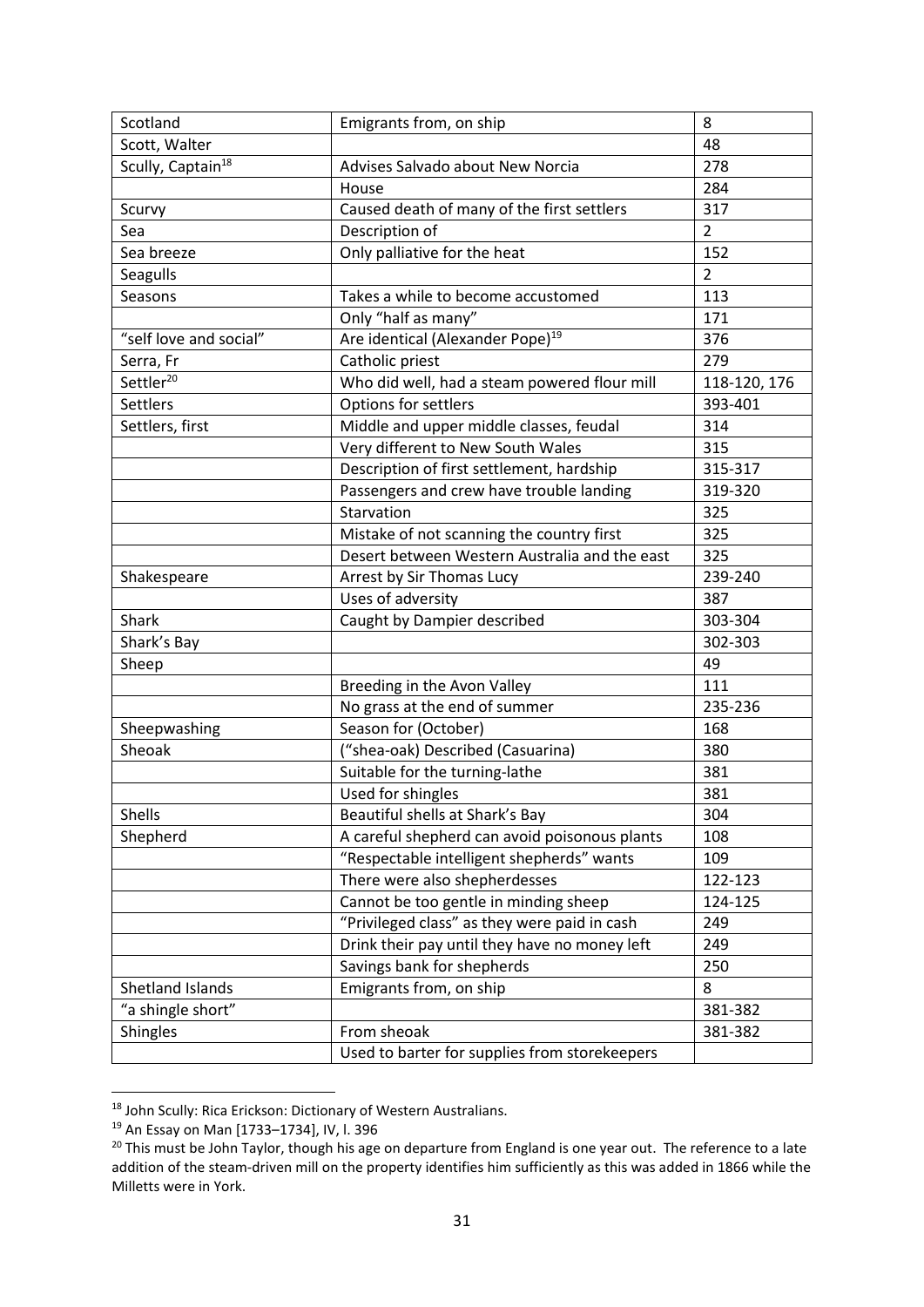| Scotland                      | Emigrants from, on ship                       | 8              |
|-------------------------------|-----------------------------------------------|----------------|
| Scott, Walter                 |                                               | 48             |
| Scully, Captain <sup>18</sup> | Advises Salvado about New Norcia              | 278            |
|                               | House                                         | 284            |
| Scurvy                        | Caused death of many of the first settlers    | 317            |
| Sea                           | Description of                                | $\overline{2}$ |
| Sea breeze                    | Only palliative for the heat                  | 152            |
| Seagulls                      |                                               | $\overline{2}$ |
| Seasons                       | Takes a while to become accustomed            | 113            |
|                               | Only "half as many"                           | 171            |
| "self love and social"        | Are identical (Alexander Pope) <sup>19</sup>  | 376            |
| Serra, Fr                     | Catholic priest                               | 279            |
| Settler <sup>20</sup>         | Who did well, had a steam powered flour mill  | 118-120, 176   |
| <b>Settlers</b>               | Options for settlers                          | 393-401        |
| Settlers, first               | Middle and upper middle classes, feudal       | 314            |
|                               | Very different to New South Wales             | 315            |
|                               | Description of first settlement, hardship     | 315-317        |
|                               | Passengers and crew have trouble landing      | 319-320        |
|                               | Starvation                                    | 325            |
|                               | Mistake of not scanning the country first     | 325            |
|                               | Desert between Western Australia and the east | 325            |
| Shakespeare                   | Arrest by Sir Thomas Lucy                     | 239-240        |
|                               | Uses of adversity                             | 387            |
| <b>Shark</b>                  | Caught by Dampier described                   | 303-304        |
| Shark's Bay                   |                                               | 302-303        |
| Sheep                         |                                               | 49             |
|                               | Breeding in the Avon Valley                   | 111            |
|                               | No grass at the end of summer                 | 235-236        |
| Sheepwashing                  | Season for (October)                          | 168            |
| Sheoak                        | ("shea-oak) Described (Casuarina)             | 380            |
|                               | Suitable for the turning-lathe                | 381            |
|                               | Used for shingles                             | 381            |
| <b>Shells</b>                 | Beautiful shells at Shark's Bay               | 304            |
| Shepherd                      | A careful shepherd can avoid poisonous plants | 108            |
|                               | "Respectable intelligent shepherds" wants     | 109            |
|                               | There were also shepherdesses                 | 122-123        |
|                               | Cannot be too gentle in minding sheep         | 124-125        |
|                               | "Privileged class" as they were paid in cash  | 249            |
|                               | Drink their pay until they have no money left | 249            |
|                               | Savings bank for shepherds                    | 250            |
| Shetland Islands              | Emigrants from, on ship                       | 8              |
| "a shingle short"             |                                               | 381-382        |
| <b>Shingles</b>               | From sheoak                                   | 381-382        |
|                               | Used to barter for supplies from storekeepers |                |

<sup>18</sup> John Scully: Rica Erickson: Dictionary of Western Australians.

<sup>19</sup> An Essay on Man [1733–1734], IV, l. 396

<sup>&</sup>lt;sup>20</sup> This must be John Taylor, though his age on departure from England is one year out. The reference to a late addition of the steam-driven mill on the property identifies him sufficiently as this was added in 1866 while the Milletts were in York.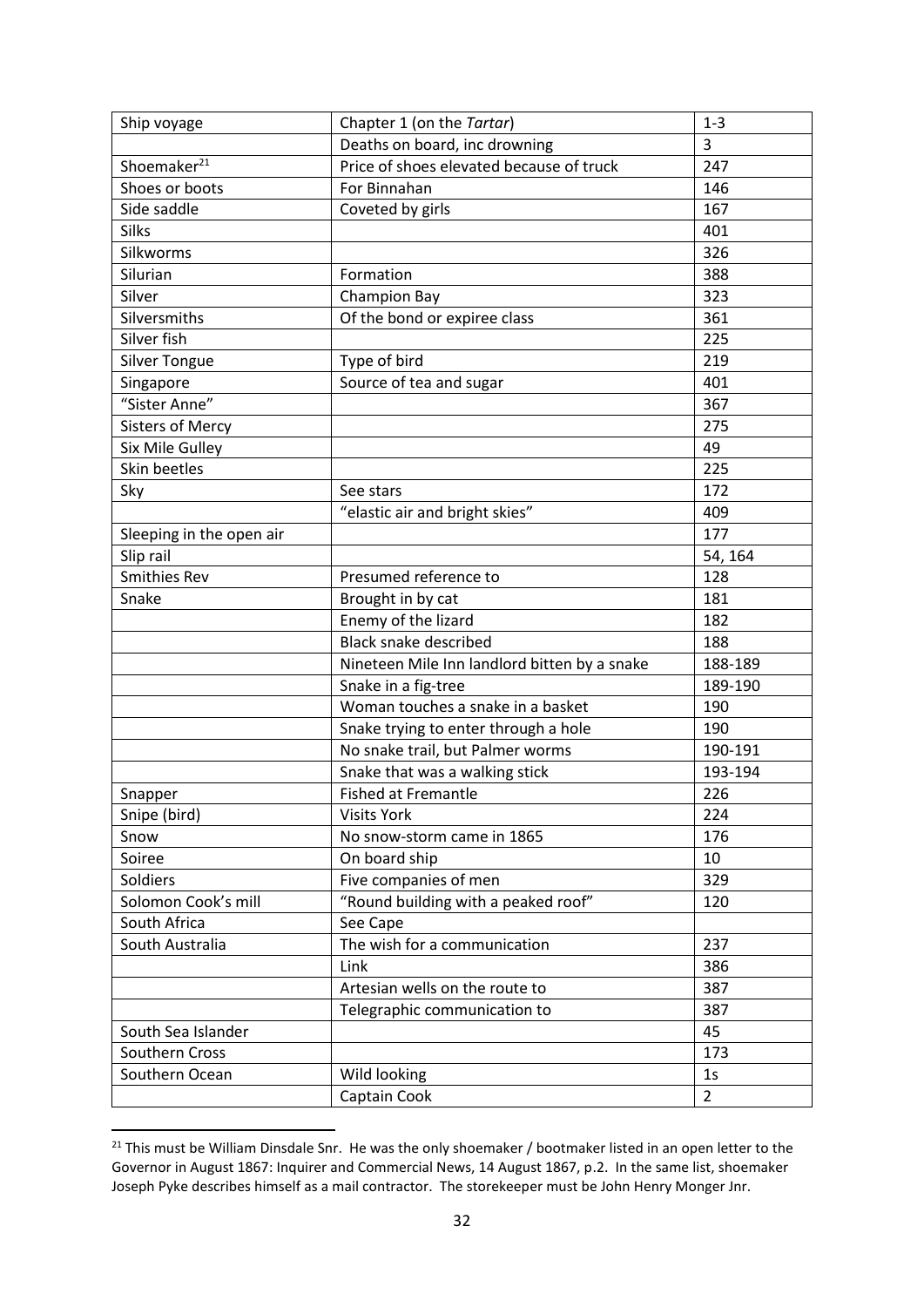| Ship voyage              | Chapter 1 (on the Tartar)                    | $1 - 3$        |
|--------------------------|----------------------------------------------|----------------|
|                          | Deaths on board, inc drowning                | 3              |
| Shoemaker <sup>21</sup>  | Price of shoes elevated because of truck     | 247            |
| Shoes or boots           | For Binnahan                                 | 146            |
| Side saddle              | Coveted by girls                             | 167            |
| Silks                    |                                              | 401            |
| Silkworms                |                                              | 326            |
| Silurian                 | Formation                                    | 388            |
| Silver                   | Champion Bay                                 | 323            |
| Silversmiths             | Of the bond or expiree class                 | 361            |
| Silver fish              |                                              | 225            |
| <b>Silver Tongue</b>     | Type of bird                                 | 219            |
| Singapore                | Source of tea and sugar                      | 401            |
| "Sister Anne"            |                                              | 367            |
| <b>Sisters of Mercy</b>  |                                              | 275            |
| Six Mile Gulley          |                                              | 49             |
| Skin beetles             |                                              | 225            |
| Sky                      | See stars                                    | 172            |
|                          | "elastic air and bright skies"               | 409            |
| Sleeping in the open air |                                              | 177            |
| Slip rail                |                                              | 54, 164        |
| <b>Smithies Rev</b>      | Presumed reference to                        | 128            |
| Snake                    | Brought in by cat                            | 181            |
|                          | Enemy of the lizard                          | 182            |
|                          | <b>Black snake described</b>                 | 188            |
|                          | Nineteen Mile Inn landlord bitten by a snake | 188-189        |
|                          | Snake in a fig-tree                          | 189-190        |
|                          | Woman touches a snake in a basket            | 190            |
|                          | Snake trying to enter through a hole         | 190            |
|                          | No snake trail, but Palmer worms             | 190-191        |
|                          | Snake that was a walking stick               | 193-194        |
| Snapper                  | <b>Fished at Fremantle</b>                   | 226            |
| Snipe (bird)             | <b>Visits York</b>                           | 224            |
| Snow                     | No snow-storm came in 1865                   | 176            |
| Soiree                   | On board ship                                | 10             |
| Soldiers                 | Five companies of men                        | 329            |
| Solomon Cook's mill      | "Round building with a peaked roof"          | 120            |
| South Africa             | See Cape                                     |                |
| South Australia          | The wish for a communication                 | 237            |
|                          | Link                                         | 386            |
|                          | Artesian wells on the route to               | 387            |
|                          | Telegraphic communication to                 | 387            |
| South Sea Islander       |                                              | 45             |
| Southern Cross           |                                              | 173            |
| Southern Ocean           | Wild looking                                 | 1 <sub>S</sub> |
|                          | Captain Cook                                 | $\overline{2}$ |
|                          |                                              |                |

<sup>&</sup>lt;sup>21</sup> This must be William Dinsdale Snr. He was the only shoemaker / bootmaker listed in an open letter to the Governor in August 1867: Inquirer and Commercial News, 14 August 1867, p.2. In the same list, shoemaker Joseph Pyke describes himself as a mail contractor. The storekeeper must be John Henry Monger Jnr.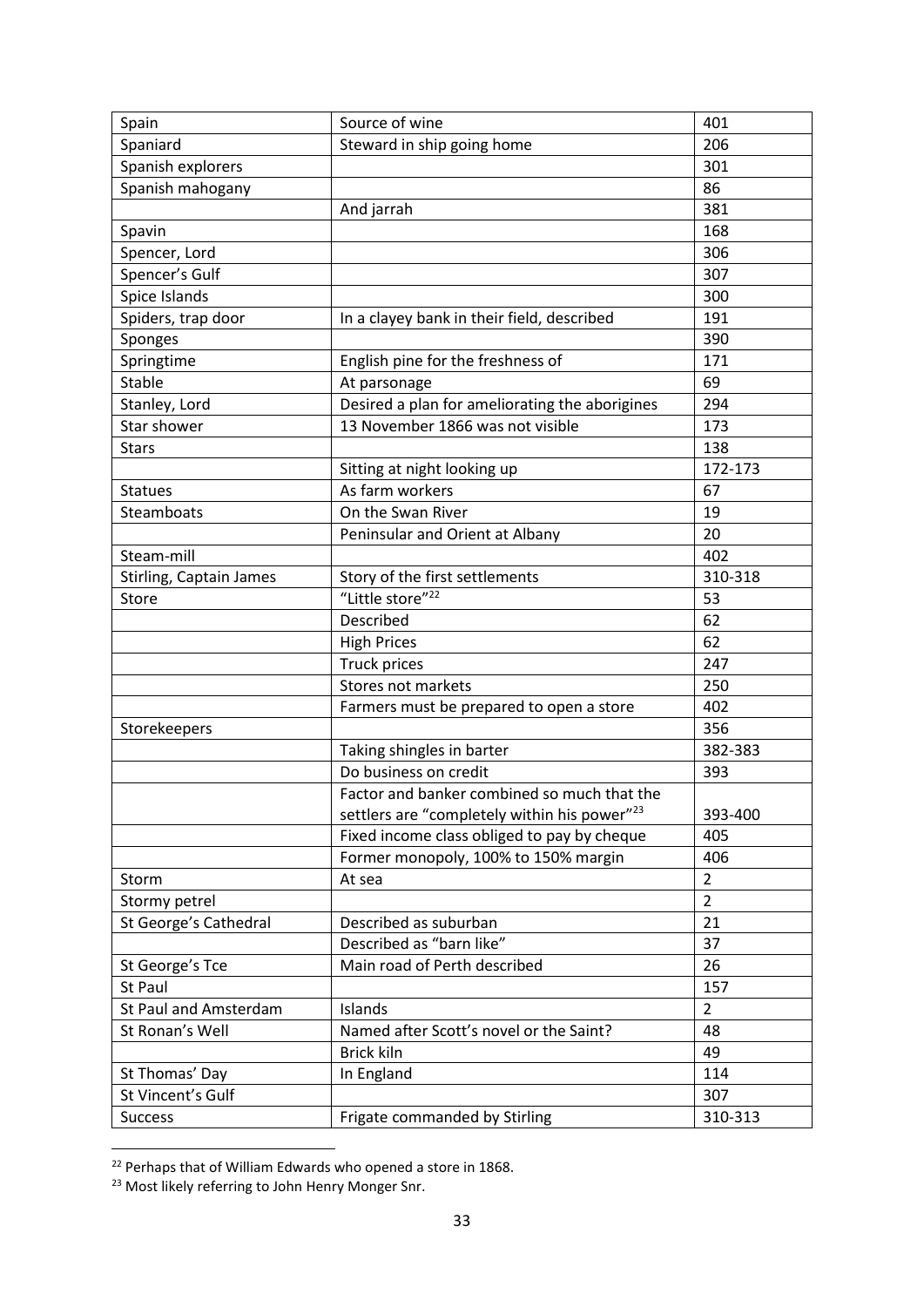| Spain                        | Source of wine                                           | 401            |
|------------------------------|----------------------------------------------------------|----------------|
| Spaniard                     | Steward in ship going home                               | 206            |
| Spanish explorers            |                                                          | 301            |
| Spanish mahogany             |                                                          | 86             |
|                              | And jarrah                                               | 381            |
| Spavin                       |                                                          | 168            |
| Spencer, Lord                |                                                          | 306            |
| Spencer's Gulf               |                                                          | 307            |
| Spice Islands                |                                                          | 300            |
| Spiders, trap door           | In a clayey bank in their field, described               | 191            |
| Sponges                      |                                                          | 390            |
| Springtime                   | English pine for the freshness of                        | 171            |
| <b>Stable</b>                | At parsonage                                             | 69             |
| Stanley, Lord                | Desired a plan for ameliorating the aborigines           | 294            |
| Star shower                  | 13 November 1866 was not visible                         | 173            |
| <b>Stars</b>                 |                                                          | 138            |
|                              | Sitting at night looking up                              | 172-173        |
| <b>Statues</b>               | As farm workers                                          | 67             |
| Steamboats                   | On the Swan River                                        | 19             |
|                              | Peninsular and Orient at Albany                          | 20             |
| Steam-mill                   |                                                          | 402            |
| Stirling, Captain James      | Story of the first settlements                           | 310-318        |
| Store                        | "Little store" <sup>22</sup>                             | 53             |
|                              | Described                                                | 62             |
|                              | <b>High Prices</b>                                       | 62             |
|                              | Truck prices                                             | 247            |
|                              | Stores not markets                                       | 250            |
|                              | Farmers must be prepared to open a store                 | 402            |
| Storekeepers                 |                                                          | 356            |
|                              | Taking shingles in barter                                | 382-383        |
|                              | Do business on credit                                    | 393            |
|                              | Factor and banker combined so much that the              |                |
|                              | settlers are "completely within his power" <sup>23</sup> | 393-400        |
|                              | Fixed income class obliged to pay by cheque              | 405            |
|                              | Former monopoly, 100% to 150% margin                     | 406            |
| Storm                        | At sea                                                   | $\overline{2}$ |
| Stormy petrel                |                                                          | $\overline{2}$ |
| St George's Cathedral        | Described as suburban                                    | 21             |
|                              | Described as "barn like"                                 | 37             |
| St George's Tce              | Main road of Perth described                             | 26             |
| St Paul                      |                                                          | 157            |
| <b>St Paul and Amsterdam</b> | Islands                                                  | $\overline{2}$ |
| St Ronan's Well              | Named after Scott's novel or the Saint?                  | 48             |
|                              | Brick kiln                                               | 49             |
| St Thomas' Day               | In England                                               | 114            |
| St Vincent's Gulf            |                                                          | 307            |
| <b>Success</b>               | Frigate commanded by Stirling                            | 310-313        |

<sup>&</sup>lt;sup>22</sup> Perhaps that of William Edwards who opened a store in 1868.

 $\overline{a}$ 

<sup>&</sup>lt;sup>23</sup> Most likely referring to John Henry Monger Snr.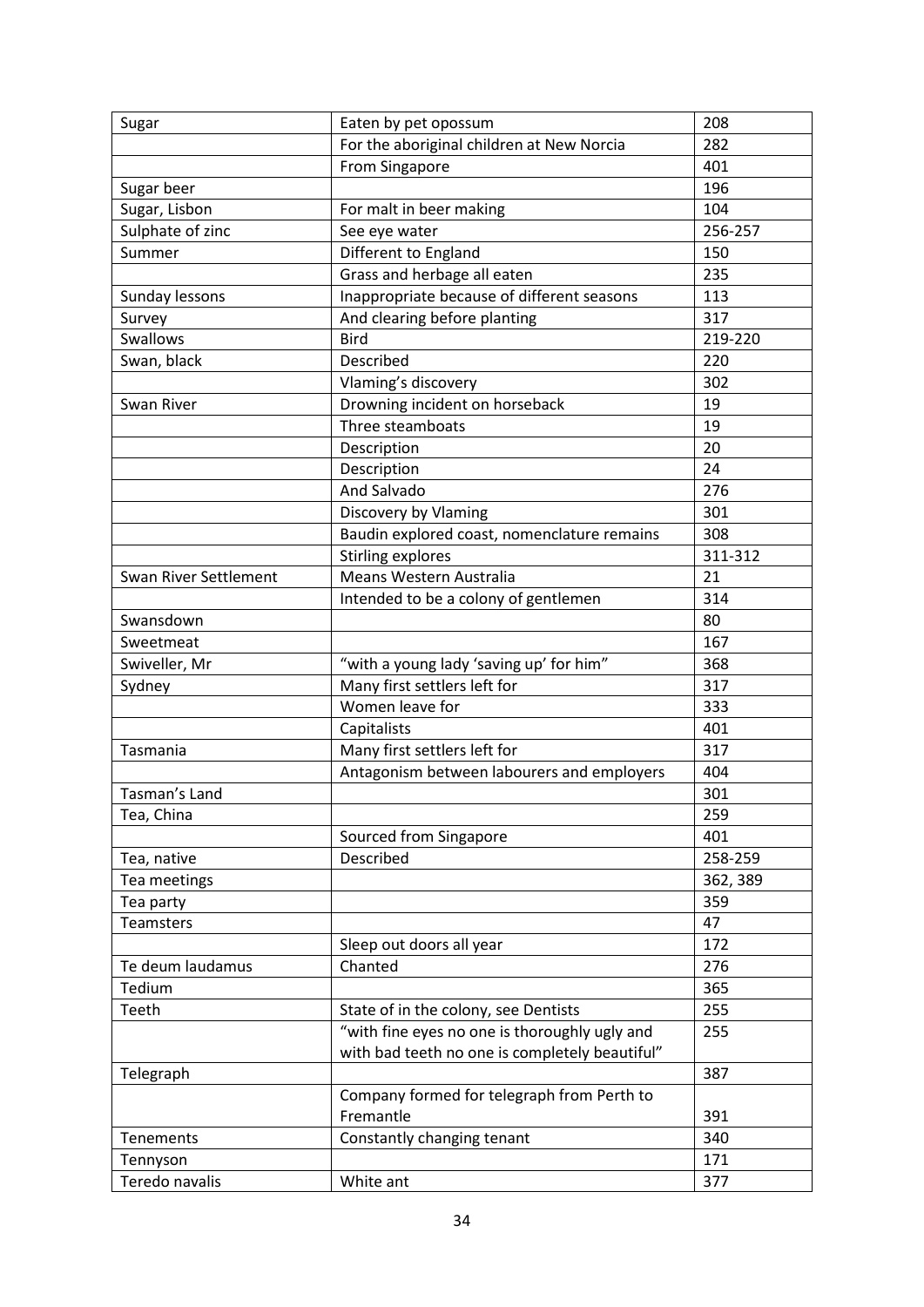| Sugar                 | Eaten by pet opossum                           | 208      |
|-----------------------|------------------------------------------------|----------|
|                       | For the aboriginal children at New Norcia      | 282      |
|                       | From Singapore                                 | 401      |
| Sugar beer            |                                                | 196      |
| Sugar, Lisbon         | For malt in beer making                        | 104      |
| Sulphate of zinc      | See eye water                                  | 256-257  |
| Summer                | Different to England                           | 150      |
|                       | Grass and herbage all eaten                    | 235      |
| Sunday lessons        | Inappropriate because of different seasons     | 113      |
| Survey                | And clearing before planting                   | 317      |
| Swallows              | <b>Bird</b>                                    | 219-220  |
| Swan, black           | Described                                      | 220      |
|                       | Vlaming's discovery                            | 302      |
| Swan River            | Drowning incident on horseback                 | 19       |
|                       | Three steamboats                               | 19       |
|                       | Description                                    | 20       |
|                       | Description                                    | 24       |
|                       | And Salvado                                    | 276      |
|                       | Discovery by Vlaming                           | 301      |
|                       | Baudin explored coast, nomenclature remains    | 308      |
|                       | <b>Stirling explores</b>                       | 311-312  |
| Swan River Settlement | Means Western Australia                        | 21       |
|                       | Intended to be a colony of gentlemen           | 314      |
| Swansdown             |                                                | 80       |
| Sweetmeat             |                                                | 167      |
| Swiveller, Mr         | "with a young lady 'saving up' for him"        | 368      |
| Sydney                | Many first settlers left for                   | 317      |
|                       | Women leave for                                | 333      |
|                       | Capitalists                                    | 401      |
| Tasmania              | Many first settlers left for                   | 317      |
|                       | Antagonism between labourers and employers     | 404      |
| Tasman's Land         |                                                | 301      |
| Tea, China            |                                                | 259      |
|                       | Sourced from Singapore                         | 401      |
| Tea, native           | Described                                      | 258-259  |
| Tea meetings          |                                                | 362, 389 |
| Tea party             |                                                | 359      |
| <b>Teamsters</b>      |                                                | 47       |
|                       | Sleep out doors all year                       | 172      |
| Te deum laudamus      | Chanted                                        | 276      |
| Tedium                |                                                | 365      |
| Teeth                 | State of in the colony, see Dentists           | 255      |
|                       | "with fine eyes no one is thoroughly ugly and  | 255      |
|                       | with bad teeth no one is completely beautiful" |          |
| Telegraph             |                                                | 387      |
|                       | Company formed for telegraph from Perth to     |          |
|                       | Fremantle                                      | 391      |
| Tenements             | Constantly changing tenant                     | 340      |
| Tennyson              |                                                | 171      |
| Teredo navalis        | White ant                                      | 377      |
|                       |                                                |          |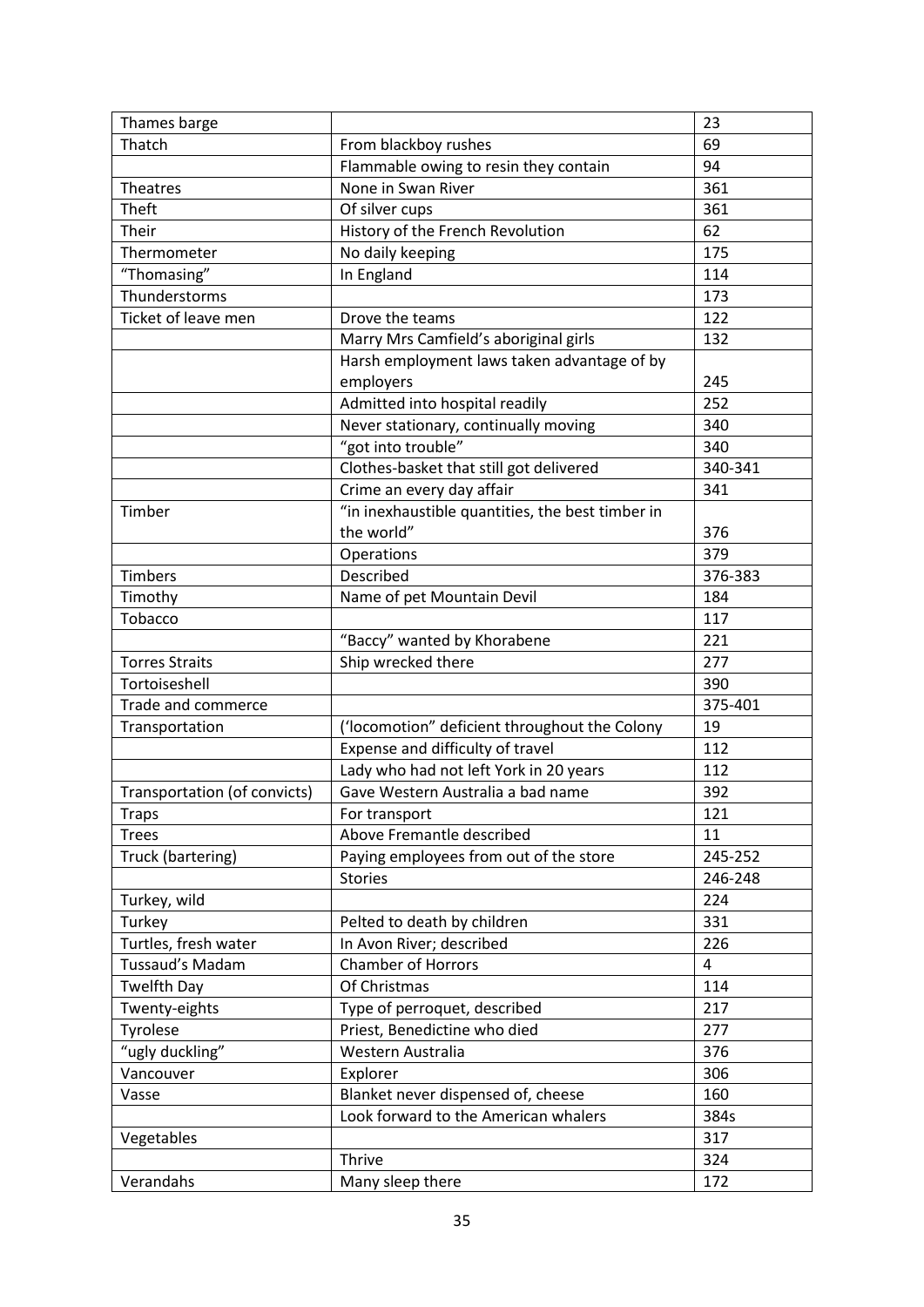| Thames barge                 |                                                  | 23      |
|------------------------------|--------------------------------------------------|---------|
| Thatch                       | From blackboy rushes                             | 69      |
|                              | Flammable owing to resin they contain            | 94      |
| Theatres                     | None in Swan River                               | 361     |
| Theft                        | Of silver cups                                   | 361     |
| Their                        | History of the French Revolution                 | 62      |
| Thermometer                  | No daily keeping                                 | 175     |
| "Thomasing"                  | In England                                       | 114     |
| Thunderstorms                |                                                  | 173     |
| Ticket of leave men          | Drove the teams                                  | 122     |
|                              | Marry Mrs Camfield's aboriginal girls            | 132     |
|                              | Harsh employment laws taken advantage of by      |         |
|                              | employers                                        | 245     |
|                              | Admitted into hospital readily                   | 252     |
|                              | Never stationary, continually moving             | 340     |
|                              | "got into trouble"                               | 340     |
|                              | Clothes-basket that still got delivered          | 340-341 |
|                              | Crime an every day affair                        | 341     |
| Timber                       | "in inexhaustible quantities, the best timber in |         |
|                              | the world"                                       | 376     |
|                              | Operations                                       | 379     |
| <b>Timbers</b>               | Described                                        | 376-383 |
| Timothy                      | Name of pet Mountain Devil                       | 184     |
| Tobacco                      |                                                  | 117     |
|                              | "Baccy" wanted by Khorabene                      | 221     |
| <b>Torres Straits</b>        | Ship wrecked there                               | 277     |
| Tortoiseshell                |                                                  | 390     |
| Trade and commerce           |                                                  | 375-401 |
| Transportation               | ('locomotion" deficient throughout the Colony    | 19      |
|                              | Expense and difficulty of travel                 | 112     |
|                              | Lady who had not left York in 20 years           | 112     |
| Transportation (of convicts) | Gave Western Australia a bad name                | 392     |
| Traps                        | For transport                                    | 121     |
| <b>Trees</b>                 | Above Fremantle described                        | 11      |
| Truck (bartering)            | Paying employees from out of the store           | 245-252 |
|                              | <b>Stories</b>                                   | 246-248 |
| Turkey, wild                 |                                                  | 224     |
| Turkey                       | Pelted to death by children                      | 331     |
| Turtles, fresh water         | In Avon River; described                         | 226     |
| Tussaud's Madam              | <b>Chamber of Horrors</b>                        | 4       |
| <b>Twelfth Day</b>           | Of Christmas                                     | 114     |
| Twenty-eights                | Type of perroquet, described                     | 217     |
| Tyrolese                     | Priest, Benedictine who died                     | 277     |
| "ugly duckling"              | Western Australia                                | 376     |
| Vancouver                    | Explorer                                         | 306     |
| Vasse                        | Blanket never dispensed of, cheese               | 160     |
|                              | Look forward to the American whalers             | 384s    |
| Vegetables                   |                                                  | 317     |
|                              | Thrive                                           | 324     |
| Verandahs                    | Many sleep there                                 | 172     |
|                              |                                                  |         |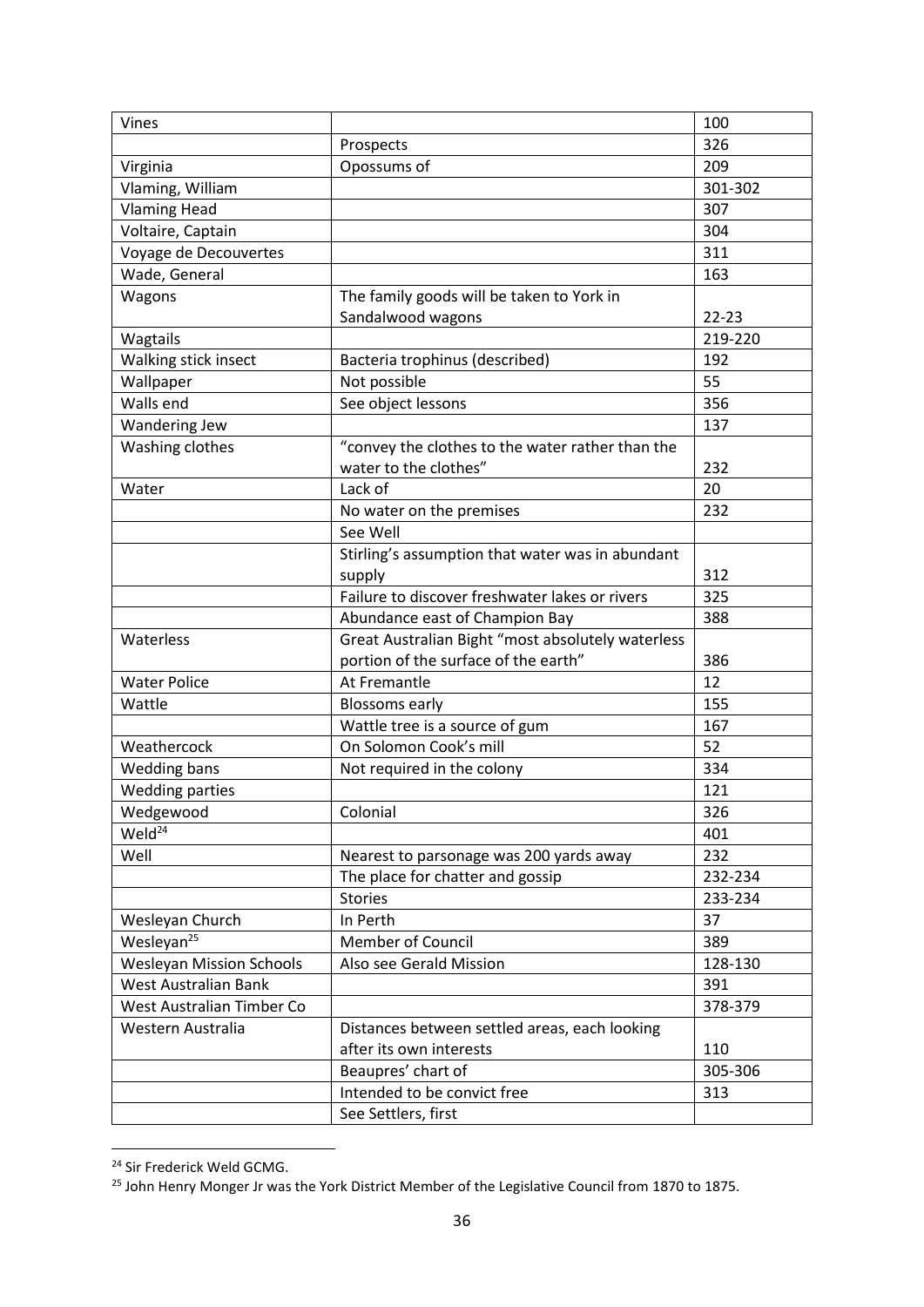| Vines                           |                                                                           | 100       |
|---------------------------------|---------------------------------------------------------------------------|-----------|
|                                 | Prospects                                                                 | 326       |
| Virginia                        | Opossums of                                                               | 209       |
| Vlaming, William                |                                                                           | 301-302   |
| <b>Vlaming Head</b>             |                                                                           | 307       |
| Voltaire, Captain               |                                                                           | 304       |
| Voyage de Decouvertes           |                                                                           | 311       |
| Wade, General                   |                                                                           | 163       |
| Wagons                          | The family goods will be taken to York in                                 |           |
|                                 | Sandalwood wagons                                                         | $22 - 23$ |
| Wagtails                        |                                                                           | 219-220   |
| Walking stick insect            | Bacteria trophinus (described)                                            | 192       |
| Wallpaper                       | Not possible                                                              | 55        |
| Walls end                       | See object lessons                                                        | 356       |
| Wandering Jew                   |                                                                           | 137       |
| Washing clothes                 | "convey the clothes to the water rather than the<br>water to the clothes" | 232       |
| Water                           | Lack of                                                                   | 20        |
|                                 | No water on the premises                                                  | 232       |
|                                 | See Well                                                                  |           |
|                                 |                                                                           |           |
|                                 | Stirling's assumption that water was in abundant<br>supply                | 312       |
|                                 | Failure to discover freshwater lakes or rivers                            | 325       |
|                                 | Abundance east of Champion Bay                                            | 388       |
| Waterless                       | Great Australian Bight "most absolutely waterless                         |           |
|                                 | portion of the surface of the earth"                                      | 386       |
| <b>Water Police</b>             | At Fremantle                                                              | 12        |
| Wattle                          | <b>Blossoms early</b>                                                     | 155       |
|                                 | Wattle tree is a source of gum                                            | 167       |
| Weathercock                     | On Solomon Cook's mill                                                    | 52        |
| Wedding bans                    | Not required in the colony                                                | 334       |
| <b>Wedding parties</b>          |                                                                           | 121       |
| Wedgewood                       | Colonial                                                                  | 326       |
| Weld <sup>24</sup>              |                                                                           | 401       |
| Well                            | Nearest to parsonage was 200 yards away                                   | 232       |
|                                 | The place for chatter and gossip                                          | 232-234   |
|                                 | <b>Stories</b>                                                            | 233-234   |
| Wesleyan Church                 | In Perth                                                                  | 37        |
| Wesleyan <sup>25</sup>          | <b>Member of Council</b>                                                  | 389       |
| <b>Wesleyan Mission Schools</b> | Also see Gerald Mission                                                   | 128-130   |
| West Australian Bank            |                                                                           | 391       |
| West Australian Timber Co       |                                                                           | 378-379   |
| Western Australia               | Distances between settled areas, each looking                             |           |
|                                 | after its own interests                                                   | 110       |
|                                 | Beaupres' chart of                                                        | 305-306   |
|                                 | Intended to be convict free                                               | 313       |
|                                 | See Settlers, first                                                       |           |
|                                 |                                                                           |           |

<sup>&</sup>lt;sup>24</sup> Sir Frederick Weld GCMG.

 $\overline{a}$ 

<sup>&</sup>lt;sup>25</sup> John Henry Monger Jr was the York District Member of the Legislative Council from 1870 to 1875.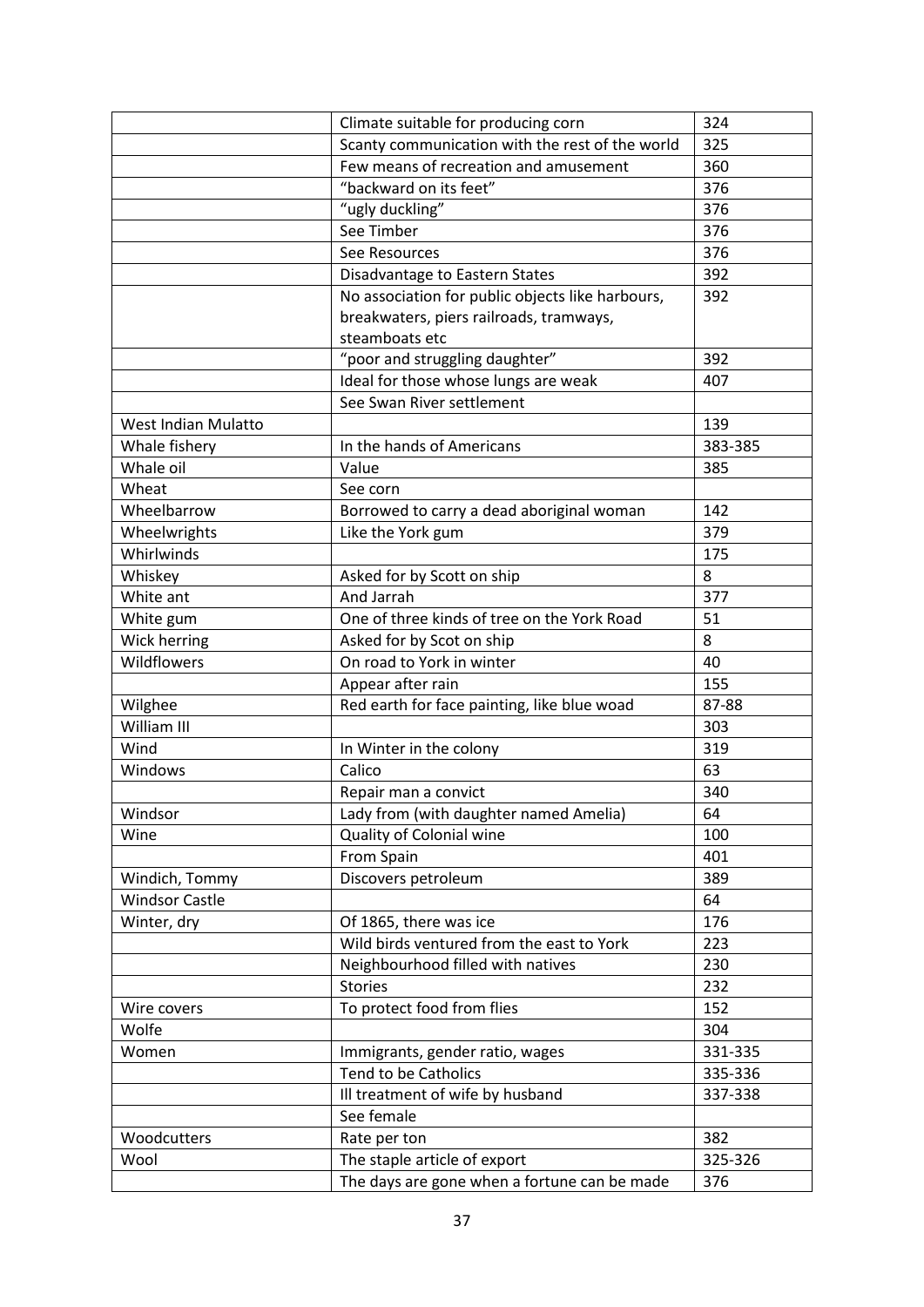|                       | Climate suitable for producing corn              | 324     |
|-----------------------|--------------------------------------------------|---------|
|                       | Scanty communication with the rest of the world  | 325     |
|                       | Few means of recreation and amusement            | 360     |
|                       | "backward on its feet"                           | 376     |
|                       | "ugly duckling"                                  | 376     |
|                       | See Timber                                       | 376     |
|                       | See Resources                                    | 376     |
|                       | Disadvantage to Eastern States                   | 392     |
|                       | No association for public objects like harbours, | 392     |
|                       | breakwaters, piers railroads, tramways,          |         |
|                       | steamboats etc                                   |         |
|                       | "poor and struggling daughter"                   | 392     |
|                       | Ideal for those whose lungs are weak             | 407     |
|                       | See Swan River settlement                        |         |
| West Indian Mulatto   |                                                  | 139     |
| Whale fishery         | In the hands of Americans                        | 383-385 |
| Whale oil             | Value                                            | 385     |
| Wheat                 | See corn                                         |         |
| Wheelbarrow           | Borrowed to carry a dead aboriginal woman        | 142     |
| Wheelwrights          | Like the York gum                                | 379     |
| Whirlwinds            |                                                  | 175     |
| Whiskey               | Asked for by Scott on ship                       | 8       |
| White ant             | And Jarrah                                       | 377     |
| White gum             | One of three kinds of tree on the York Road      | 51      |
| Wick herring          | Asked for by Scot on ship                        | 8       |
| Wildflowers           | On road to York in winter                        | 40      |
|                       | Appear after rain                                | 155     |
| Wilghee               | Red earth for face painting, like blue woad      | 87-88   |
| William III           |                                                  | 303     |
| Wind                  | In Winter in the colony                          | 319     |
| Windows               | Calico                                           | 63      |
|                       | Repair man a convict                             | 340     |
| Windsor               | Lady from (with daughter named Amelia)           | 64      |
| Wine                  | Quality of Colonial wine                         | 100     |
|                       | From Spain                                       | 401     |
| Windich, Tommy        | Discovers petroleum                              | 389     |
| <b>Windsor Castle</b> |                                                  | 64      |
| Winter, dry           | Of 1865, there was ice                           | 176     |
|                       | Wild birds ventured from the east to York        | 223     |
|                       | Neighbourhood filled with natives                | 230     |
|                       | <b>Stories</b>                                   | 232     |
| Wire covers           | To protect food from flies                       | 152     |
| Wolfe                 |                                                  | 304     |
| Women                 | Immigrants, gender ratio, wages                  | 331-335 |
|                       | <b>Tend to be Catholics</b>                      | 335-336 |
|                       | Ill treatment of wife by husband                 | 337-338 |
|                       | See female                                       |         |
| Woodcutters           | Rate per ton                                     | 382     |
| Wool                  | The staple article of export                     | 325-326 |
|                       | The days are gone when a fortune can be made     | 376     |